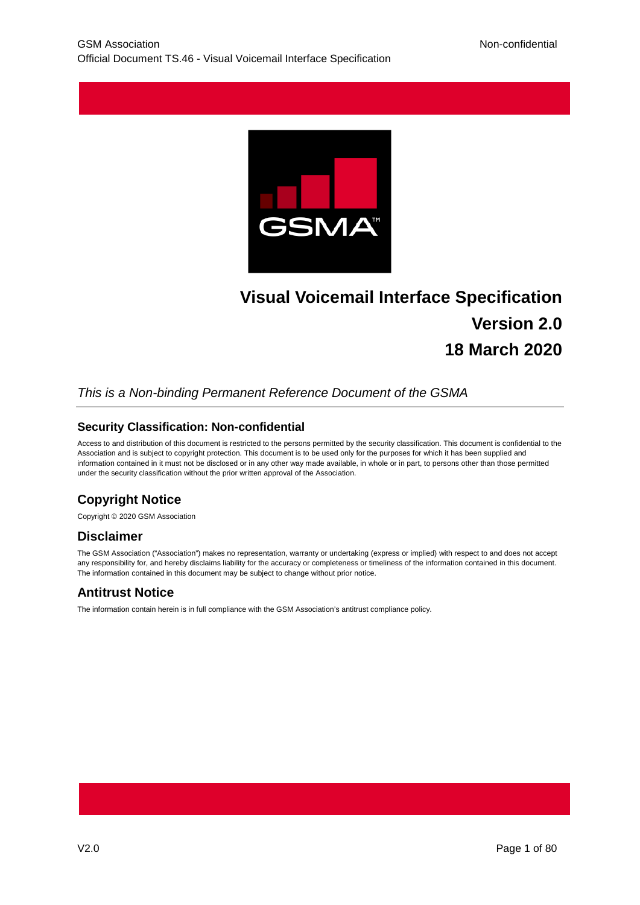

# **Visual Voicemail Interface Specification Version 2.0 18 March 2020**

## *This is a Non-binding Permanent Reference Document of the GSMA*

#### **Security Classification: Non-confidential**

Access to and distribution of this document is restricted to the persons permitted by the security classification. This document is confidential to the Association and is subject to copyright protection. This document is to be used only for the purposes for which it has been supplied and information contained in it must not be disclosed or in any other way made available, in whole or in part, to persons other than those permitted under the security classification without the prior written approval of the Association.

## **Copyright Notice**

Copyright © 2020 GSM Association

## **Disclaimer**

The GSM Association ("Association") makes no representation, warranty or undertaking (express or implied) with respect to and does not accept any responsibility for, and hereby disclaims liability for the accuracy or completeness or timeliness of the information contained in this document. The information contained in this document may be subject to change without prior notice.

## **Antitrust Notice**

The information contain herein is in full compliance with the GSM Association's antitrust compliance policy.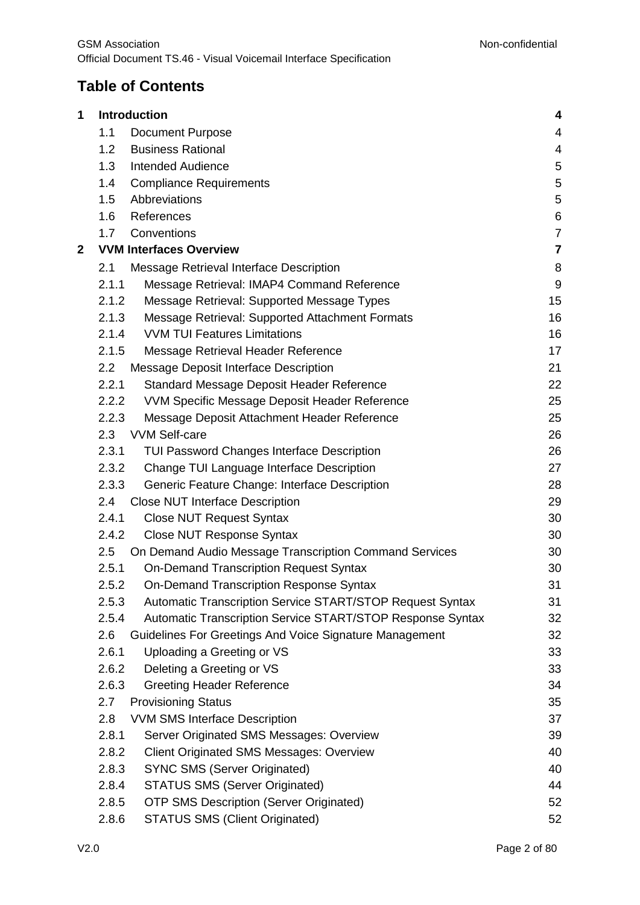## **Table of Contents**

| 1 |       | Introduction                                               | 4                |
|---|-------|------------------------------------------------------------|------------------|
|   | 1.1   | <b>Document Purpose</b>                                    | 4                |
|   | 1.2   | <b>Business Rational</b>                                   | 4                |
|   | 1.3   | <b>Intended Audience</b>                                   | 5                |
|   | 1.4   | <b>Compliance Requirements</b>                             | 5                |
|   | 1.5   | Abbreviations                                              | 5                |
|   | 1.6   | References                                                 | $\,6$            |
|   | 1.7   | Conventions                                                | $\boldsymbol{7}$ |
| 2 |       | <b>VVM Interfaces Overview</b>                             | $\overline{7}$   |
|   | 2.1   | Message Retrieval Interface Description                    | 8                |
|   | 2.1.1 | Message Retrieval: IMAP4 Command Reference                 | $9\,$            |
|   | 2.1.2 | Message Retrieval: Supported Message Types                 | 15               |
|   | 2.1.3 | Message Retrieval: Supported Attachment Formats            | 16               |
|   | 2.1.4 | <b>VVM TUI Features Limitations</b>                        | 16               |
|   | 2.1.5 | Message Retrieval Header Reference                         | 17               |
|   | 2.2   | Message Deposit Interface Description                      | 21               |
|   | 2.2.1 | Standard Message Deposit Header Reference                  | 22               |
|   | 2.2.2 | VVM Specific Message Deposit Header Reference              | 25               |
|   | 2.2.3 | Message Deposit Attachment Header Reference                | 25               |
|   | 2.3   | <b>VVM Self-care</b>                                       | 26               |
|   | 2.3.1 | <b>TUI Password Changes Interface Description</b>          | 26               |
|   | 2.3.2 | Change TUI Language Interface Description                  | 27               |
|   | 2.3.3 | Generic Feature Change: Interface Description              | 28               |
|   | 2.4   | <b>Close NUT Interface Description</b>                     | 29               |
|   | 2.4.1 | <b>Close NUT Request Syntax</b>                            | 30               |
|   | 2.4.2 | <b>Close NUT Response Syntax</b>                           | 30               |
|   | 2.5   | On Demand Audio Message Transcription Command Services     | 30               |
|   | 2.5.1 | <b>On-Demand Transcription Request Syntax</b>              | 30               |
|   | 2.5.2 | On-Demand Transcription Response Syntax                    | 31               |
|   | 2.5.3 | Automatic Transcription Service START/STOP Request Syntax  | 31               |
|   | 2.5.4 | Automatic Transcription Service START/STOP Response Syntax | 32               |
|   | 2.6   | Guidelines For Greetings And Voice Signature Management    | 32               |
|   | 2.6.1 | Uploading a Greeting or VS                                 | 33               |
|   | 2.6.2 | Deleting a Greeting or VS                                  | 33               |
|   | 2.6.3 | <b>Greeting Header Reference</b>                           | 34               |
|   | 2.7   | <b>Provisioning Status</b>                                 | 35               |
|   | 2.8   | <b>VVM SMS Interface Description</b>                       | 37               |
|   | 2.8.1 | Server Originated SMS Messages: Overview                   | 39               |
|   | 2.8.2 | <b>Client Originated SMS Messages: Overview</b>            | 40               |
|   | 2.8.3 | <b>SYNC SMS (Server Originated)</b>                        | 40               |
|   | 2.8.4 | <b>STATUS SMS (Server Originated)</b>                      | 44               |
|   | 2.8.5 | <b>OTP SMS Description (Server Originated)</b>             | 52               |
|   | 2.8.6 | <b>STATUS SMS (Client Originated)</b>                      | 52               |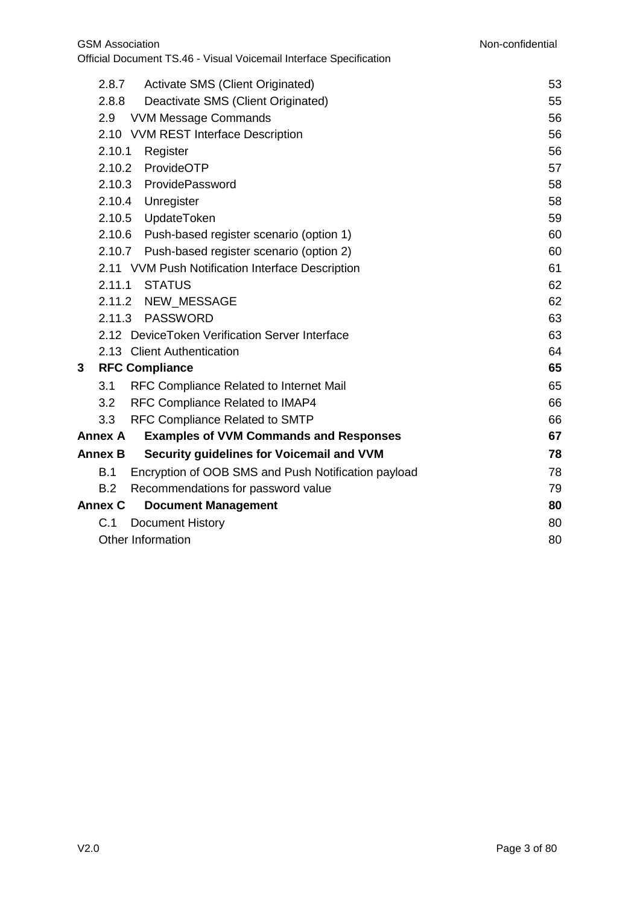|   | 2.8.7          | Activate SMS (Client Originated)                    | 53 |
|---|----------------|-----------------------------------------------------|----|
|   | 2.8.8          | Deactivate SMS (Client Originated)                  | 55 |
|   | 2.9            | <b>VVM Message Commands</b>                         | 56 |
|   |                | 2.10 VVM REST Interface Description                 | 56 |
|   | 2.10.1         | Register                                            | 56 |
|   |                | 2.10.2 ProvideOTP                                   | 57 |
|   |                | 2.10.3 ProvidePassword                              | 58 |
|   |                | 2.10.4 Unregister                                   | 58 |
|   |                | 2.10.5 UpdateToken                                  | 59 |
|   |                | 2.10.6 Push-based register scenario (option 1)      | 60 |
|   |                | 2.10.7 Push-based register scenario (option 2)      | 60 |
|   |                | 2.11 VVM Push Notification Interface Description    | 61 |
|   |                | 2.11.1 STATUS                                       | 62 |
|   |                | 2.11.2 NEW MESSAGE                                  | 62 |
|   |                | 2.11.3 PASSWORD                                     | 63 |
|   |                | 2.12 DeviceToken Verification Server Interface      | 63 |
|   |                | 2.13 Client Authentication                          | 64 |
| 3 |                | <b>RFC Compliance</b>                               | 65 |
|   | 3.1            | RFC Compliance Related to Internet Mail             | 65 |
|   | 3.2            | RFC Compliance Related to IMAP4                     | 66 |
|   | 3.3            | <b>RFC Compliance Related to SMTP</b>               | 66 |
|   | <b>Annex A</b> | <b>Examples of VVM Commands and Responses</b>       | 67 |
|   | <b>Annex B</b> | Security guidelines for Voicemail and VVM           | 78 |
|   | B.1            | Encryption of OOB SMS and Push Notification payload | 78 |
|   | B.2            | Recommendations for password value                  | 79 |
|   | <b>Annex C</b> | <b>Document Management</b>                          | 80 |
|   | C.1            | <b>Document History</b>                             | 80 |
|   |                | <b>Other Information</b>                            | 80 |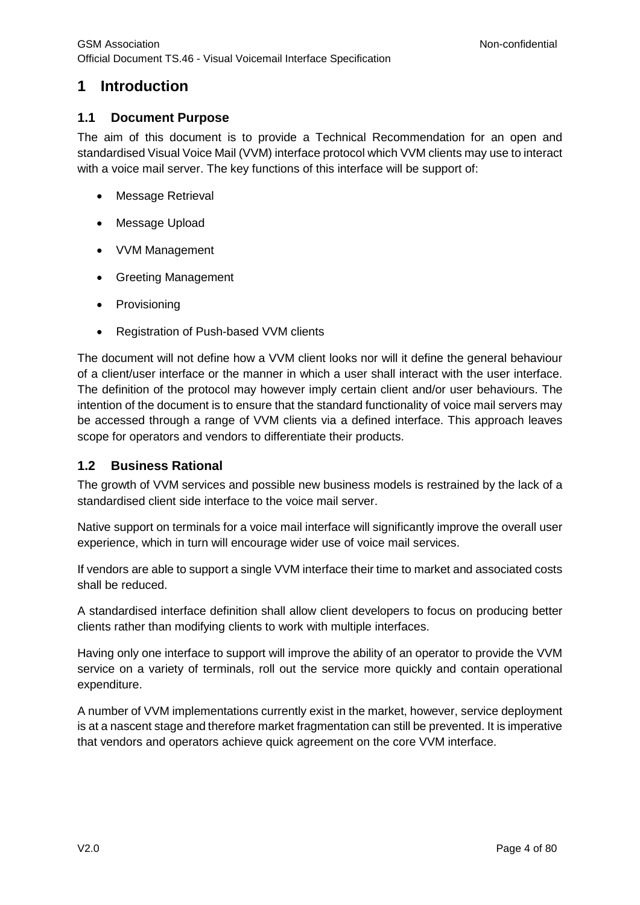## <span id="page-3-0"></span>**1 Introduction**

## <span id="page-3-1"></span>**1.1 Document Purpose**

The aim of this document is to provide a Technical Recommendation for an open and standardised Visual Voice Mail (VVM) interface protocol which VVM clients may use to interact with a voice mail server. The key functions of this interface will be support of:

- Message Retrieval
- Message Upload
- VVM Management
- Greeting Management
- Provisioning
- Registration of Push-based VVM clients

The document will not define how a VVM client looks nor will it define the general behaviour of a client/user interface or the manner in which a user shall interact with the user interface. The definition of the protocol may however imply certain client and/or user behaviours. The intention of the document is to ensure that the standard functionality of voice mail servers may be accessed through a range of VVM clients via a defined interface. This approach leaves scope for operators and vendors to differentiate their products.

## <span id="page-3-2"></span>**1.2 Business Rational**

The growth of VVM services and possible new business models is restrained by the lack of a standardised client side interface to the voice mail server.

Native support on terminals for a voice mail interface will significantly improve the overall user experience, which in turn will encourage wider use of voice mail services.

If vendors are able to support a single VVM interface their time to market and associated costs shall be reduced.

A standardised interface definition shall allow client developers to focus on producing better clients rather than modifying clients to work with multiple interfaces.

Having only one interface to support will improve the ability of an operator to provide the VVM service on a variety of terminals, roll out the service more quickly and contain operational expenditure.

A number of VVM implementations currently exist in the market, however, service deployment is at a nascent stage and therefore market fragmentation can still be prevented. It is imperative that vendors and operators achieve quick agreement on the core VVM interface.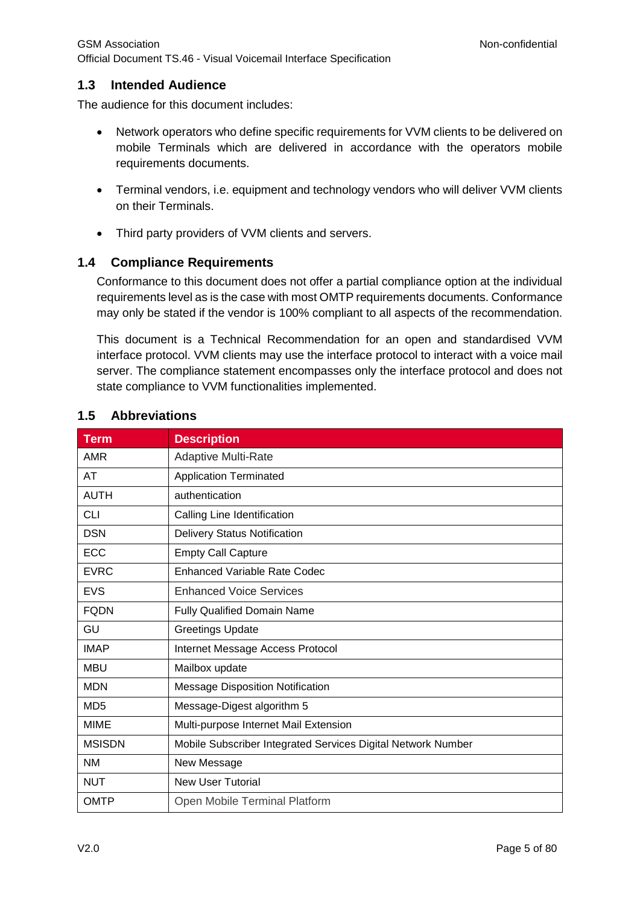## <span id="page-4-0"></span>**1.3 Intended Audience**

The audience for this document includes:

- Network operators who define specific requirements for VVM clients to be delivered on mobile Terminals which are delivered in accordance with the operators mobile requirements documents.
- Terminal vendors, i.e. equipment and technology vendors who will deliver VVM clients on their Terminals.
- Third party providers of VVM clients and servers.

## <span id="page-4-1"></span>**1.4 Compliance Requirements**

Conformance to this document does not offer a partial compliance option at the individual requirements level as is the case with most OMTP requirements documents. Conformance may only be stated if the vendor is 100% compliant to all aspects of the recommendation.

This document is a Technical Recommendation for an open and standardised VVM interface protocol. VVM clients may use the interface protocol to interact with a voice mail server. The compliance statement encompasses only the interface protocol and does not state compliance to VVM functionalities implemented.

| <b>Term</b>     | <b>Description</b>                                           |
|-----------------|--------------------------------------------------------------|
| <b>AMR</b>      | <b>Adaptive Multi-Rate</b>                                   |
| AT              | <b>Application Terminated</b>                                |
| <b>AUTH</b>     | authentication                                               |
| <b>CLI</b>      | Calling Line Identification                                  |
| <b>DSN</b>      | <b>Delivery Status Notification</b>                          |
| ECC             | <b>Empty Call Capture</b>                                    |
| <b>EVRC</b>     | <b>Enhanced Variable Rate Codec</b>                          |
| <b>EVS</b>      | <b>Enhanced Voice Services</b>                               |
| <b>FQDN</b>     | Fully Qualified Domain Name                                  |
| GU              | <b>Greetings Update</b>                                      |
| <b>IMAP</b>     | Internet Message Access Protocol                             |
| <b>MBU</b>      | Mailbox update                                               |
| <b>MDN</b>      | <b>Message Disposition Notification</b>                      |
| MD <sub>5</sub> | Message-Digest algorithm 5                                   |
| <b>MIME</b>     | Multi-purpose Internet Mail Extension                        |
| <b>MSISDN</b>   | Mobile Subscriber Integrated Services Digital Network Number |
| <b>NM</b>       | New Message                                                  |
| <b>NUT</b>      | <b>New User Tutorial</b>                                     |
| <b>OMTP</b>     | Open Mobile Terminal Platform                                |

## <span id="page-4-2"></span>**1.5 Abbreviations**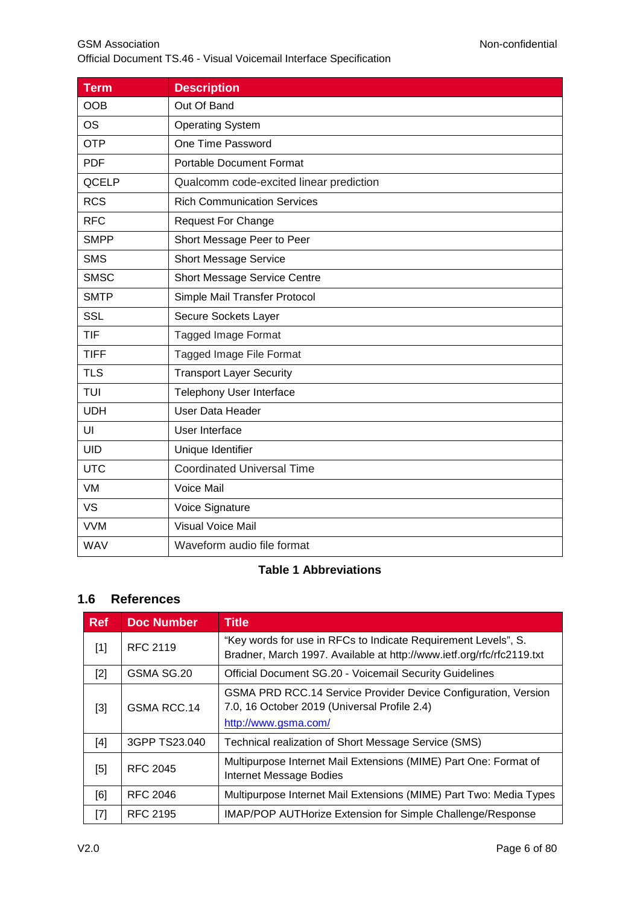| <b>Term</b> | <b>Description</b>                      |  |
|-------------|-----------------------------------------|--|
| <b>OOB</b>  | Out Of Band                             |  |
| <b>OS</b>   | <b>Operating System</b>                 |  |
| <b>OTP</b>  | One Time Password                       |  |
| <b>PDF</b>  | <b>Portable Document Format</b>         |  |
| QCELP       | Qualcomm code-excited linear prediction |  |
| <b>RCS</b>  | <b>Rich Communication Services</b>      |  |
| <b>RFC</b>  | <b>Request For Change</b>               |  |
| <b>SMPP</b> | Short Message Peer to Peer              |  |
| <b>SMS</b>  | <b>Short Message Service</b>            |  |
| <b>SMSC</b> | Short Message Service Centre            |  |
| <b>SMTP</b> | Simple Mail Transfer Protocol           |  |
| <b>SSL</b>  | Secure Sockets Layer                    |  |
| <b>TIF</b>  | <b>Tagged Image Format</b>              |  |
| <b>TIFF</b> | Tagged Image File Format                |  |
| <b>TLS</b>  | <b>Transport Layer Security</b>         |  |
| TUI         | Telephony User Interface                |  |
| <b>UDH</b>  | <b>User Data Header</b>                 |  |
| UI          | User Interface                          |  |
| <b>UID</b>  | Unique Identifier                       |  |
| <b>UTC</b>  | <b>Coordinated Universal Time</b>       |  |
| VM          | Voice Mail                              |  |
| <b>VS</b>   | Voice Signature                         |  |
| <b>VVM</b>  | <b>Visual Voice Mail</b>                |  |
| <b>WAV</b>  | Waveform audio file format              |  |

## **Table 1 Abbreviations**

## <span id="page-5-0"></span>**1.6 References**

<span id="page-5-1"></span>

| <b>Ref</b>                                                                                                                                                                                                 | <b>Doc Number</b> | <b>Title</b>                                                                                                                            |
|------------------------------------------------------------------------------------------------------------------------------------------------------------------------------------------------------------|-------------------|-----------------------------------------------------------------------------------------------------------------------------------------|
| $[1]$                                                                                                                                                                                                      | <b>RFC 2119</b>   | "Key words for use in RFCs to Indicate Requirement Levels", S.<br>Bradner, March 1997. Available at http://www.ietf.org/rfc/rfc2119.txt |
| $[2]$                                                                                                                                                                                                      | GSMA SG.20        | Official Document SG.20 - Voicemail Security Guidelines                                                                                 |
| $[3]$                                                                                                                                                                                                      | GSMA RCC.14       | GSMA PRD RCC.14 Service Provider Device Configuration, Version<br>7.0, 16 October 2019 (Universal Profile 2.4)<br>http://www.gsma.com/  |
| $[4]$                                                                                                                                                                                                      | 3GPP TS23.040     | Technical realization of Short Message Service (SMS)                                                                                    |
| [5]                                                                                                                                                                                                        | RFC 2045          | Multipurpose Internet Mail Extensions (MIME) Part One: Format of<br>Internet Message Bodies                                             |
| [6]                                                                                                                                                                                                        | RFC 2046          | Multipurpose Internet Mail Extensions (MIME) Part Two: Media Types                                                                      |
| $[7] % \includegraphics[width=0.9\columnwidth]{figures/fig_10.pdf} \caption{The 3D (black) model for the estimators in the left and right. The left and right is the same as in the right.} \label{fig:2}$ | RFC 2195          | <b>IMAP/POP AUTHorize Extension for Simple Challenge/Response</b>                                                                       |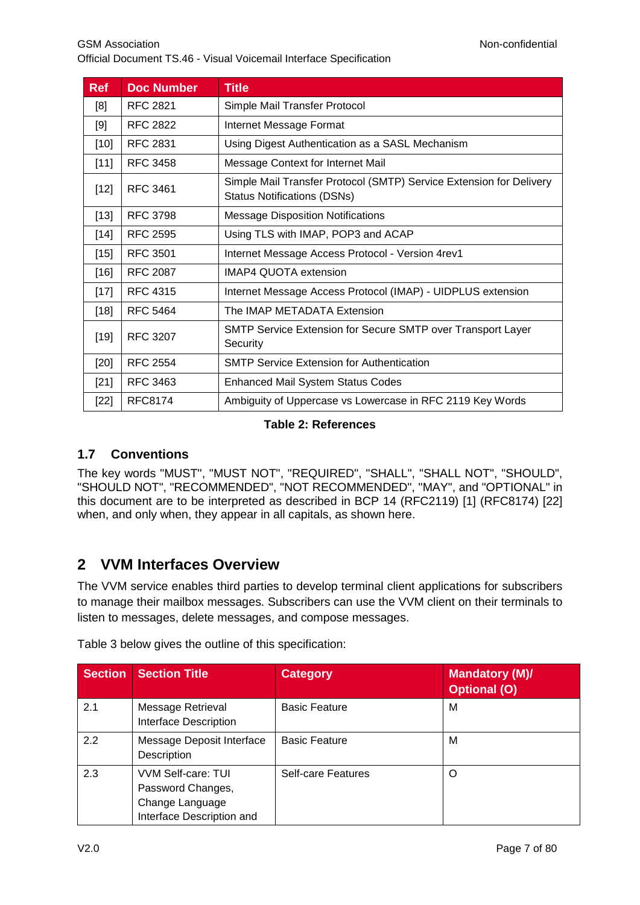| <b>Ref</b> | <b>Doc Number</b> | <b>Title</b>                                                                                              |
|------------|-------------------|-----------------------------------------------------------------------------------------------------------|
| [8]        | RFC 2821          | Simple Mail Transfer Protocol                                                                             |
| [9]        | RFC 2822          | Internet Message Format                                                                                   |
| $[10]$     | RFC 2831          | Using Digest Authentication as a SASL Mechanism                                                           |
| $[11]$     | <b>RFC 3458</b>   | Message Context for Internet Mail                                                                         |
| $[12]$     | <b>RFC 3461</b>   | Simple Mail Transfer Protocol (SMTP) Service Extension for Delivery<br><b>Status Notifications (DSNs)</b> |
| $[13]$     | <b>RFC 3798</b>   | <b>Message Disposition Notifications</b>                                                                  |
| $[14]$     | <b>RFC 2595</b>   | Using TLS with IMAP, POP3 and ACAP                                                                        |
| $[15]$     | <b>RFC 3501</b>   | Internet Message Access Protocol - Version 4rev1                                                          |
| $[16]$     | <b>RFC 2087</b>   | <b>IMAP4 QUOTA extension</b>                                                                              |
| $[17]$     | <b>RFC 4315</b>   | Internet Message Access Protocol (IMAP) - UIDPLUS extension                                               |
| $[18]$     | <b>RFC 5464</b>   | The IMAP METADATA Extension                                                                               |
| $[19]$     | <b>RFC 3207</b>   | SMTP Service Extension for Secure SMTP over Transport Layer<br>Security                                   |
| [20]       | <b>RFC 2554</b>   | <b>SMTP Service Extension for Authentication</b>                                                          |
| $[21]$     | RFC 3463          | <b>Enhanced Mail System Status Codes</b>                                                                  |
| $[22]$     | RFC8174           | Ambiguity of Uppercase vs Lowercase in RFC 2119 Key Words                                                 |

## **Table 2: References**

## <span id="page-6-0"></span>**1.7 Conventions**

The key words "MUST", "MUST NOT", "REQUIRED", "SHALL", "SHALL NOT", "SHOULD", "SHOULD NOT", "RECOMMENDED", "NOT RECOMMENDED", "MAY", and "OPTIONAL" in this document are to be interpreted as described in BCP 14 (RFC2119) [1] (RFC8174) [22] when, and only when, they appear in all capitals, as shown here.

## <span id="page-6-1"></span>**2 VVM Interfaces Overview**

The VVM service enables third parties to develop terminal client applications for subscribers to manage their mailbox messages. Subscribers can use the VVM client on their terminals to listen to messages, delete messages, and compose messages.

| <b>Section</b> | <b>Section Title</b>                                                                    | <b>Category</b>      | <b>Mandatory (M)/</b><br><b>Optional (O)</b> |
|----------------|-----------------------------------------------------------------------------------------|----------------------|----------------------------------------------|
| 2.1            | Message Retrieval<br>Interface Description                                              | <b>Basic Feature</b> | М                                            |
| 2.2            | Message Deposit Interface<br>Description                                                | <b>Basic Feature</b> | M                                            |
| 2.3            | VVM Self-care: TUI<br>Password Changes,<br>Change Language<br>Interface Description and | Self-care Features   | O                                            |

Table 3 below gives the outline of this specification: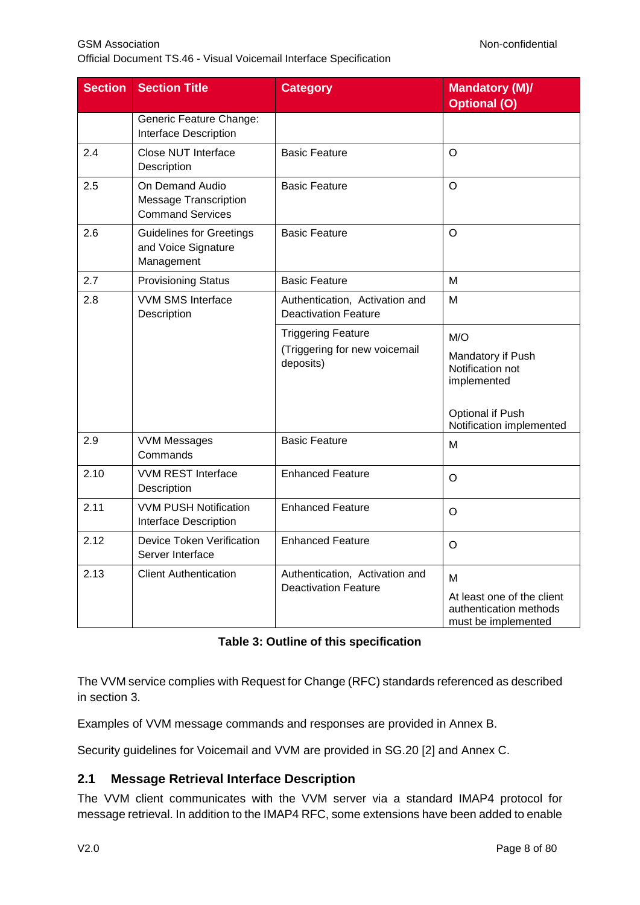Official Document TS.46 - Visual Voicemail Interface Specification

| <b>Section</b> | <b>Section Title</b>                                                       | <b>Category</b>                                                         | <b>Mandatory (M)/</b><br><b>Optional (O)</b>                                                                |
|----------------|----------------------------------------------------------------------------|-------------------------------------------------------------------------|-------------------------------------------------------------------------------------------------------------|
|                | Generic Feature Change:<br><b>Interface Description</b>                    |                                                                         |                                                                                                             |
| 2.4            | Close NUT Interface<br>Description                                         | <b>Basic Feature</b>                                                    | O                                                                                                           |
| 2.5            | On Demand Audio<br><b>Message Transcription</b><br><b>Command Services</b> | <b>Basic Feature</b>                                                    | O                                                                                                           |
| 2.6            | <b>Guidelines for Greetings</b><br>and Voice Signature<br>Management       | <b>Basic Feature</b>                                                    | $\Omega$                                                                                                    |
| 2.7            | <b>Provisioning Status</b>                                                 | <b>Basic Feature</b>                                                    | M                                                                                                           |
| 2.8            | <b>VVM SMS Interface</b><br>Description                                    | Authentication, Activation and<br><b>Deactivation Feature</b>           | M                                                                                                           |
|                |                                                                            | <b>Triggering Feature</b><br>(Triggering for new voicemail<br>deposits) | M/O<br>Mandatory if Push<br>Notification not<br>implemented<br>Optional if Push<br>Notification implemented |
| 2.9            | <b>VVM Messages</b><br>Commands                                            | <b>Basic Feature</b>                                                    | м                                                                                                           |
| 2.10           | <b>VVM REST Interface</b><br>Description                                   | <b>Enhanced Feature</b>                                                 | O                                                                                                           |
| 2.11           | <b>VVM PUSH Notification</b><br><b>Interface Description</b>               | <b>Enhanced Feature</b>                                                 | O                                                                                                           |
| 2.12           | <b>Device Token Verification</b><br>Server Interface                       | <b>Enhanced Feature</b>                                                 | $\circ$                                                                                                     |
| 2.13           | <b>Client Authentication</b>                                               | Authentication, Activation and<br><b>Deactivation Feature</b>           | М<br>At least one of the client<br>authentication methods<br>must be implemented                            |

## **Table 3: Outline of this specification**

The VVM service complies with Request for Change (RFC) standards referenced as described in section 3.

Examples of VVM message commands and responses are provided in [Annex](#page-66-0) B.

Security guidelines for Voicemail and VVM are provided in SG.20 [\[2\]](#page-5-1) and [Annex](#page-77-0) C.

## <span id="page-7-0"></span>**2.1 Message Retrieval Interface Description**

The VVM client communicates with the VVM server via a standard IMAP4 protocol for message retrieval. In addition to the IMAP4 RFC, some extensions have been added to enable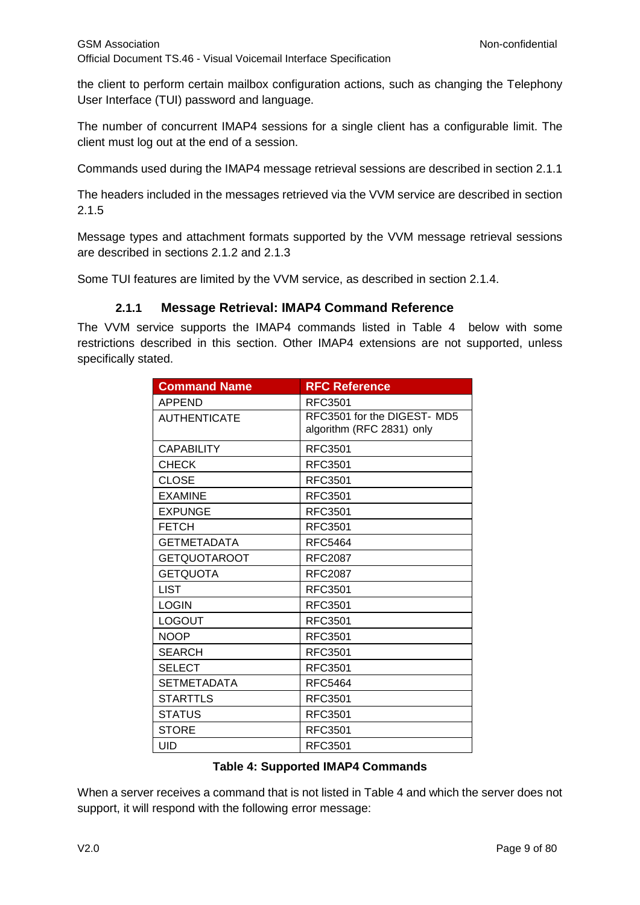the client to perform certain mailbox configuration actions, such as changing the Telephony User Interface (TUI) password and language.

The number of concurrent IMAP4 sessions for a single client has a configurable limit. The client must log out at the end of a session.

Commands used during the IMAP4 message retrieval sessions are described in section 2.1.1

The headers included in the messages retrieved via the VVM service are described in section 2.1.5

Message types and attachment formats supported by the VVM message retrieval sessions are described in sections 2.1.2 and 2.1.3

Some TUI features are limited by the VVM service, as described in section 2.1.4.

## **2.1.1 Message Retrieval: IMAP4 Command Reference**

<span id="page-8-0"></span>The VVM service supports the IMAP4 commands listed in Table 4 below with some restrictions described in this section. Other IMAP4 extensions are not supported, unless specifically stated.

| <b>Command Name</b> | <b>RFC Reference</b>                                     |
|---------------------|----------------------------------------------------------|
| <b>APPEND</b>       | <b>RFC3501</b>                                           |
| <b>AUTHENTICATE</b> | RFC3501 for the DIGEST- MD5<br>algorithm (RFC 2831) only |
| <b>CAPABILITY</b>   | RFC3501                                                  |
| CHECK               | RFC3501                                                  |
| <b>CLOSE</b>        | <b>RFC3501</b>                                           |
| <b>EXAMINE</b>      | <b>RFC3501</b>                                           |
| <b>EXPUNGE</b>      | <b>RFC3501</b>                                           |
| <b>FETCH</b>        | <b>RFC3501</b>                                           |
| <b>GETMETADATA</b>  | <b>RFC5464</b>                                           |
| <b>GETQUOTAROOT</b> | <b>RFC2087</b>                                           |
| <b>GETQUOTA</b>     | <b>RFC2087</b>                                           |
| <b>LIST</b>         | <b>RFC3501</b>                                           |
| <b>LOGIN</b>        | <b>RFC3501</b>                                           |
| <b>LOGOUT</b>       | RFC3501                                                  |
| <b>NOOP</b>         | RFC3501                                                  |
| <b>SEARCH</b>       | <b>RFC3501</b>                                           |
| <b>SELECT</b>       | RFC3501                                                  |
| <b>SETMETADATA</b>  | <b>RFC5464</b>                                           |
| <b>STARTTLS</b>     | <b>RFC3501</b>                                           |
| <b>STATUS</b>       | <b>RFC3501</b>                                           |
| <b>STORE</b>        | <b>RFC3501</b>                                           |
| UID                 | <b>RFC3501</b>                                           |

#### **Table 4: Supported IMAP4 Commands**

When a server receives a command that is not listed in Table 4 and which the server does not support, it will respond with the following error message: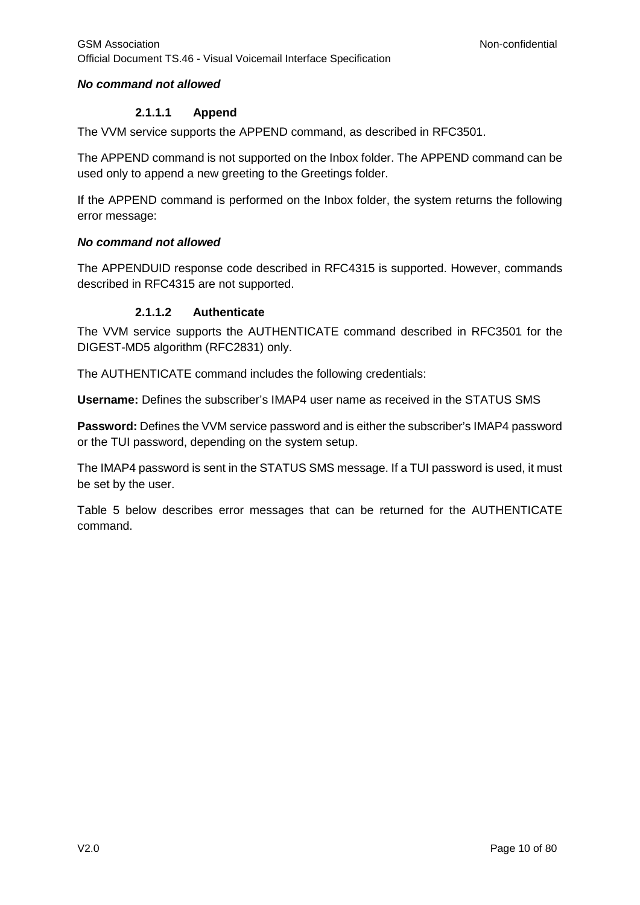## *No command not allowed*

## **2.1.1.1 Append**

The VVM service supports the APPEND command, as described in RFC3501.

The APPEND command is not supported on the Inbox folder. The APPEND command can be used only to append a new greeting to the Greetings folder.

If the APPEND command is performed on the Inbox folder, the system returns the following error message:

## *No command not allowed*

The APPENDUID response code described in RFC4315 is supported. However, commands described in RFC4315 are not supported.

## **2.1.1.2 Authenticate**

The VVM service supports the AUTHENTICATE command described in RFC3501 for the DIGEST-MD5 algorithm (RFC2831) only.

The AUTHENTICATE command includes the following credentials:

**Username:** Defines the subscriber's IMAP4 user name as received in the STATUS SMS

**Password:** Defines the VVM service password and is either the subscriber's IMAP4 password or the TUI password, depending on the system setup.

The IMAP4 password is sent in the STATUS SMS message. If a TUI password is used, it must be set by the user.

Table 5 below describes error messages that can be returned for the AUTHENTICATE command.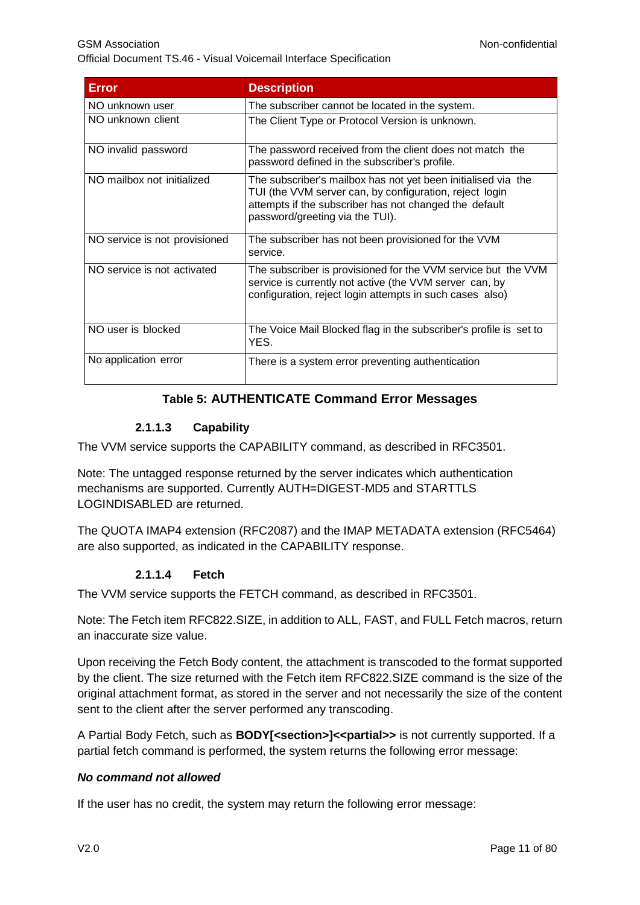GSM Association **Non-confidential** Official Document TS.46 - Visual Voicemail Interface Specification

| <b>Error</b>                  | <b>Description</b>                                                                                                                                                                                                    |
|-------------------------------|-----------------------------------------------------------------------------------------------------------------------------------------------------------------------------------------------------------------------|
|                               |                                                                                                                                                                                                                       |
| NO unknown user               | The subscriber cannot be located in the system.                                                                                                                                                                       |
| NO unknown client             | The Client Type or Protocol Version is unknown.                                                                                                                                                                       |
| NO invalid password           | The password received from the client does not match the<br>password defined in the subscriber's profile.                                                                                                             |
| NO mailbox not initialized    | The subscriber's mailbox has not yet been initialised via the<br>TUI (the VVM server can, by configuration, reject login<br>attempts if the subscriber has not changed the default<br>password/greeting via the TUI). |
| NO service is not provisioned | The subscriber has not been provisioned for the VVM<br>service.                                                                                                                                                       |
| NO service is not activated   | The subscriber is provisioned for the VVM service but the VVM<br>service is currently not active (the VVM server can, by<br>configuration, reject login attempts in such cases also)                                  |
| NO user is blocked            | The Voice Mail Blocked flag in the subscriber's profile is set to<br>YES.                                                                                                                                             |
| No application error          | There is a system error preventing authentication                                                                                                                                                                     |

## **Table 5: AUTHENTICATE Command Error Messages**

## **2.1.1.3 Capability**

The VVM service supports the CAPABILITY command, as described in RFC3501.

Note: The untagged response returned by the server indicates which authentication mechanisms are supported. Currently AUTH=DIGEST-MD5 and STARTTLS LOGINDISABLED are returned.

The QUOTA IMAP4 extension (RFC2087) and the IMAP METADATA extension (RFC5464) are also supported, as indicated in the CAPABILITY response.

## **2.1.1.4 Fetch**

The VVM service supports the FETCH command, as described in RFC3501.

Note: The Fetch item RFC822.SIZE, in addition to ALL, FAST, and FULL Fetch macros, return an inaccurate size value.

Upon receiving the Fetch Body content, the attachment is transcoded to the format supported by the client. The size returned with the Fetch item RFC822.SIZE command is the size of the original attachment format, as stored in the server and not necessarily the size of the content sent to the client after the server performed any transcoding.

A Partial Body Fetch, such as **BODY[<section>]<<partial>>** is not currently supported. If a partial fetch command is performed, the system returns the following error message:

## *No command not allowed*

If the user has no credit, the system may return the following error message: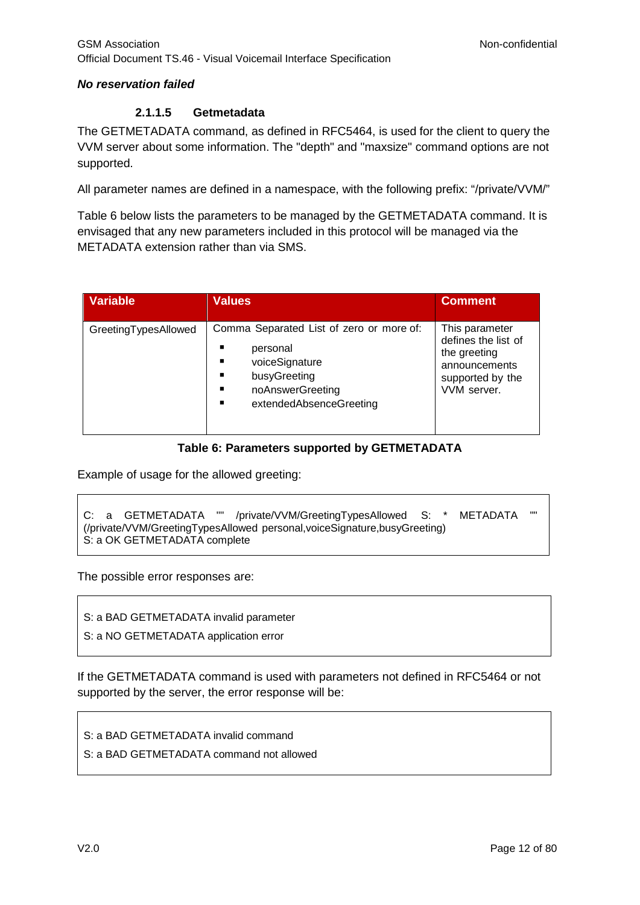## *No reservation failed*

#### **2.1.1.5 Getmetadata**

The GETMETADATA command, as defined in RFC5464, is used for the client to query the VVM server about some information. The "depth" and "maxsize" command options are not supported.

All parameter names are defined in a namespace, with the following prefix: "/private/VVM/"

Table 6 below lists the parameters to be managed by the GETMETADATA command. It is envisaged that any new parameters included in this protocol will be managed via the METADATA extension rather than via SMS.

| <b>Variable</b>      | <b>Values</b>                                                                                                                              | <b>Comment</b>                                                                                            |
|----------------------|--------------------------------------------------------------------------------------------------------------------------------------------|-----------------------------------------------------------------------------------------------------------|
| GreetingTypesAllowed | Comma Separated List of zero or more of:<br>personal<br>voiceSignature<br>busyGreeting<br>noAnswerGreeting<br>п<br>extendedAbsenceGreeting | This parameter<br>defines the list of<br>the greeting<br>announcements<br>supported by the<br>VVM server. |

## **Table 6: Parameters supported by GETMETADATA**

Example of usage for the allowed greeting:

```
C: a GETMETADATA "" /private/VVM/GreetingTypesAllowed S: * METADATA ""
(/private/VVM/GreetingTypesAllowed personal,voiceSignature,busyGreeting)
S: a OK GETMETADATA complete
```
The possible error responses are:

S: a BAD GETMETADATA invalid parameter

S: a NO GETMETADATA application error

If the GETMETADATA command is used with parameters not defined in RFC5464 or not supported by the server, the error response will be:

S: a BAD GETMETADATA invalid command

S: a BAD GETMETADATA command not allowed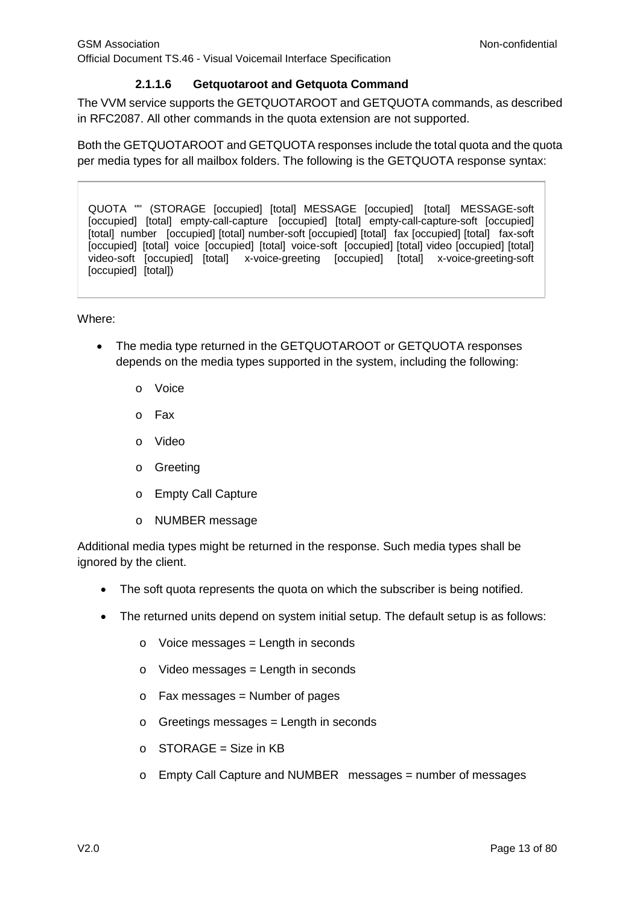## **2.1.1.6 Getquotaroot and Getquota Command**

The VVM service supports the GETQUOTAROOT and GETQUOTA commands, as described in RFC2087. All other commands in the quota extension are not supported.

Both the GETQUOTAROOT and GETQUOTA responses include the total quota and the quota per media types for all mailbox folders. The following is the GETQUOTA response syntax:

QUOTA "" (STORAGE [occupied] [total] MESSAGE [occupied] [total] MESSAGE-soft [occupied] [total] empty-call-capture [occupied] [total] empty-call-capture-soft [occupied] [total] number [occupied] [total] number-soft [occupied] [total] fax [occupied] [total] fax-soft [occupied] [total] voice [occupied] [total] voice-soft [occupied] [total] video [occupied] [total] video-soft [occupied] [total] x-voice-greeting [occupied] [total] x-voice-greeting-soft [occupied] [total])

#### Where:

- The media type returned in the GETQUOTAROOT or GETQUOTA responses depends on the media types supported in the system, including the following:
	- o Voice
	- o Fax
	- o Video
	- o Greeting
	- o Empty Call Capture
	- o NUMBER message

Additional media types might be returned in the response. Such media types shall be ignored by the client.

- The soft quota represents the quota on which the subscriber is being notified.
- The returned units depend on system initial setup. The default setup is as follows:
	- $\circ$  Voice messages = Length in seconds
	- $\circ$  Video messages = Length in seconds
	- $\circ$  Fax messages = Number of pages
	- $\circ$  Greetings messages = Length in seconds
	- $O$  STORAGE = Size in KB
	- o Empty Call Capture and NUMBER messages = number of messages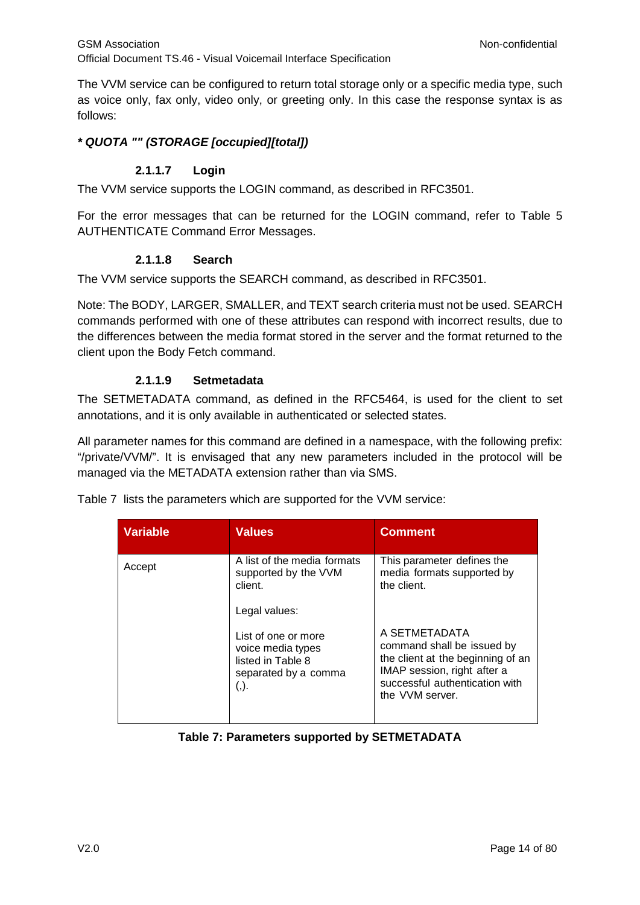The VVM service can be configured to return total storage only or a specific media type, such as voice only, fax only, video only, or greeting only. In this case the response syntax is as follows:

## *\* QUOTA "" (STORAGE [occupied][total])*

## **2.1.1.7 Login**

The VVM service supports the LOGIN command, as described in RFC3501.

For the error messages that can be returned for the LOGIN command, refer to Table 5 AUTHENTICATE Command Error Messages.

## **2.1.1.8 Search**

The VVM service supports the SEARCH command, as described in RFC3501.

Note: The BODY, LARGER, SMALLER, and TEXT search criteria must not be used. SEARCH commands performed with one of these attributes can respond with incorrect results, due to the differences between the media format stored in the server and the format returned to the client upon the Body Fetch command.

## **2.1.1.9 Setmetadata**

The SETMETADATA command, as defined in the RFC5464, is used for the client to set annotations, and it is only available in authenticated or selected states.

All parameter names for this command are defined in a namespace, with the following prefix: "/private/VVM/". It is envisaged that any new parameters included in the protocol will be managed via the METADATA extension rather than via SMS.

| <b>Variable</b> | <b>Values</b>                                                                                       | <b>Comment</b>                                                                                                                                                       |
|-----------------|-----------------------------------------------------------------------------------------------------|----------------------------------------------------------------------------------------------------------------------------------------------------------------------|
| Accept          | A list of the media formats<br>supported by the VVM<br>client.<br>Legal values:                     | This parameter defines the<br>media formats supported by<br>the client.                                                                                              |
|                 | List of one or more<br>voice media types<br>listed in Table 8<br>separated by a comma<br>$($ , $).$ | A SETMETADATA<br>command shall be issued by<br>the client at the beginning of an<br>IMAP session, right after a<br>successful authentication with<br>the VVM server. |

Table 7 lists the parameters which are supported for the VVM service:

**Table 7: Parameters supported by SETMETADATA**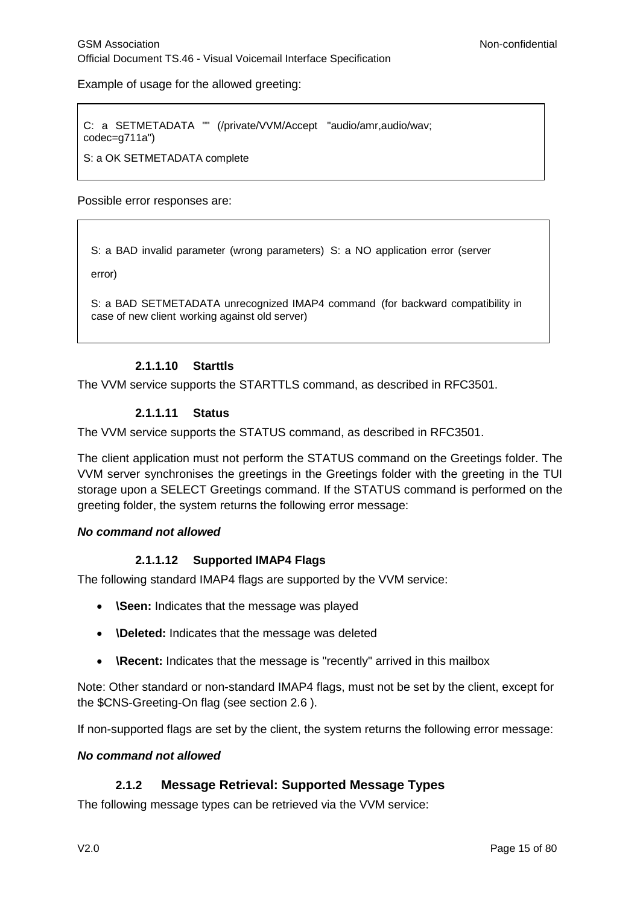Example of usage for the allowed greeting:

C: a SETMETADATA "" (/private/VVM/Accept "audio/amr,audio/wav; codec=g711a")

S: a OK SETMETADATA complete

Possible error responses are:

S: a BAD invalid parameter (wrong parameters) S: a NO application error (server

error)

S: a BAD SETMETADATA unrecognized IMAP4 command (for backward compatibility in case of new client working against old server)

#### **2.1.1.10 Starttls**

The VVM service supports the STARTTLS command, as described in RFC3501.

#### **2.1.1.11 Status**

The VVM service supports the STATUS command, as described in RFC3501.

The client application must not perform the STATUS command on the Greetings folder. The VVM server synchronises the greetings in the Greetings folder with the greeting in the TUI storage upon a SELECT Greetings command. If the STATUS command is performed on the greeting folder, the system returns the following error message:

#### *No command not allowed*

## **2.1.1.12 Supported IMAP4 Flags**

The following standard IMAP4 flags are supported by the VVM service:

- **\Seen:** Indicates that the message was played
- **\Deleted:** Indicates that the message was deleted
- **\Recent:** Indicates that the message is "recently" arrived in this mailbox

Note: Other standard or non-standard IMAP4 flags, must not be set by the client, except for the \$CNS-Greeting-On flag (see section 2.6 ).

If non-supported flags are set by the client, the system returns the following error message:

#### *No command not allowed*

## **2.1.2 Message Retrieval: Supported Message Types**

<span id="page-14-0"></span>The following message types can be retrieved via the VVM service: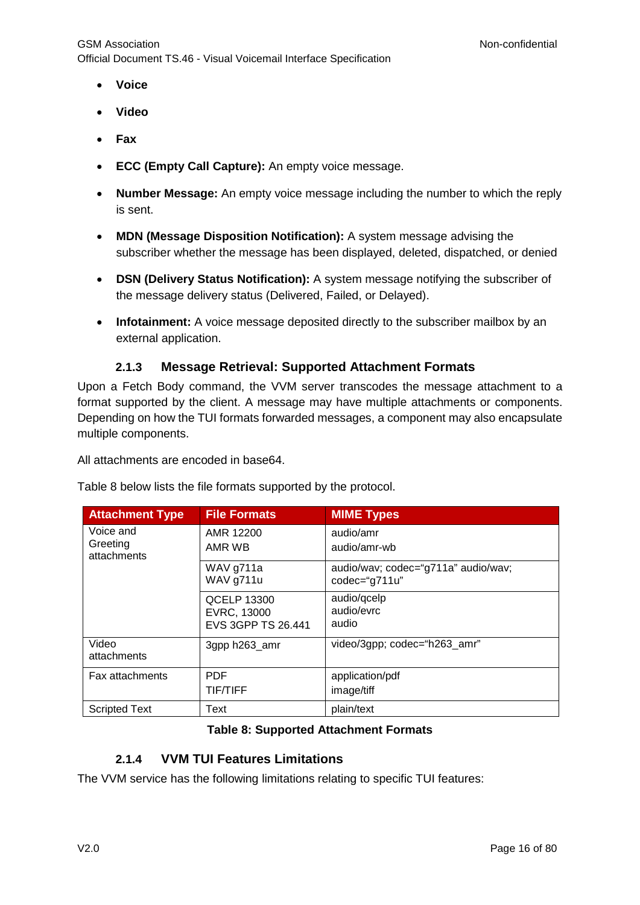- **Voice**
- **Video**
- **Fax**
- **ECC (Empty Call Capture):** An empty voice message.
- **Number Message:** An empty voice message including the number to which the reply is sent.
- **MDN (Message Disposition Notification):** A system message advising the subscriber whether the message has been displayed, deleted, dispatched, or denied
- **DSN (Delivery Status Notification):** A system message notifying the subscriber of the message delivery status (Delivered, Failed, or Delayed).
- **Infotainment:** A voice message deposited directly to the subscriber mailbox by an external application.

## **2.1.3 Message Retrieval: Supported Attachment Formats**

<span id="page-15-0"></span>Upon a Fetch Body command, the VVM server transcodes the message attachment to a format supported by the client. A message may have multiple attachments or components. Depending on how the TUI formats forwarded messages, a component may also encapsulate multiple components.

All attachments are encoded in base64.

Table 8 below lists the file formats supported by the protocol.

| <b>Attachment Type</b>               | <b>File Formats</b>                                            | <b>MIME Types</b>                                    |
|--------------------------------------|----------------------------------------------------------------|------------------------------------------------------|
| Voice and<br>Greeting<br>attachments | AMR 12200<br>AMR WB                                            | audio/amr<br>audio/amr-wb                            |
|                                      | WAV g711a<br>WAV g711u                                         | audio/wav; codec="g711a" audio/wav;<br>codec="g711u" |
|                                      | <b>QCELP 13300</b><br>EVRC, 13000<br><b>EVS 3GPP TS 26.441</b> | audio/qcelp<br>audio/evrc<br>audio                   |
| Video<br>attachments                 | 3gpp h263_amr                                                  | video/3gpp; codec="h263_amr"                         |
| <b>Fax attachments</b>               | <b>PDF</b><br><b>TIF/TIFF</b>                                  | application/pdf<br>image/tiff                        |
| <b>Scripted Text</b>                 | Text                                                           | plain/text                                           |

## **Table 8: Supported Attachment Formats**

## **2.1.4 VVM TUI Features Limitations**

<span id="page-15-1"></span>The VVM service has the following limitations relating to specific TUI features: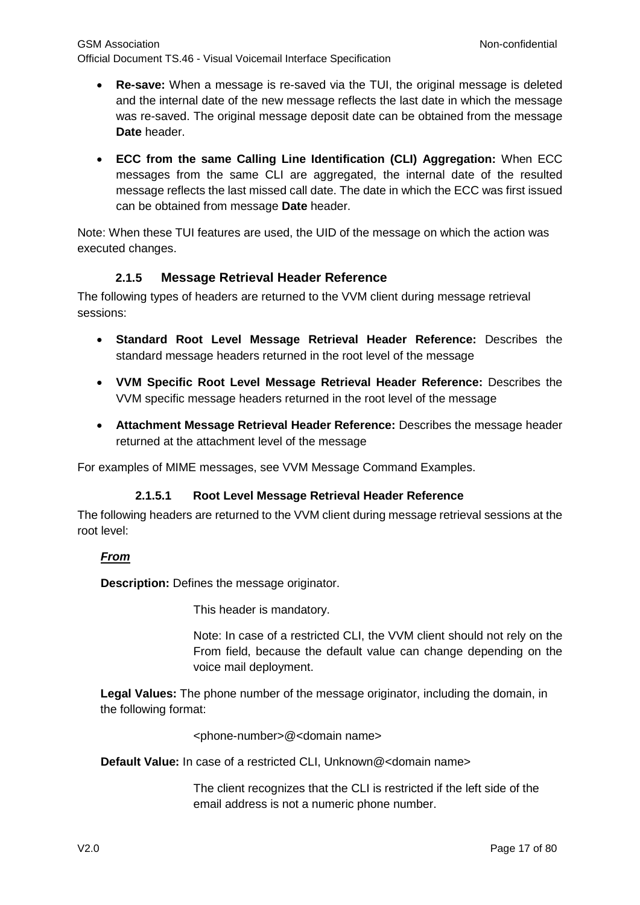GSM Association **Non-confidential** Official Document TS.46 - Visual Voicemail Interface Specification

- **Re-save:** When a message is re-saved via the TUI, the original message is deleted and the internal date of the new message reflects the last date in which the message was re-saved. The original message deposit date can be obtained from the message **Date** header.
- **ECC from the same Calling Line Identification (CLI) Aggregation:** When ECC messages from the same CLI are aggregated, the internal date of the resulted message reflects the last missed call date. The date in which the ECC was first issued can be obtained from message **Date** header.

Note: When these TUI features are used, the UID of the message on which the action was executed changes.

## **2.1.5 Message Retrieval Header Reference**

<span id="page-16-0"></span>The following types of headers are returned to the VVM client during message retrieval sessions:

- **Standard Root Level Message Retrieval Header Reference:** Describes the standard message headers returned in the root level of the message
- **VVM Specific Root Level Message Retrieval Header Reference:** Describes the VVM specific message headers returned in the root level of the message
- **Attachment Message Retrieval Header Reference:** Describes the message header returned at the attachment level of the message

For examples of MIME messages, see VVM Message Command Examples.

## **2.1.5.1 Root Level Message Retrieval Header Reference**

The following headers are returned to the VVM client during message retrieval sessions at the root level:

## *From*

**Description:** Defines the message originator.

This header is mandatory.

Note: In case of a restricted CLI, the VVM client should not rely on the From field, because the default value can change depending on the voice mail deployment.

**Legal Values:** The phone number of the message originator, including the domain, in the following format:

<phone-number>@<domain name>

**Default Value:** In case of a restricted CLI, Unknown@<domain name>

The client recognizes that the CLI is restricted if the left side of the email address is not a numeric phone number.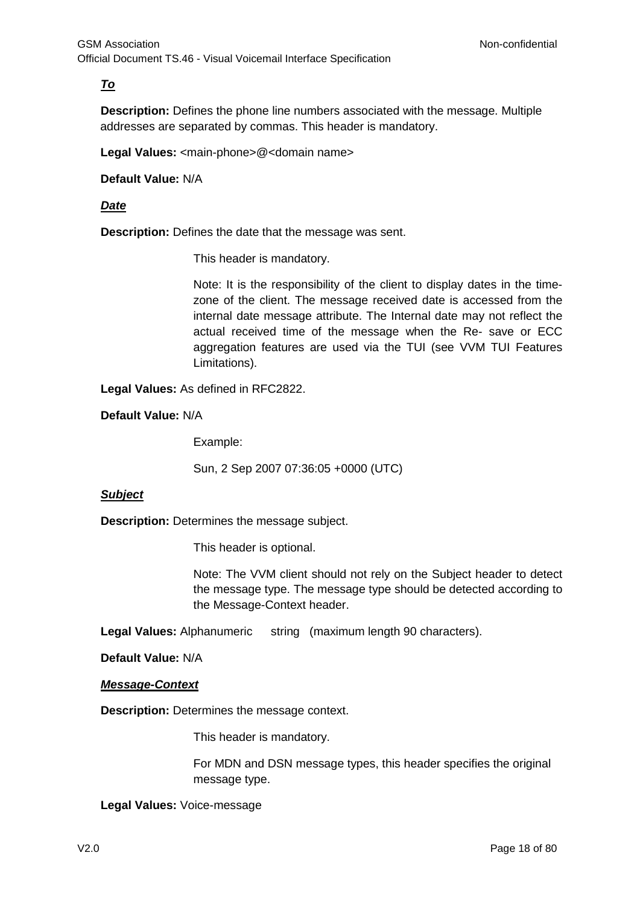## *To*

**Description:** Defines the phone line numbers associated with the message. Multiple addresses are separated by commas. This header is mandatory.

Legal Values: <main-phone>@<domain name>

**Default Value:** N/A

## *Date*

**Description:** Defines the date that the message was sent.

This header is mandatory.

Note: It is the responsibility of the client to display dates in the timezone of the client. The message received date is accessed from the internal date message attribute. The Internal date may not reflect the actual received time of the message when the Re- save or ECC aggregation features are used via the TUI (see VVM TUI Features Limitations).

**Legal Values:** As defined in RFC2822.

**Default Value:** N/A

Example:

Sun, 2 Sep 2007 07:36:05 +0000 (UTC)

## *Subject*

**Description:** Determines the message subject.

This header is optional.

Note: The VVM client should not rely on the Subject header to detect the message type. The message type should be detected according to the Message-Context header.

**Legal Values:** Alphanumeric string (maximum length 90 characters).

**Default Value:** N/A

#### *Message-Context*

**Description:** Determines the message context.

This header is mandatory.

For MDN and DSN message types, this header specifies the original message type.

**Legal Values:** Voice-message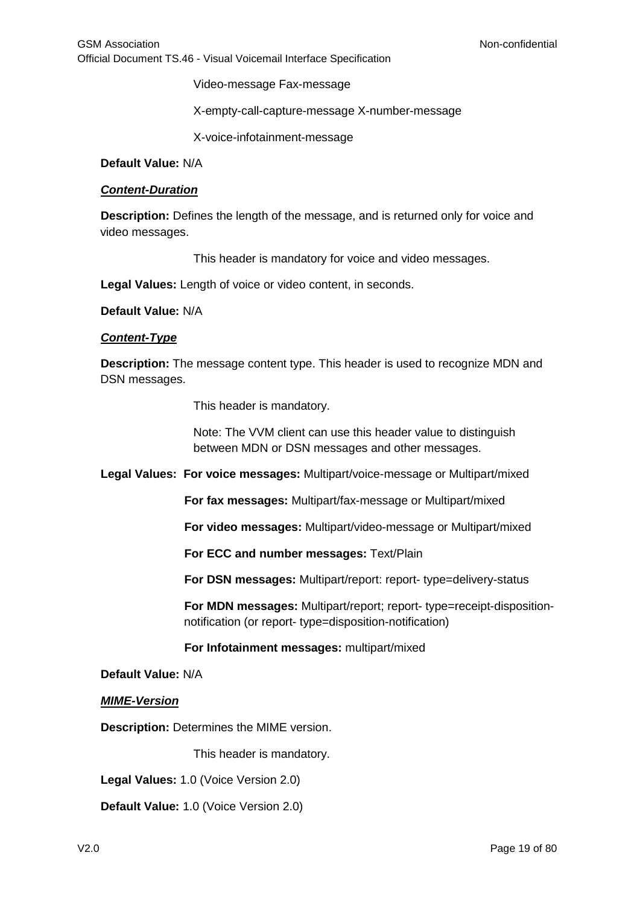Video-message Fax-message

X-empty-call-capture-message X-number-message

X-voice-infotainment-message

**Default Value:** N/A

#### *Content-Duration*

**Description:** Defines the length of the message, and is returned only for voice and video messages.

This header is mandatory for voice and video messages.

**Legal Values:** Length of voice or video content, in seconds.

**Default Value:** N/A

#### *Content-Type*

**Description:** The message content type. This header is used to recognize MDN and DSN messages.

This header is mandatory.

Note: The VVM client can use this header value to distinguish between MDN or DSN messages and other messages.

**Legal Values: For voice messages:** Multipart/voice-message or Multipart/mixed

**For fax messages:** Multipart/fax-message or Multipart/mixed

**For video messages:** Multipart/video-message or Multipart/mixed

**For ECC and number messages:** Text/Plain

**For DSN messages:** Multipart/report: report- type=delivery-status

**For MDN messages:** Multipart/report; report- type=receipt-dispositionnotification (or report- type=disposition-notification)

#### **For Infotainment messages:** multipart/mixed

#### **Default Value:** N/A

*MIME-Version*

**Description:** Determines the MIME version.

This header is mandatory.

**Legal Values:** 1.0 (Voice Version 2.0)

**Default Value:** 1.0 (Voice Version 2.0)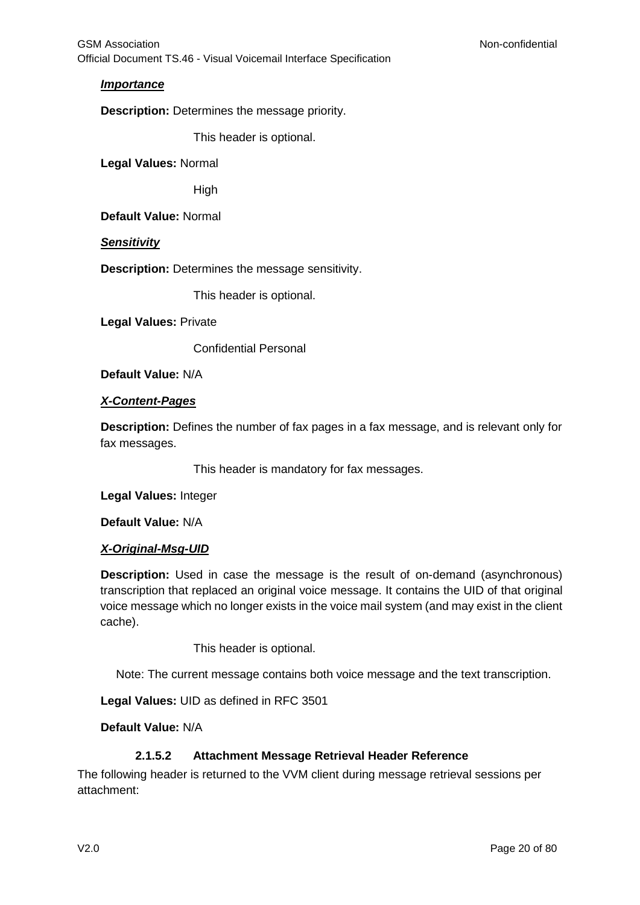## *Importance*

**Description:** Determines the message priority.

This header is optional.

**Legal Values:** Normal

High

**Default Value:** Normal

*Sensitivity*

**Description:** Determines the message sensitivity.

This header is optional.

**Legal Values:** Private

Confidential Personal

**Default Value:** N/A

## *X-Content-Pages*

**Description:** Defines the number of fax pages in a fax message, and is relevant only for fax messages.

This header is mandatory for fax messages.

**Legal Values:** Integer

**Default Value:** N/A

## *X-Original-Msg-UID*

**Description:** Used in case the message is the result of on-demand (asynchronous) transcription that replaced an original voice message. It contains the UID of that original voice message which no longer exists in the voice mail system (and may exist in the client cache).

This header is optional.

Note: The current message contains both voice message and the text transcription.

**Legal Values:** UID as defined in RFC 3501

**Default Value:** N/A

## **2.1.5.2 Attachment Message Retrieval Header Reference**

The following header is returned to the VVM client during message retrieval sessions per attachment: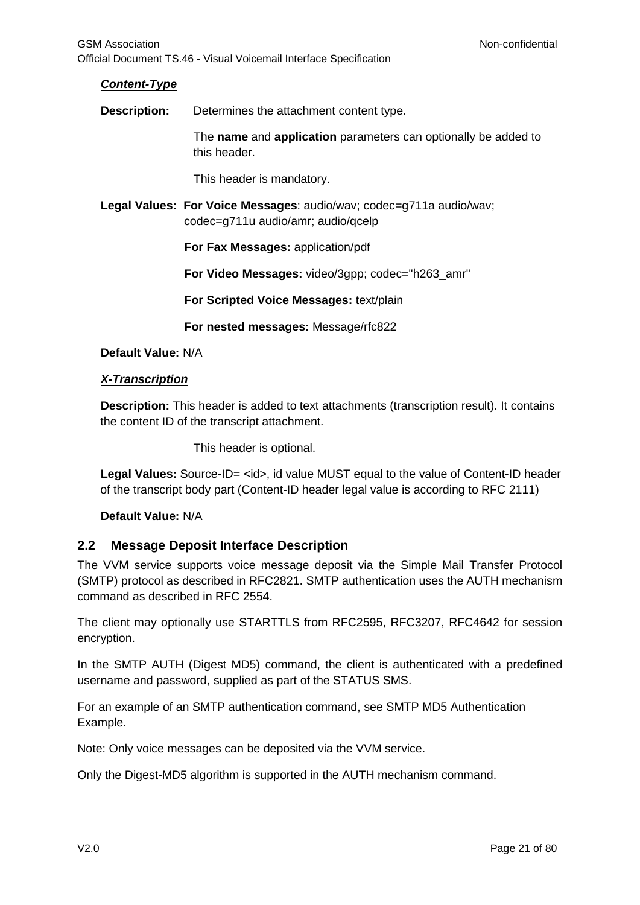## *Content-Type*

**Description:** Determines the attachment content type.

The **name** and **application** parameters can optionally be added to this header.

This header is mandatory.

**Legal Values: For Voice Messages**: audio/wav; codec=g711a audio/wav; codec=g711u audio/amr; audio/qcelp

**For Fax Messages:** application/pdf

**For Video Messages:** video/3gpp; codec="h263\_amr"

**For Scripted Voice Messages:** text/plain

**For nested messages:** Message/rfc822

## **Default Value:** N/A

## *X-Transcription*

**Description:** This header is added to text attachments (transcription result). It contains the content ID of the transcript attachment.

This header is optional.

Legal Values: Source-ID= <id>, id value MUST equal to the value of Content-ID header of the transcript body part (Content-ID header legal value is according to RFC 2111)

## **Default Value:** N/A

## <span id="page-20-0"></span>**2.2 Message Deposit Interface Description**

The VVM service supports voice message deposit via the Simple Mail Transfer Protocol (SMTP) protocol as described in RFC2821. SMTP authentication uses the AUTH mechanism command as described in RFC 2554.

The client may optionally use STARTTLS from RFC2595, RFC3207, RFC4642 for session encryption.

In the SMTP AUTH (Digest MD5) command, the client is authenticated with a predefined username and password, supplied as part of the STATUS SMS.

For an example of an SMTP authentication command, see SMTP MD5 Authentication Example.

Note: Only voice messages can be deposited via the VVM service.

Only the Digest-MD5 algorithm is supported in the AUTH mechanism command.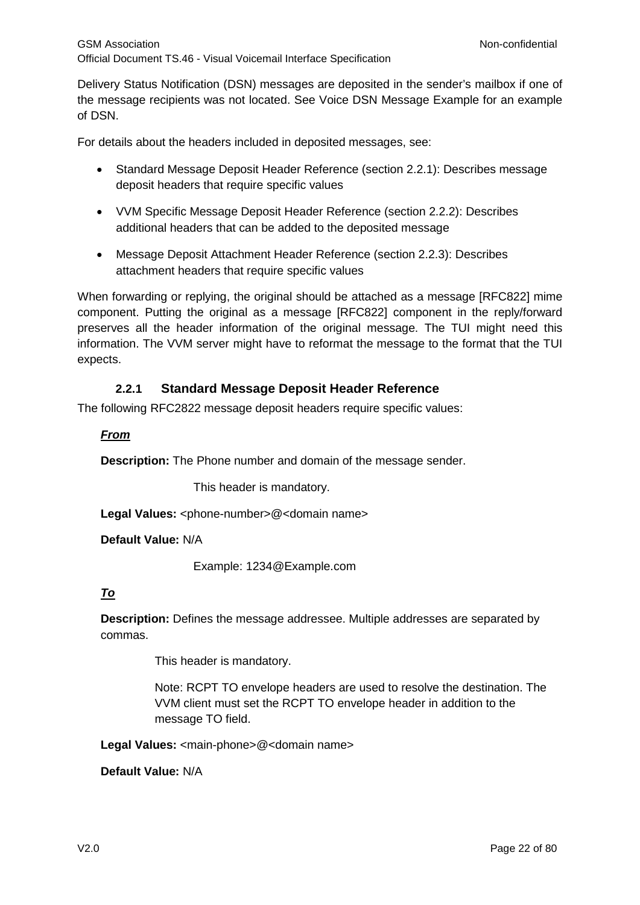Delivery Status Notification (DSN) messages are deposited in the sender's mailbox if one of the message recipients was not located. See Voice DSN Message Example for an example of DSN.

For details about the headers included in deposited messages, see:

- Standard Message Deposit Header Reference (section 2.2.1): Describes message deposit headers that require specific values
- VVM Specific Message Deposit Header Reference (section 2.2.2): Describes additional headers that can be added to the deposited message
- Message Deposit Attachment Header Reference (section 2.2.3): Describes attachment headers that require specific values

When forwarding or replying, the original should be attached as a message [RFC822] mime component. Putting the original as a message [RFC822] component in the reply/forward preserves all the header information of the original message. The TUI might need this information. The VVM server might have to reformat the message to the format that the TUI expects.

## **2.2.1 Standard Message Deposit Header Reference**

<span id="page-21-0"></span>The following RFC2822 message deposit headers require specific values:

## *From*

**Description:** The Phone number and domain of the message sender.

This header is mandatory.

Legal Values: <phone-number>@<domain name>

**Default Value:** N/A

Example: 1234@Example.com

## *To*

**Description:** Defines the message addressee. Multiple addresses are separated by commas.

This header is mandatory.

Note: RCPT TO envelope headers are used to resolve the destination. The VVM client must set the RCPT TO envelope header in addition to the message TO field.

Legal Values: <main-phone>@<domain name>

**Default Value:** N/A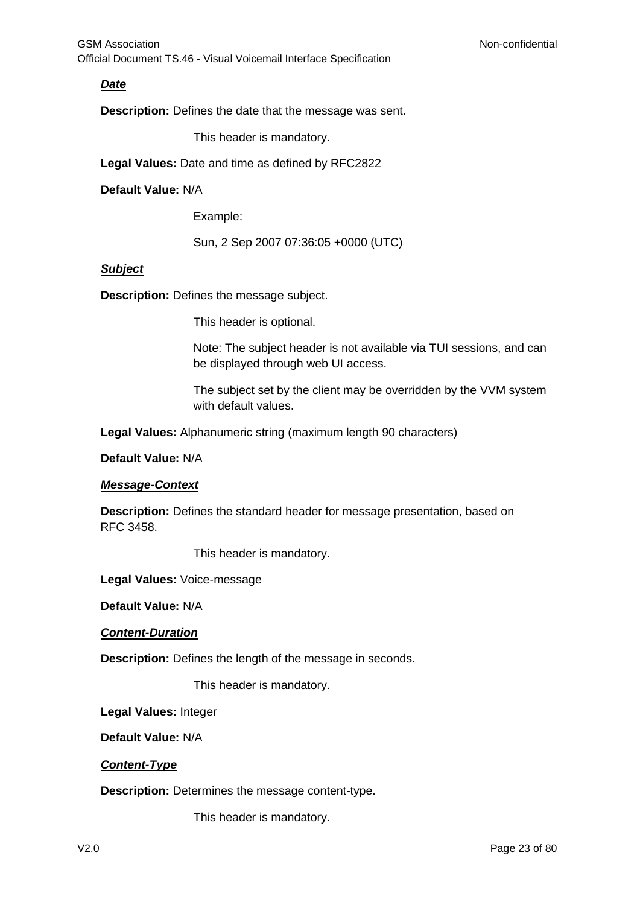## *Date*

**Description:** Defines the date that the message was sent.

This header is mandatory.

**Legal Values:** Date and time as defined by RFC2822

#### **Default Value:** N/A

Example:

Sun, 2 Sep 2007 07:36:05 +0000 (UTC)

#### *Subject*

**Description:** Defines the message subject.

This header is optional.

Note: The subject header is not available via TUI sessions, and can be displayed through web UI access.

The subject set by the client may be overridden by the VVM system with default values.

**Legal Values:** Alphanumeric string (maximum length 90 characters)

**Default Value:** N/A

#### *Message-Context*

**Description:** Defines the standard header for message presentation, based on RFC 3458.

This header is mandatory.

**Legal Values:** Voice-message

**Default Value:** N/A

*Content-Duration*

**Description:** Defines the length of the message in seconds.

This header is mandatory.

**Legal Values:** Integer

**Default Value:** N/A

#### *Content-Type*

**Description:** Determines the message content-type.

This header is mandatory.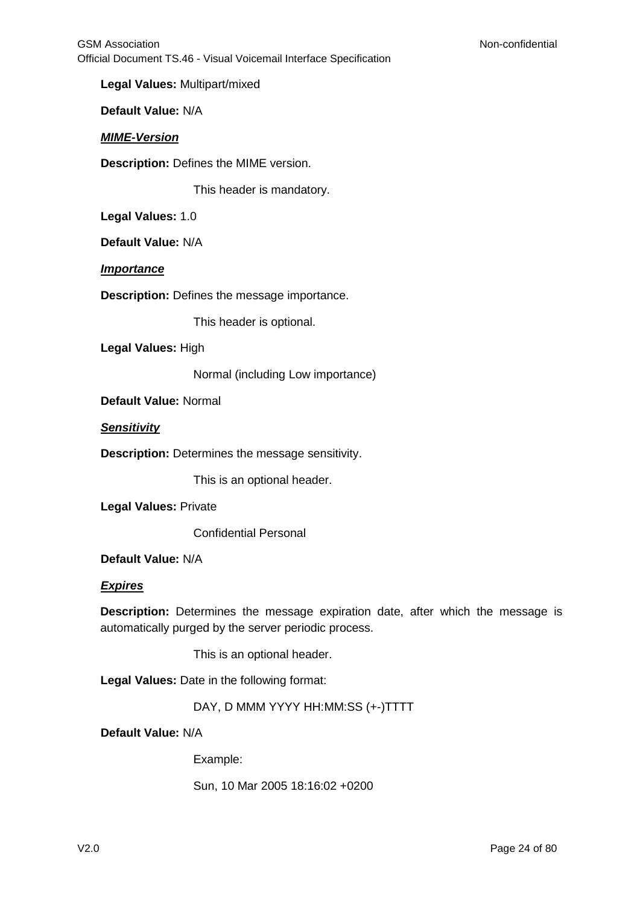**Legal Values:** Multipart/mixed

**Default Value:** N/A

#### *MIME-Version*

**Description:** Defines the MIME version.

This header is mandatory.

**Legal Values:** 1.0

**Default Value:** N/A

#### *Importance*

**Description:** Defines the message importance.

This header is optional.

**Legal Values:** High

Normal (including Low importance)

**Default Value:** Normal

*Sensitivity*

**Description:** Determines the message sensitivity.

This is an optional header.

**Legal Values:** Private

Confidential Personal

**Default Value:** N/A

#### *Expires*

**Description:** Determines the message expiration date, after which the message is automatically purged by the server periodic process.

This is an optional header.

**Legal Values:** Date in the following format:

DAY, D MMM YYYY HH:MM:SS (+-)TTTT

**Default Value:** N/A

Example:

Sun, 10 Mar 2005 18:16:02 +0200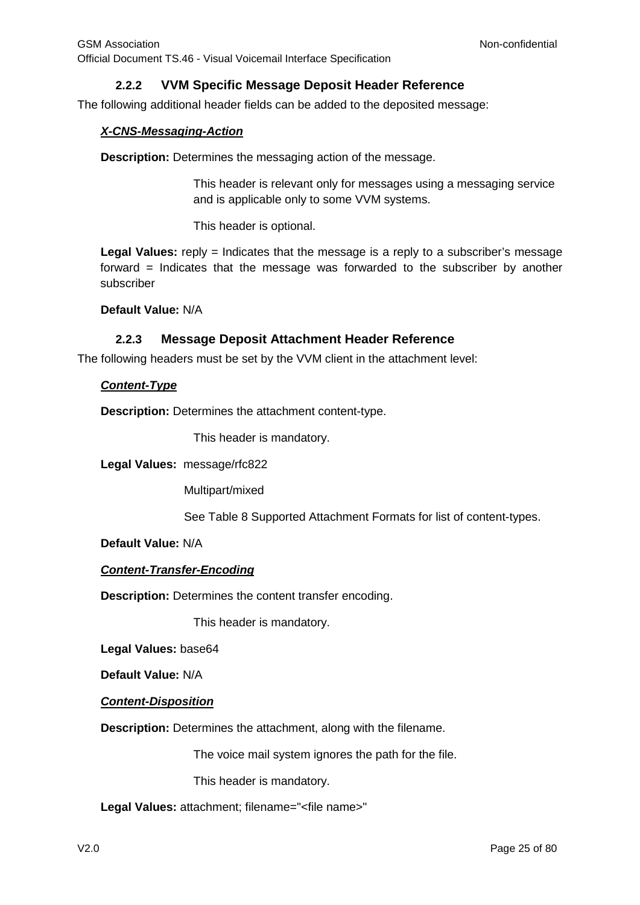## **2.2.2 VVM Specific Message Deposit Header Reference**

<span id="page-24-0"></span>The following additional header fields can be added to the deposited message:

## *X-CNS-Messaging-Action*

**Description:** Determines the messaging action of the message.

This header is relevant only for messages using a messaging service and is applicable only to some VVM systems.

This header is optional.

Legal Values: reply = Indicates that the message is a reply to a subscriber's message forward = Indicates that the message was forwarded to the subscriber by another subscriber

**Default Value:** N/A

## **2.2.3 Message Deposit Attachment Header Reference**

<span id="page-24-1"></span>The following headers must be set by the VVM client in the attachment level:

#### *Content-Type*

**Description:** Determines the attachment content-type.

This header is mandatory.

**Legal Values:** message/rfc822

Multipart/mixed

See Table 8 Supported Attachment Formats for list of content-types.

**Default Value:** N/A

## *Content-Transfer-Encoding*

**Description:** Determines the content transfer encoding.

This header is mandatory.

**Legal Values:** base64

**Default Value:** N/A

## *Content-Disposition*

**Description:** Determines the attachment, along with the filename.

The voice mail system ignores the path for the file.

This header is mandatory.

**Legal Values:** attachment; filename="<file name>"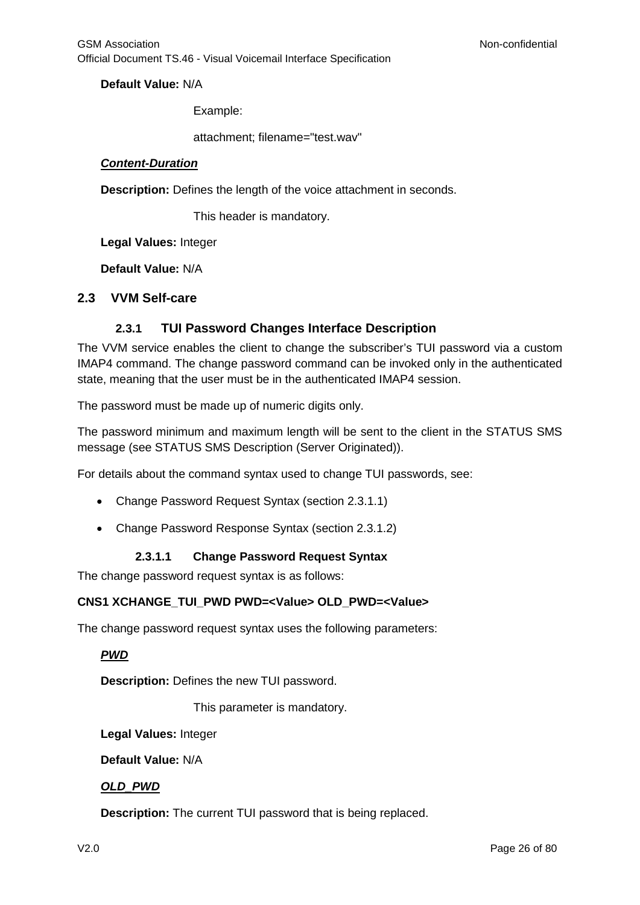**Default Value:** N/A

Example:

attachment; filename="test.wav"

#### *Content-Duration*

**Description:** Defines the length of the voice attachment in seconds.

This header is mandatory.

**Legal Values:** Integer

**Default Value:** N/A

#### <span id="page-25-1"></span><span id="page-25-0"></span>**2.3 VVM Self-care**

## **2.3.1 TUI Password Changes Interface Description**

The VVM service enables the client to change the subscriber's TUI password via a custom IMAP4 command. The change password command can be invoked only in the authenticated state, meaning that the user must be in the authenticated IMAP4 session.

The password must be made up of numeric digits only.

The password minimum and maximum length will be sent to the client in the STATUS SMS message (see STATUS SMS Description (Server Originated)).

For details about the command syntax used to change TUI passwords, see:

- Change Password Request Syntax (section 2.3.1.1)
- Change Password Response Syntax (section 2.3.1.2)

## **2.3.1.1 Change Password Request Syntax**

The change password request syntax is as follows:

## **CNS1 XCHANGE\_TUI\_PWD PWD=<Value> OLD\_PWD=<Value>**

The change password request syntax uses the following parameters:

## *PWD*

**Description:** Defines the new TUI password.

This parameter is mandatory.

**Legal Values:** Integer

**Default Value:** N/A

## *OLD\_PWD*

**Description:** The current TUI password that is being replaced.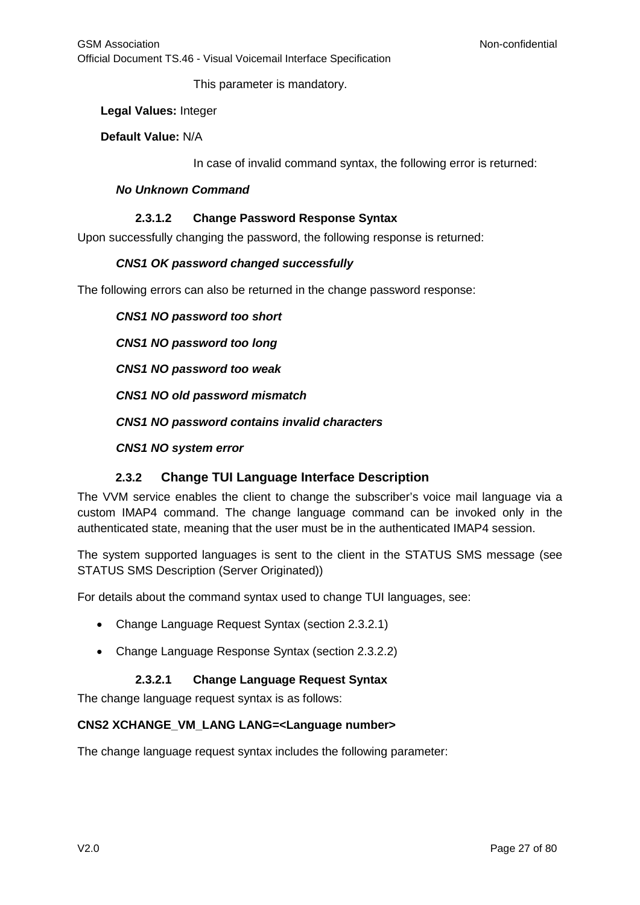This parameter is mandatory.

#### **Legal Values:** Integer

## **Default Value:** N/A

In case of invalid command syntax, the following error is returned:

#### *No Unknown Command*

## **2.3.1.2 Change Password Response Syntax**

Upon successfully changing the password, the following response is returned:

## *CNS1 OK password changed successfully*

The following errors can also be returned in the change password response:

*CNS1 NO password too short*

*CNS1 NO password too long*

*CNS1 NO password too weak*

*CNS1 NO old password mismatch*

*CNS1 NO password contains invalid characters*

*CNS1 NO system error*

## **2.3.2 Change TUI Language Interface Description**

<span id="page-26-0"></span>The VVM service enables the client to change the subscriber's voice mail language via a custom IMAP4 command. The change language command can be invoked only in the authenticated state, meaning that the user must be in the authenticated IMAP4 session.

The system supported languages is sent to the client in the STATUS SMS message (see STATUS SMS Description (Server Originated))

For details about the command syntax used to change TUI languages, see:

- Change Language Request Syntax (section 2.3.2.1)
- Change Language Response Syntax (section 2.3.2.2)

## **2.3.2.1 Change Language Request Syntax**

The change language request syntax is as follows:

## **CNS2 XCHANGE\_VM\_LANG LANG=<Language number>**

The change language request syntax includes the following parameter: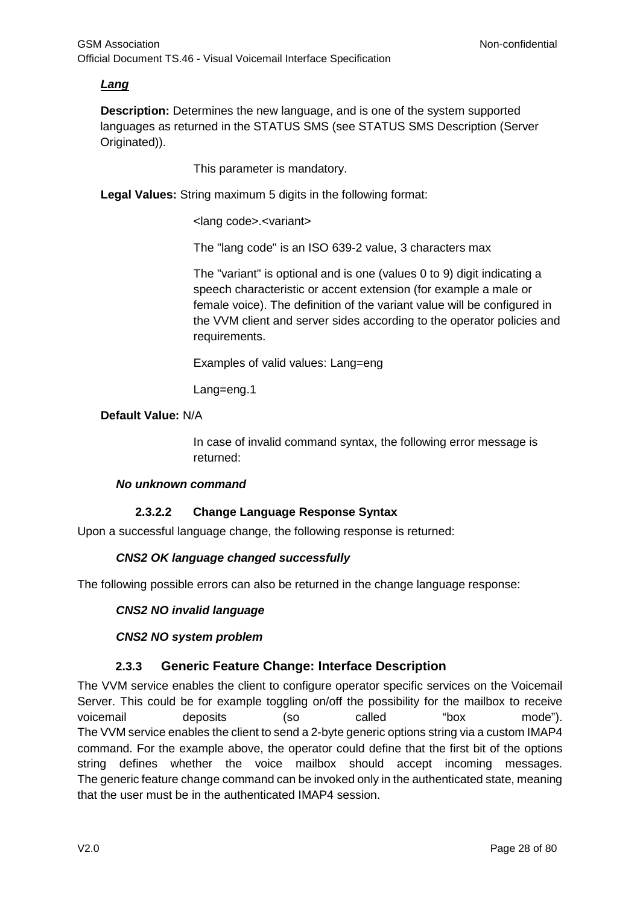## *Lang*

**Description:** Determines the new language, and is one of the system supported languages as returned in the STATUS SMS (see STATUS SMS Description (Server Originated)).

This parameter is mandatory.

**Legal Values:** String maximum 5 digits in the following format:

<lang code>.<variant>

The "lang code" is an ISO 639-2 value, 3 characters max

The "variant" is optional and is one (values 0 to 9) digit indicating a speech characteristic or accent extension (for example a male or female voice). The definition of the variant value will be configured in the VVM client and server sides according to the operator policies and requirements.

Examples of valid values: Lang=eng

Lang=eng.1

## **Default Value:** N/A

In case of invalid command syntax, the following error message is returned:

#### *No unknown command*

## **2.3.2.2 Change Language Response Syntax**

Upon a successful language change, the following response is returned:

## *CNS2 OK language changed successfully*

The following possible errors can also be returned in the change language response:

#### *CNS2 NO invalid language*

#### *CNS2 NO system problem*

## **2.3.3 Generic Feature Change: Interface Description**

<span id="page-27-0"></span>The VVM service enables the client to configure operator specific services on the Voicemail Server. This could be for example toggling on/off the possibility for the mailbox to receive voicemail deposits (so called "box mode"). The VVM service enables the client to send a 2-byte generic options string via a custom IMAP4 command. For the example above, the operator could define that the first bit of the options string defines whether the voice mailbox should accept incoming messages. The generic feature change command can be invoked only in the authenticated state, meaning that the user must be in the authenticated IMAP4 session.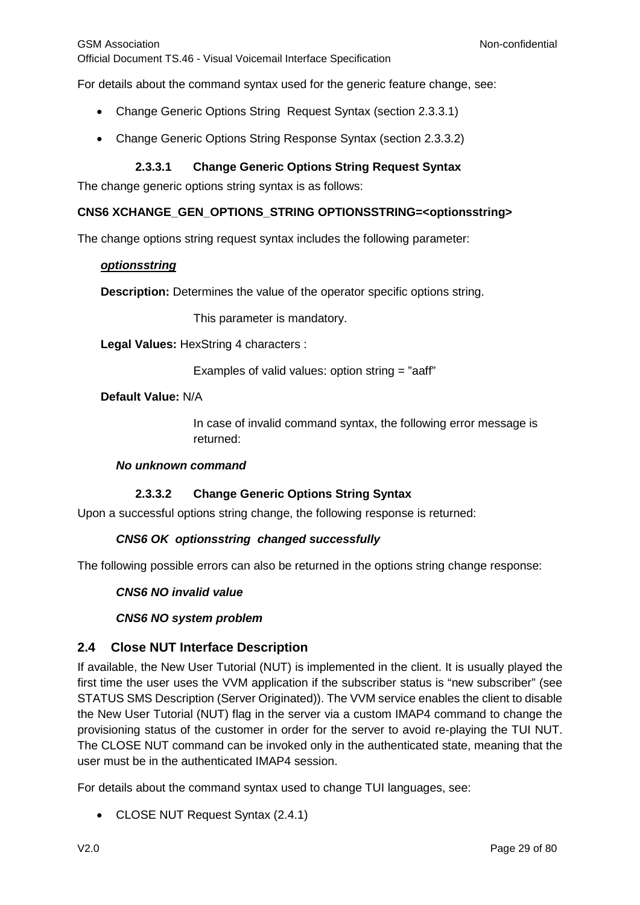For details about the command syntax used for the generic feature change, see:

- Change Generic Options String Request Syntax (section [2.3.3.1\)](#page-28-1)
- Change Generic Options String Response Syntax (section [2.3.3.2\)](#page-28-2)

## **2.3.3.1 Change Generic Options String Request Syntax**

<span id="page-28-1"></span>The change generic options string syntax is as follows:

#### **CNS6 XCHANGE\_GEN\_OPTIONS\_STRING OPTIONSSTRING=<optionsstring>**

The change options string request syntax includes the following parameter:

#### *optionsstring*

**Description:** Determines the value of the operator specific options string.

This parameter is mandatory.

**Legal Values:** HexString 4 characters :

Examples of valid values: option string = "aaff"

#### **Default Value:** N/A

In case of invalid command syntax, the following error message is returned:

#### *No unknown command*

## **2.3.3.2 Change Generic Options String Syntax**

<span id="page-28-2"></span>Upon a successful options string change, the following response is returned:

## *CNS6 OK optionsstring changed successfully*

The following possible errors can also be returned in the options string change response:

#### *CNS6 NO invalid value*

## *CNS6 NO system problem*

## <span id="page-28-0"></span>**2.4 Close NUT Interface Description**

If available, the New User Tutorial (NUT) is implemented in the client. It is usually played the first time the user uses the VVM application if the subscriber status is "new subscriber" (see STATUS SMS Description (Server Originated)). The VVM service enables the client to disable the New User Tutorial (NUT) flag in the server via a custom IMAP4 command to change the provisioning status of the customer in order for the server to avoid re-playing the TUI NUT. The CLOSE NUT command can be invoked only in the authenticated state, meaning that the user must be in the authenticated IMAP4 session.

For details about the command syntax used to change TUI languages, see:

• CLOSE NUT Request Syntax (2.4.1)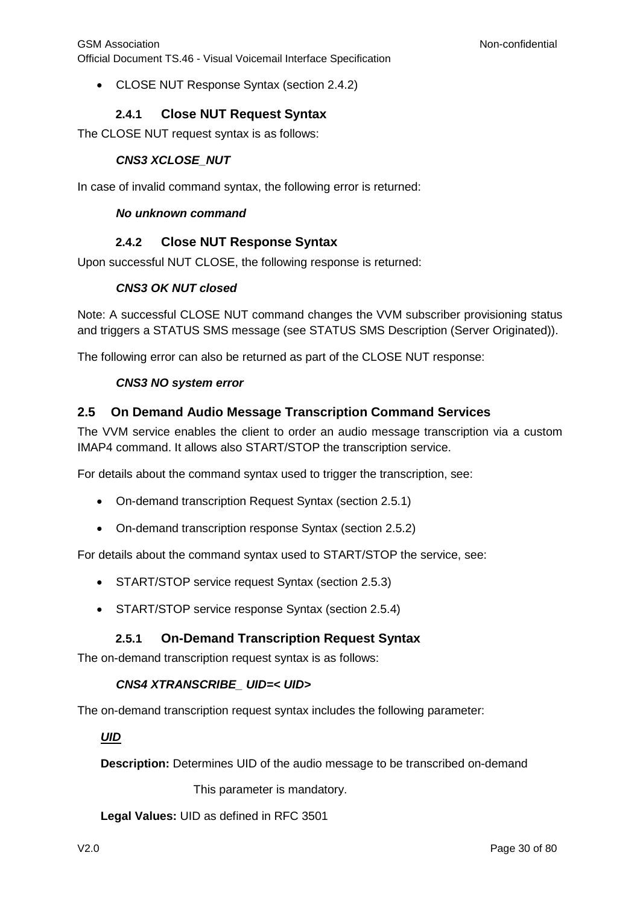• CLOSE NUT Response Syntax (section 2.4.2)

## **2.4.1 Close NUT Request Syntax**

<span id="page-29-0"></span>The CLOSE NUT request syntax is as follows:

## *CNS3 XCLOSE\_NUT*

In case of invalid command syntax, the following error is returned:

#### *No unknown command*

## **2.4.2 Close NUT Response Syntax**

<span id="page-29-1"></span>Upon successful NUT CLOSE, the following response is returned:

## *CNS3 OK NUT closed*

Note: A successful CLOSE NUT command changes the VVM subscriber provisioning status and triggers a STATUS SMS message (see STATUS SMS Description (Server Originated)).

The following error can also be returned as part of the CLOSE NUT response:

## *CNS3 NO system error*

## <span id="page-29-2"></span>**2.5 On Demand Audio Message Transcription Command Services**

The VVM service enables the client to order an audio message transcription via a custom IMAP4 command. It allows also START/STOP the transcription service.

For details about the command syntax used to trigger the transcription, see:

- On-demand transcription Request Syntax (section 2.5.1)
- On-demand transcription response Syntax (section 2.5.2)

For details about the command syntax used to START/STOP the service, see:

- START/STOP service request Syntax (section 2.5.3)
- START/STOP service response Syntax (section 2.5.4)

## **2.5.1 On-Demand Transcription Request Syntax**

<span id="page-29-3"></span>The on-demand transcription request syntax is as follows:

## *CNS4 XTRANSCRIBE\_ UID=< UID>*

The on-demand transcription request syntax includes the following parameter:

#### *UID*

**Description:** Determines UID of the audio message to be transcribed on-demand

This parameter is mandatory.

**Legal Values:** UID as defined in RFC 3501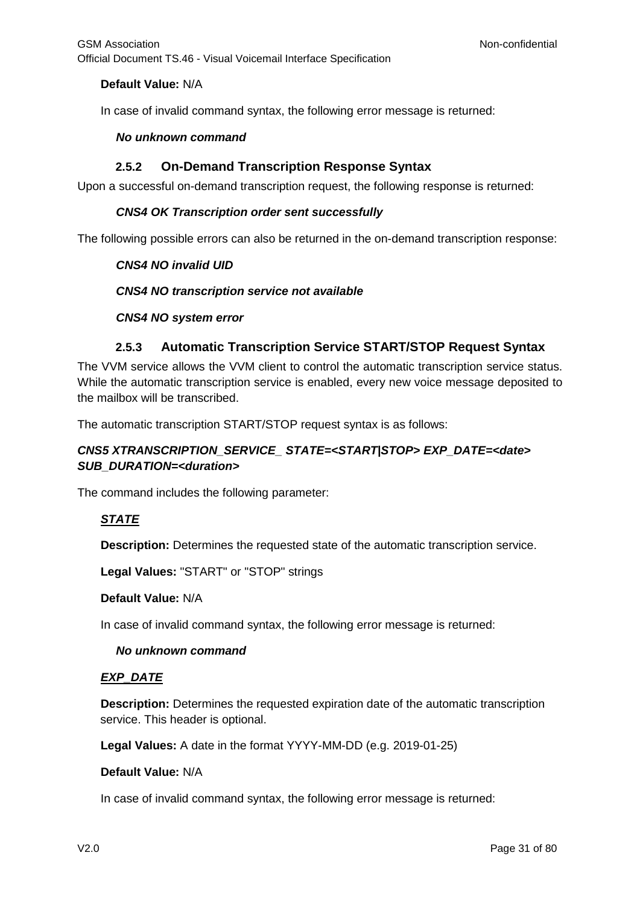## **Default Value:** N/A

In case of invalid command syntax, the following error message is returned:

#### *No unknown command*

## **2.5.2 On-Demand Transcription Response Syntax**

<span id="page-30-0"></span>Upon a successful on-demand transcription request, the following response is returned:

## *CNS4 OK Transcription order sent successfully*

The following possible errors can also be returned in the on-demand transcription response:

#### *CNS4 NO invalid UID*

#### *CNS4 NO transcription service not available*

#### *CNS4 NO system error*

## **2.5.3 Automatic Transcription Service START/STOP Request Syntax**

<span id="page-30-1"></span>The VVM service allows the VVM client to control the automatic transcription service status. While the automatic transcription service is enabled, every new voice message deposited to the mailbox will be transcribed.

The automatic transcription START/STOP request syntax is as follows:

## *CNS5 XTRANSCRIPTION\_SERVICE\_ STATE=<START|STOP> EXP\_DATE=<date> SUB\_DURATION=<duration>*

The command includes the following parameter:

## *STATE*

**Description:** Determines the requested state of the automatic transcription service.

**Legal Values:** "START" or "STOP" strings

#### **Default Value:** N/A

In case of invalid command syntax, the following error message is returned:

#### *No unknown command*

## *EXP\_DATE*

**Description:** Determines the requested expiration date of the automatic transcription service. This header is optional.

**Legal Values:** A date in the format YYYY-MM-DD (e.g. 2019-01-25)

#### **Default Value:** N/A

In case of invalid command syntax, the following error message is returned: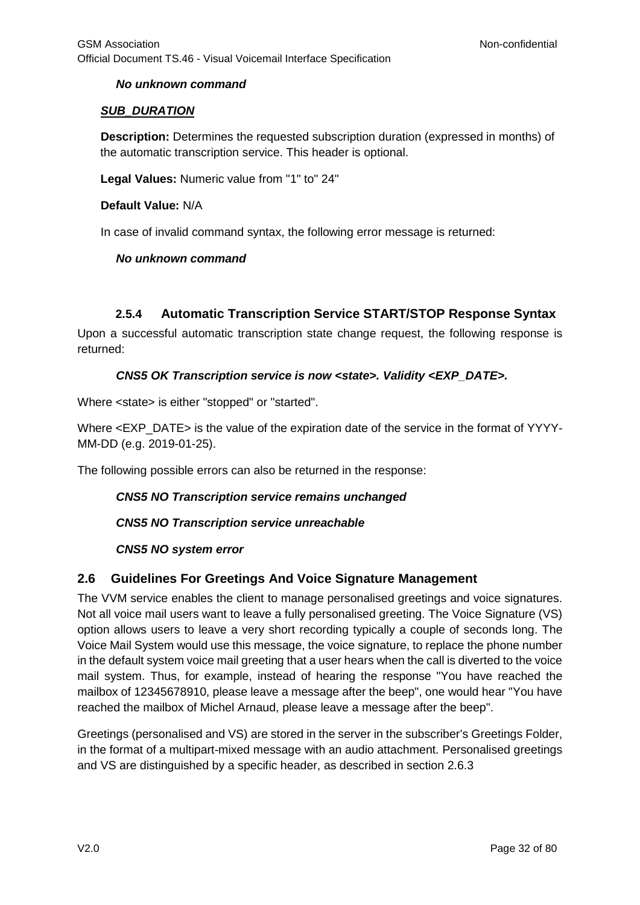## *No unknown command*

## *SUB\_DURATION*

**Description:** Determines the requested subscription duration (expressed in months) of the automatic transcription service. This header is optional.

**Legal Values:** Numeric value from "1" to" 24"

#### **Default Value:** N/A

In case of invalid command syntax, the following error message is returned:

## *No unknown command*

## **2.5.4 Automatic Transcription Service START/STOP Response Syntax**

<span id="page-31-0"></span>Upon a successful automatic transcription state change request, the following response is returned:

## *CNS5 OK Transcription service is now <state>. Validity <EXP\_DATE>.*

Where <state> is either "stopped" or "started".

Where <EXP\_DATE> is the value of the expiration date of the service in the format of YYYY-MM-DD (e.g. 2019-01-25).

The following possible errors can also be returned in the response:

#### *CNS5 NO Transcription service remains unchanged*

*CNS5 NO Transcription service unreachable*

## *CNS5 NO system error*

## <span id="page-31-1"></span>**2.6 Guidelines For Greetings And Voice Signature Management**

The VVM service enables the client to manage personalised greetings and voice signatures. Not all voice mail users want to leave a fully personalised greeting. The Voice Signature (VS) option allows users to leave a very short recording typically a couple of seconds long. The Voice Mail System would use this message, the voice signature, to replace the phone number in the default system voice mail greeting that a user hears when the call is diverted to the voice mail system. Thus, for example, instead of hearing the response "You have reached the mailbox of 12345678910, please leave a message after the beep", one would hear "You have reached the mailbox of Michel Arnaud, please leave a message after the beep".

Greetings (personalised and VS) are stored in the server in the subscriber's Greetings Folder, in the format of a multipart-mixed message with an audio attachment. Personalised greetings and VS are distinguished by a specific header, as described in section 2.6.3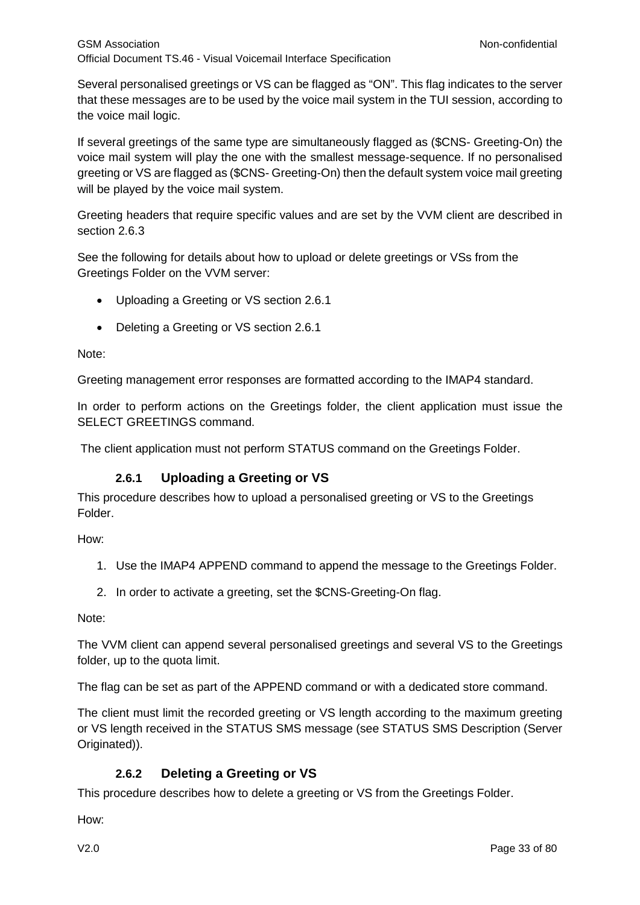Several personalised greetings or VS can be flagged as "ON". This flag indicates to the server that these messages are to be used by the voice mail system in the TUI session, according to the voice mail logic.

If several greetings of the same type are simultaneously flagged as (\$CNS- Greeting-On) the voice mail system will play the one with the smallest message-sequence. If no personalised greeting or VS are flagged as (\$CNS- Greeting-On) then the default system voice mail greeting will be played by the voice mail system.

Greeting headers that require specific values and are set by the VVM client are described in section 2.6.3

See the following for details about how to upload or delete greetings or VSs from the Greetings Folder on the VVM server:

- Uploading a Greeting or VS section 2.6.1
- Deleting a Greeting or VS section 2.6.1

Note:

Greeting management error responses are formatted according to the IMAP4 standard.

In order to perform actions on the Greetings folder, the client application must issue the SELECT GREETINGS command.

The client application must not perform STATUS command on the Greetings Folder.

## **2.6.1 Uploading a Greeting or VS**

<span id="page-32-0"></span>This procedure describes how to upload a personalised greeting or VS to the Greetings Folder.

How:

- 1. Use the IMAP4 APPEND command to append the message to the Greetings Folder.
- 2. In order to activate a greeting, set the \$CNS-Greeting-On flag.

Note:

The VVM client can append several personalised greetings and several VS to the Greetings folder, up to the quota limit.

The flag can be set as part of the APPEND command or with a dedicated store command.

The client must limit the recorded greeting or VS length according to the maximum greeting or VS length received in the STATUS SMS message (see STATUS SMS Description (Server Originated)).

## **2.6.2 Deleting a Greeting or VS**

<span id="page-32-1"></span>This procedure describes how to delete a greeting or VS from the Greetings Folder.

How: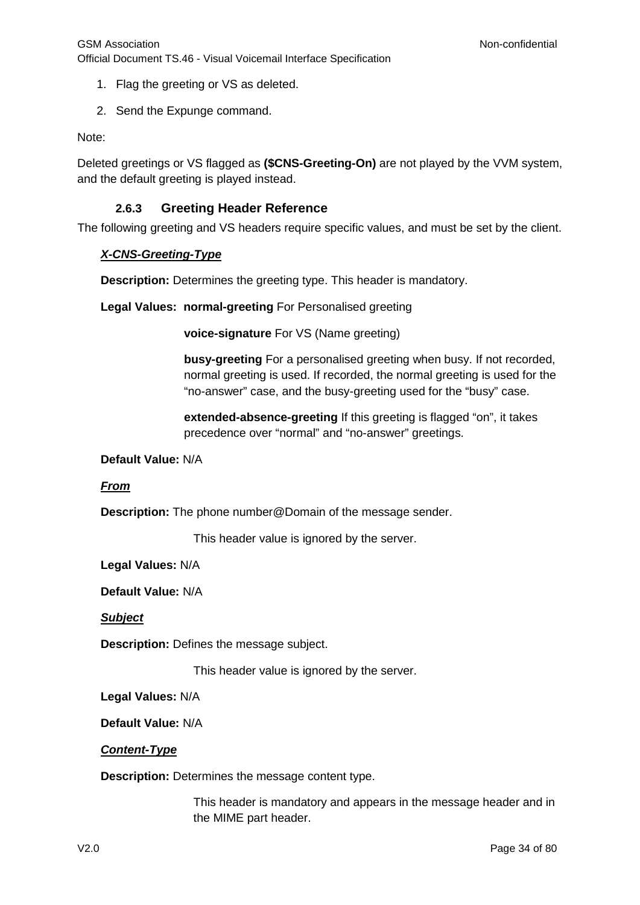- 1. Flag the greeting or VS as deleted.
- 2. Send the Expunge command.

Note:

Deleted greetings or VS flagged as **(\$CNS-Greeting-On)** are not played by the VVM system, and the default greeting is played instead.

## **2.6.3 Greeting Header Reference**

<span id="page-33-0"></span>The following greeting and VS headers require specific values, and must be set by the client.

#### *X-CNS-Greeting-Type*

**Description:** Determines the greeting type. This header is mandatory.

**Legal Values: normal-greeting** For Personalised greeting

**voice-signature** For VS (Name greeting)

**busy-greeting** For a personalised greeting when busy. If not recorded, normal greeting is used. If recorded, the normal greeting is used for the "no-answer" case, and the busy-greeting used for the "busy" case.

**extended-absence-greeting** If this greeting is flagged "on", it takes precedence over "normal" and "no-answer" greetings.

#### **Default Value:** N/A

#### *From*

**Description:** The phone number@Domain of the message sender.

This header value is ignored by the server.

**Legal Values:** N/A

**Default Value:** N/A

*Subject*

**Description:** Defines the message subject.

This header value is ignored by the server.

**Legal Values:** N/A

**Default Value:** N/A

#### *Content-Type*

**Description:** Determines the message content type.

This header is mandatory and appears in the message header and in the MIME part header.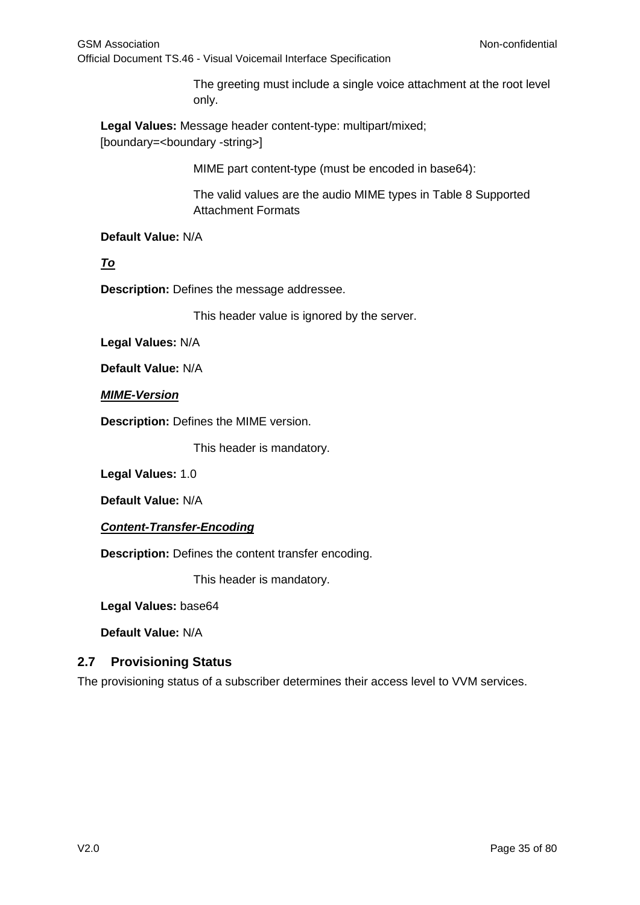The greeting must include a single voice attachment at the root level only.

**Legal Values:** Message header content-type: multipart/mixed; [boundary=<br/>>boundary -string>]

MIME part content-type (must be encoded in base64):

The valid values are the audio MIME types in Table 8 Supported Attachment Formats

**Default Value:** N/A

*To*

**Description:** Defines the message addressee.

This header value is ignored by the server.

**Legal Values:** N/A

**Default Value:** N/A

*MIME-Version*

**Description:** Defines the MIME version.

This header is mandatory.

**Legal Values:** 1.0

**Default Value:** N/A

*Content-Transfer-Encoding*

**Description:** Defines the content transfer encoding.

This header is mandatory.

**Legal Values:** base64

**Default Value:** N/A

## <span id="page-34-0"></span>**2.7 Provisioning Status**

The provisioning status of a subscriber determines their access level to VVM services.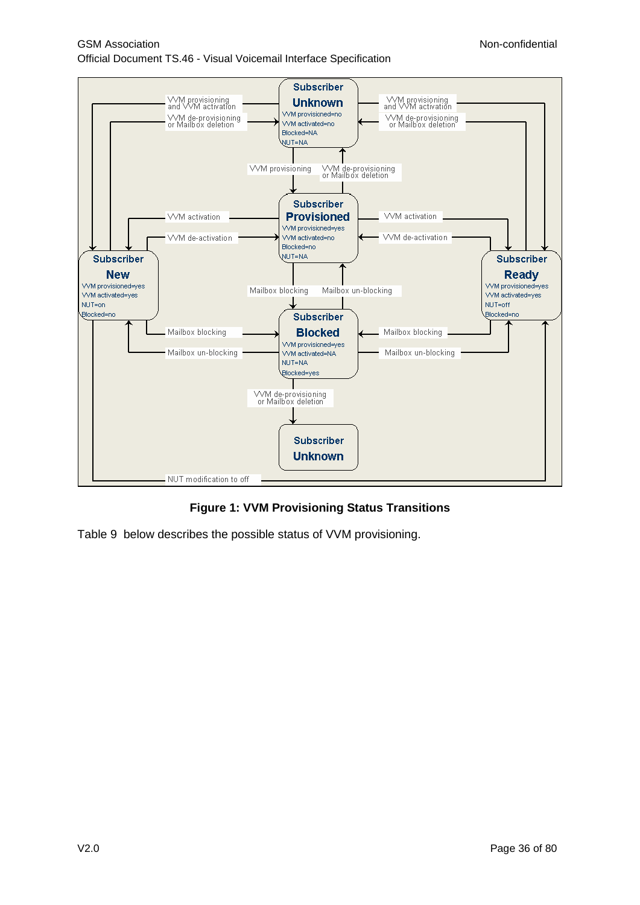GSM Association **Non-confidential** Official Document TS.46 - Visual Voicemail Interface Specification



**Figure 1: VVM Provisioning Status Transitions**

Table 9 below describes the possible status of VVM provisioning.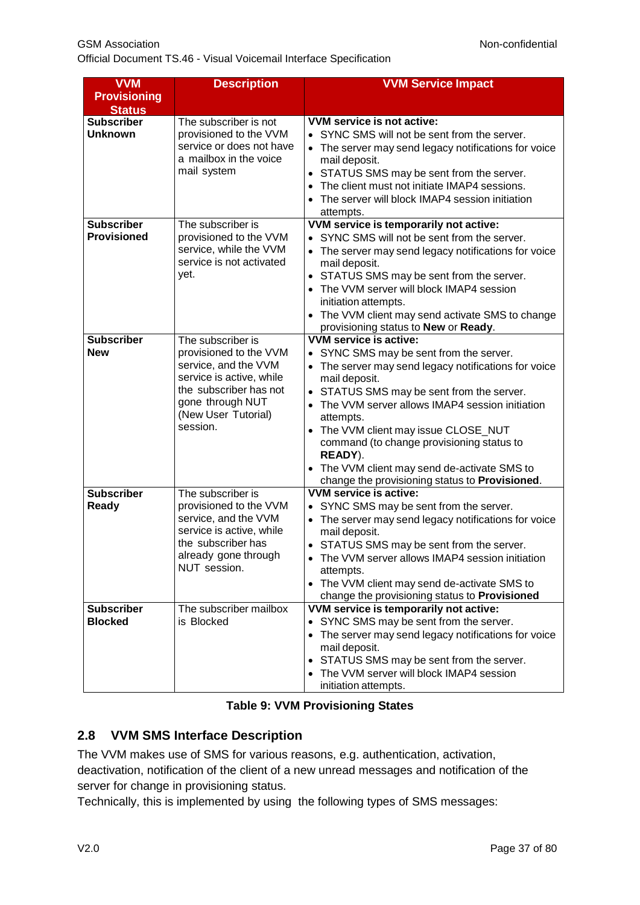Official Document TS.46 - Visual Voicemail Interface Specification

| <b>VVM</b>                              | <b>Description</b>                                                                                                                                                               | <b>VVM Service Impact</b>                                                                                                                                                                                                                                                                                                                                                                                                                                            |
|-----------------------------------------|----------------------------------------------------------------------------------------------------------------------------------------------------------------------------------|----------------------------------------------------------------------------------------------------------------------------------------------------------------------------------------------------------------------------------------------------------------------------------------------------------------------------------------------------------------------------------------------------------------------------------------------------------------------|
| <b>Provisioning</b><br><b>Status</b>    |                                                                                                                                                                                  |                                                                                                                                                                                                                                                                                                                                                                                                                                                                      |
| <b>Subscriber</b><br><b>Unknown</b>     | The subscriber is not<br>provisioned to the VVM<br>service or does not have<br>a mailbox in the voice<br>mail system                                                             | VVM service is not active:<br>• SYNC SMS will not be sent from the server.<br>The server may send legacy notifications for voice<br>$\bullet$<br>mail deposit.<br>STATUS SMS may be sent from the server.<br>$\bullet$<br>The client must not initiate IMAP4 sessions.<br>$\bullet$<br>The server will block IMAP4 session initiation<br>$\bullet$<br>attempts.                                                                                                      |
| <b>Subscriber</b><br><b>Provisioned</b> | The subscriber is<br>provisioned to the VVM<br>service, while the VVM<br>service is not activated<br>yet.                                                                        | VVM service is temporarily not active:<br>• SYNC SMS will not be sent from the server.<br>The server may send legacy notifications for voice<br>$\bullet$<br>mail deposit.<br>STATUS SMS may be sent from the server.<br>$\bullet$<br>The VVM server will block IMAP4 session<br>$\bullet$<br>initiation attempts.<br>The VVM client may send activate SMS to change<br>$\bullet$<br>provisioning status to New or Ready.                                            |
| <b>Subscriber</b><br><b>New</b>         | The subscriber is<br>provisioned to the VVM<br>service, and the VVM<br>service is active, while<br>the subscriber has not<br>gone through NUT<br>(New User Tutorial)<br>session. | <b>VVM service is active:</b><br>• SYNC SMS may be sent from the server.<br>The server may send legacy notifications for voice<br>mail deposit.<br>STATUS SMS may be sent from the server.<br>The VVM server allows IMAP4 session initiation<br>attempts.<br>The VVM client may issue CLOSE_NUT<br>command (to change provisioning status to<br>READY).<br>The VVM client may send de-activate SMS to<br>$\bullet$<br>change the provisioning status to Provisioned. |
| <b>Subscriber</b><br>Ready              | The subscriber is<br>provisioned to the VVM<br>service, and the VVM<br>service is active, while<br>the subscriber has<br>already gone through<br>NUT session.                    | VVM service is active:<br>SYNC SMS may be sent from the server.<br>The server may send legacy notifications for voice<br>mail deposit.<br>STATUS SMS may be sent from the server.<br>The VVM server allows IMAP4 session initiation<br>attempts.<br>• The VVM client may send de-activate SMS to<br>change the provisioning status to Provisioned                                                                                                                    |
| <b>Subscriber</b><br><b>Blocked</b>     | The subscriber mailbox<br>is Blocked                                                                                                                                             | VVM service is temporarily not active:<br>SYNC SMS may be sent from the server.<br>$\bullet$<br>The server may send legacy notifications for voice<br>$\bullet$<br>mail deposit.<br>STATUS SMS may be sent from the server.<br>$\bullet$<br>The VVM server will block IMAP4 session<br>initiation attempts.                                                                                                                                                          |

### **Table 9: VVM Provisioning States**

## **2.8 VVM SMS Interface Description**

The VVM makes use of SMS for various reasons, e.g. authentication, activation, deactivation, notification of the client of a new unread messages and notification of the server for change in provisioning status.

Technically, this is implemented by using the following types of SMS messages: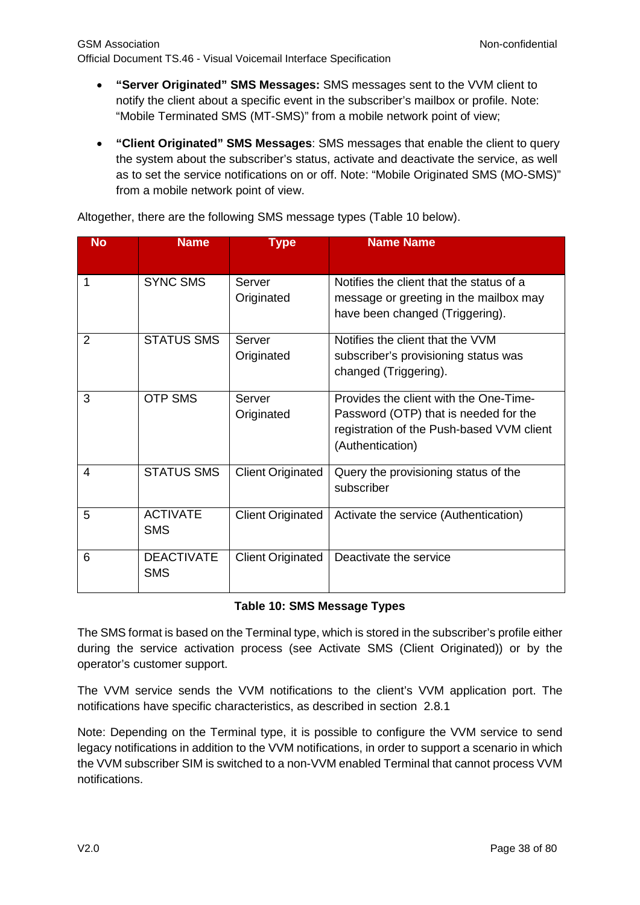- **"Server Originated" SMS Messages:** SMS messages sent to the VVM client to notify the client about a specific event in the subscriber's mailbox or profile. Note: "Mobile Terminated SMS (MT-SMS)" from a mobile network point of view;
- **"Client Originated" SMS Messages**: SMS messages that enable the client to query the system about the subscriber's status, activate and deactivate the service, as well as to set the service notifications on or off. Note: "Mobile Originated SMS (MO-SMS)" from a mobile network point of view.

| <b>No</b>      | <b>Name</b>       | <b>Type</b>              | <b>Name Name</b>                          |
|----------------|-------------------|--------------------------|-------------------------------------------|
|                |                   |                          |                                           |
|                | <b>SYNC SMS</b>   | Server                   | Notifies the client that the status of a  |
|                |                   | Originated               | message or greeting in the mailbox may    |
|                |                   |                          | have been changed (Triggering).           |
| $\overline{2}$ | <b>STATUS SMS</b> | Server                   | Notifies the client that the VVM          |
|                |                   | Originated               | subscriber's provisioning status was      |
|                |                   |                          | changed (Triggering).                     |
| 3              | <b>OTP SMS</b>    | Server                   | Provides the client with the One-Time-    |
|                |                   | Originated               | Password (OTP) that is needed for the     |
|                |                   |                          | registration of the Push-based VVM client |
|                |                   |                          | (Authentication)                          |
| 4              | <b>STATUS SMS</b> | <b>Client Originated</b> | Query the provisioning status of the      |
|                |                   |                          | subscriber                                |
| 5              | <b>ACTIVATE</b>   | <b>Client Originated</b> | Activate the service (Authentication)     |
|                | <b>SMS</b>        |                          |                                           |
| 6              | <b>DEACTIVATE</b> | <b>Client Originated</b> | Deactivate the service                    |
|                | <b>SMS</b>        |                          |                                           |

Altogether, there are the following SMS message types [\(Table 10](#page-37-0) below).

### **Table 10: SMS Message Types**

<span id="page-37-0"></span>The SMS format is based on the Terminal type, which is stored in the subscriber's profile either during the service activation process (see Activate SMS (Client Originated)) or by the operator's customer support.

The VVM service sends the VVM notifications to the client's VVM application port. The notifications have specific characteristics, as described in section [2.8.1](#page-38-0)

Note: Depending on the Terminal type, it is possible to configure the VVM service to send legacy notifications in addition to the VVM notifications, in order to support a scenario in which the VVM subscriber SIM is switched to a non-VVM enabled Terminal that cannot process VVM notifications.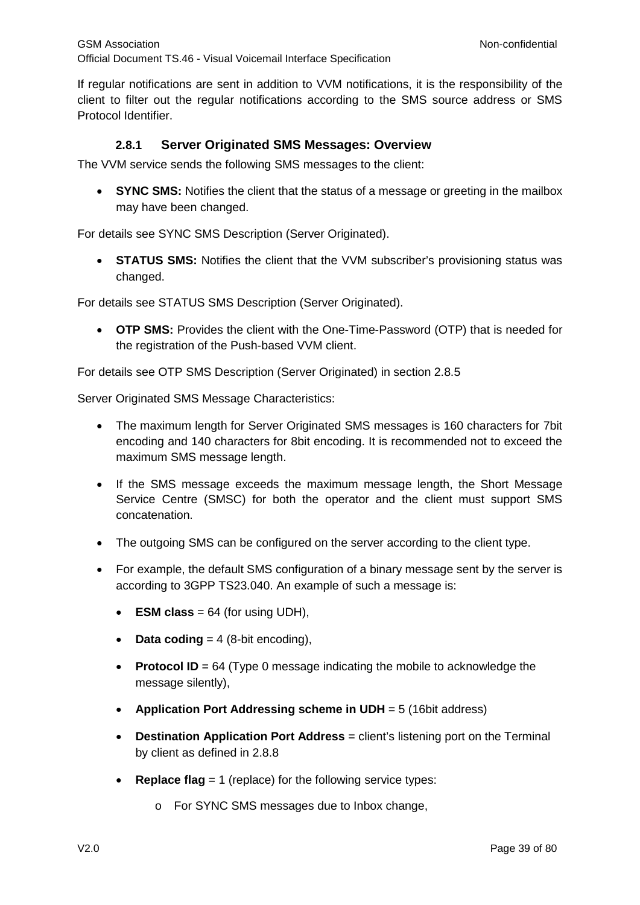If regular notifications are sent in addition to VVM notifications, it is the responsibility of the client to filter out the regular notifications according to the SMS source address or SMS Protocol Identifier.

## **2.8.1 Server Originated SMS Messages: Overview**

<span id="page-38-0"></span>The VVM service sends the following SMS messages to the client:

**SYNC SMS:** Notifies the client that the status of a message or greeting in the mailbox may have been changed.

For details see SYNC SMS Description (Server Originated).

• **STATUS SMS:** Notifies the client that the VVM subscriber's provisioning status was changed.

For details see STATUS SMS Description (Server Originated).

• **OTP SMS:** Provides the client with the One-Time-Password (OTP) that is needed for the registration of the Push-based VVM client.

For details see OTP SMS Description (Server Originated) in section 2.8.5

Server Originated SMS Message Characteristics:

- The maximum length for Server Originated SMS messages is 160 characters for 7bit encoding and 140 characters for 8bit encoding. It is recommended not to exceed the maximum SMS message length.
- If the SMS message exceeds the maximum message length, the Short Message Service Centre (SMSC) for both the operator and the client must support SMS concatenation.
- The outgoing SMS can be configured on the server according to the client type.
- For example, the default SMS configuration of a binary message sent by the server is according to 3GPP TS23.040. An example of such a message is:
	- **ESM class** =  $64$  (for using UDH),
	- **Data coding** =  $4$  (8-bit encoding),
	- **Protocol ID** = 64 (Type 0 message indicating the mobile to acknowledge the message silently),
	- **Application Port Addressing scheme in UDH** = 5 (16bit address)
	- **Destination Application Port Address** = client's listening port on the Terminal by client as defined in [2.8.8](#page-54-0)
	- **Replace flag** = 1 (replace) for the following service types:
		- o For SYNC SMS messages due to Inbox change,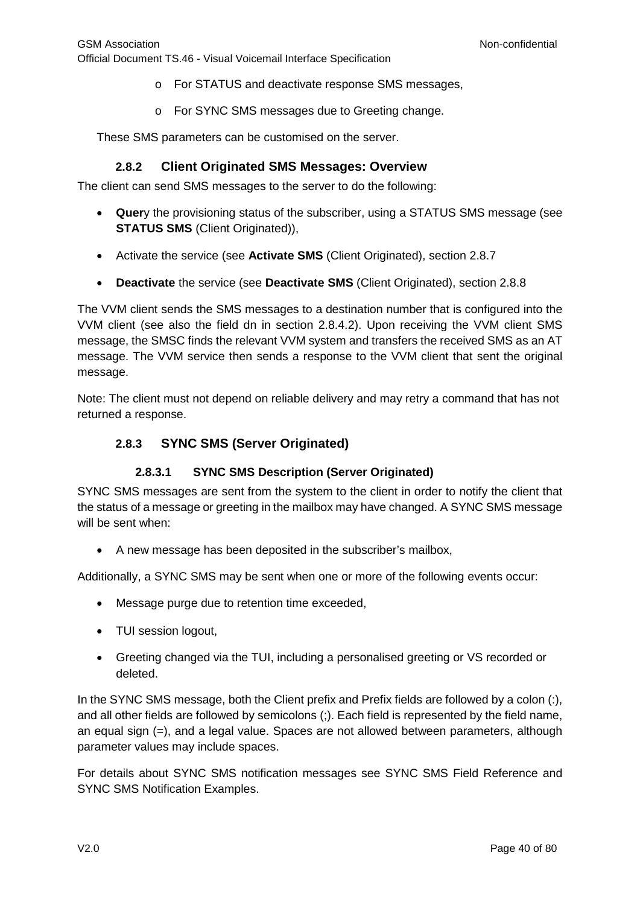- o For STATUS and deactivate response SMS messages,
- o For SYNC SMS messages due to Greeting change.

These SMS parameters can be customised on the server.

### **2.8.2 Client Originated SMS Messages: Overview**

<span id="page-39-0"></span>The client can send SMS messages to the server to do the following:

- **Quer**y the provisioning status of the subscriber, using a STATUS SMS message (see **STATUS SMS** (Client Originated)),
- Activate the service (see **Activate SMS** (Client Originated), section [2.8.7](#page-52-0)
- **Deactivate** the service (see **Deactivate SMS** (Client Originated), section [2.8.8](#page-54-0)

The VVM client sends the SMS messages to a destination number that is configured into the VVM client (see also the field dn in section [2.8.4.2\)](#page-43-0). Upon receiving the VVM client SMS message, the SMSC finds the relevant VVM system and transfers the received SMS as an AT message. The VVM service then sends a response to the VVM client that sent the original message.

Note: The client must not depend on reliable delivery and may retry a command that has not returned a response.

### **2.8.3 SYNC SMS (Server Originated)**

### **2.8.3.1 SYNC SMS Description (Server Originated)**

SYNC SMS messages are sent from the system to the client in order to notify the client that the status of a message or greeting in the mailbox may have changed. A SYNC SMS message will be sent when:

• A new message has been deposited in the subscriber's mailbox,

Additionally, a SYNC SMS may be sent when one or more of the following events occur:

- Message purge due to retention time exceeded,
- TUI session logout,
- Greeting changed via the TUI, including a personalised greeting or VS recorded or deleted.

In the SYNC SMS message, both the Client prefix and Prefix fields are followed by a colon (:), and all other fields are followed by semicolons (;). Each field is represented by the field name, an equal sign (=), and a legal value. Spaces are not allowed between parameters, although parameter values may include spaces.

For details about SYNC SMS notification messages see SYNC SMS Field Reference and SYNC SMS Notification Examples.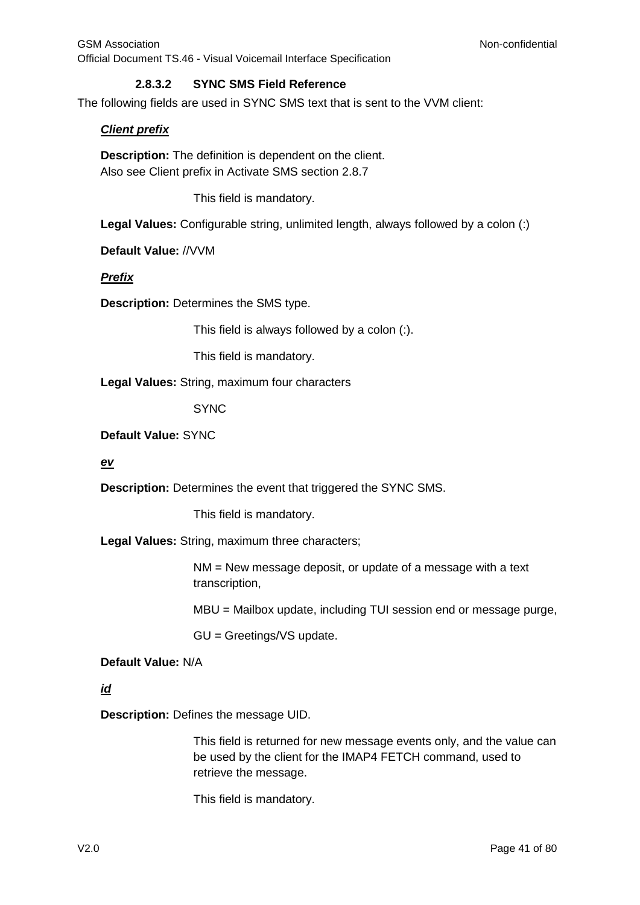#### **2.8.3.2 SYNC SMS Field Reference**

<span id="page-40-0"></span>The following fields are used in SYNC SMS text that is sent to the VVM client:

#### *Client prefix*

**Description:** The definition is dependent on the client. Also see Client prefix in Activate SMS section [2.8.7](#page-52-0)

This field is mandatory.

**Legal Values:** Configurable string, unlimited length, always followed by a colon (:)

**Default Value:** //VVM

#### *Prefix*

**Description:** Determines the SMS type.

This field is always followed by a colon (:).

This field is mandatory.

**Legal Values:** String, maximum four characters

**SYNC** 

**Default Value:** SYNC

#### *ev*

**Description:** Determines the event that triggered the SYNC SMS.

This field is mandatory.

**Legal Values:** String, maximum three characters;

NM = New message deposit, or update of a message with a text transcription,

MBU = Mailbox update, including TUI session end or message purge,

GU = Greetings/VS update.

#### **Default Value:** N/A

*id*

**Description:** Defines the message UID.

This field is returned for new message events only, and the value can be used by the client for the IMAP4 FETCH command, used to retrieve the message.

This field is mandatory.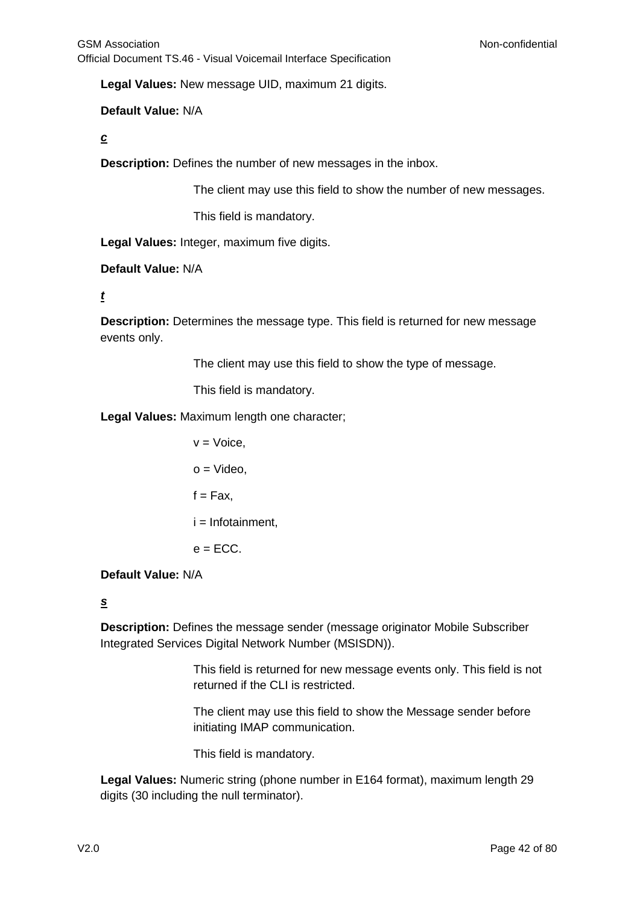**Legal Values:** New message UID, maximum 21 digits.

### **Default Value:** N/A

#### *c*

**Description:** Defines the number of new messages in the inbox.

The client may use this field to show the number of new messages.

This field is mandatory.

**Legal Values:** Integer, maximum five digits.

### **Default Value:** N/A

### *t*

**Description:** Determines the message type. This field is returned for new message events only.

The client may use this field to show the type of message.

This field is mandatory.

**Legal Values:** Maximum length one character;

 $v = \text{Voice}$ .  $o =$  Video.  $f = Fax$ .  $i =$  Infotainment.  $e = FCC$ .

### **Default Value:** N/A

### *s*

**Description:** Defines the message sender (message originator Mobile Subscriber Integrated Services Digital Network Number (MSISDN)).

> This field is returned for new message events only. This field is not returned if the CLI is restricted.

The client may use this field to show the Message sender before initiating IMAP communication.

This field is mandatory.

**Legal Values:** Numeric string (phone number in E164 format), maximum length 29 digits (30 including the null terminator).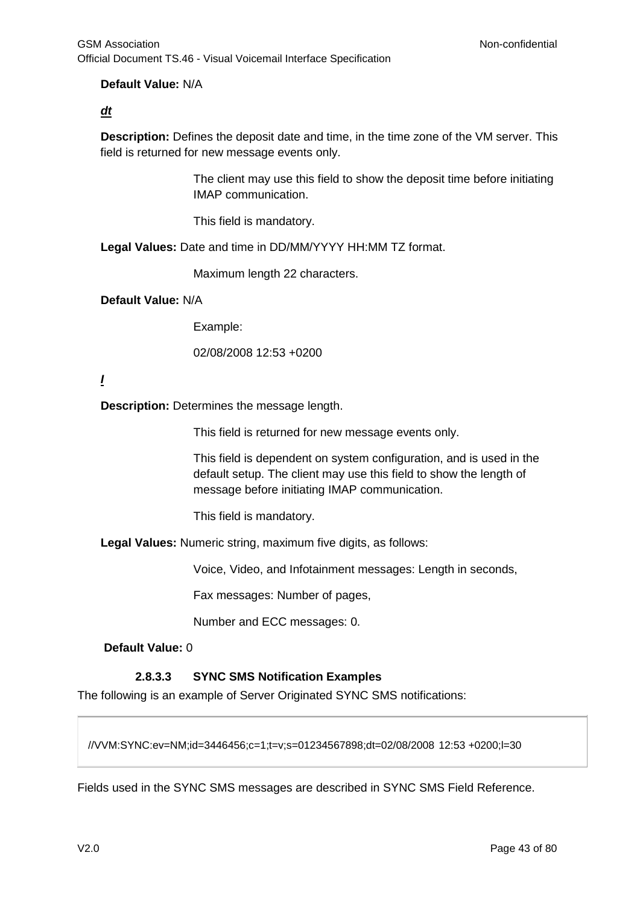### **Default Value:** N/A

### *dt*

**Description:** Defines the deposit date and time, in the time zone of the VM server. This field is returned for new message events only.

> The client may use this field to show the deposit time before initiating IMAP communication.

This field is mandatory.

**Legal Values:** Date and time in DD/MM/YYYY HH:MM TZ format.

Maximum length 22 characters.

### **Default Value:** N/A

Example:

02/08/2008 12:53 +0200

### *I*

**Description:** Determines the message length.

This field is returned for new message events only.

This field is dependent on system configuration, and is used in the default setup. The client may use this field to show the length of message before initiating IMAP communication.

This field is mandatory.

**Legal Values:** Numeric string, maximum five digits, as follows:

Voice, Video, and Infotainment messages: Length in seconds,

Fax messages: Number of pages,

Number and ECC messages: 0.

### **Default Value:** 0

### **2.8.3.3 SYNC SMS Notification Examples**

<span id="page-42-0"></span>The following is an example of Server Originated SYNC SMS notifications:

//VVM:SYNC:ev=NM;id=3446456;c=1;t=v;s=01234567898;dt=02/08/2008 12:53 +0200;l=30

Fields used in the SYNC SMS messages are described in SYNC SMS Field Reference.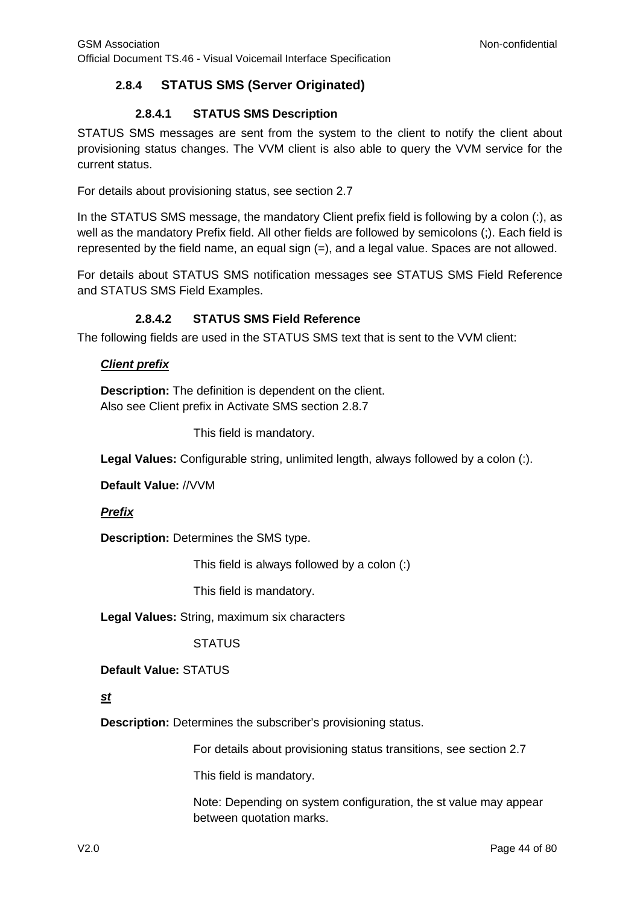## <span id="page-43-1"></span>**2.8.4 STATUS SMS (Server Originated)**

### **2.8.4.1 STATUS SMS Description**

STATUS SMS messages are sent from the system to the client to notify the client about provisioning status changes. The VVM client is also able to query the VVM service for the current status.

For details about provisioning status, see section [2.7](#page-34-0)

In the STATUS SMS message, the mandatory Client prefix field is following by a colon (:), as well as the mandatory Prefix field. All other fields are followed by semicolons (;). Each field is represented by the field name, an equal sign (=), and a legal value. Spaces are not allowed.

For details about STATUS SMS notification messages see STATUS SMS Field Reference and STATUS SMS Field Examples.

### **2.8.4.2 STATUS SMS Field Reference**

<span id="page-43-0"></span>The following fields are used in the STATUS SMS text that is sent to the VVM client:

### *Client prefix*

**Description:** The definition is dependent on the client. Also see Client prefix in Activate SMS section [2.8.7](#page-52-0)

This field is mandatory.

**Legal Values:** Configurable string, unlimited length, always followed by a colon (:).

**Default Value:** //VVM

### *Prefix*

**Description:** Determines the SMS type.

This field is always followed by a colon (:)

This field is mandatory.

**Legal Values:** String, maximum six characters

### **STATUS**

**Default Value:** STATUS

### *st*

**Description:** Determines the subscriber's provisioning status.

For details about provisioning status transitions, see section [2.7](#page-34-0)

This field is mandatory.

Note: Depending on system configuration, the st value may appear between quotation marks.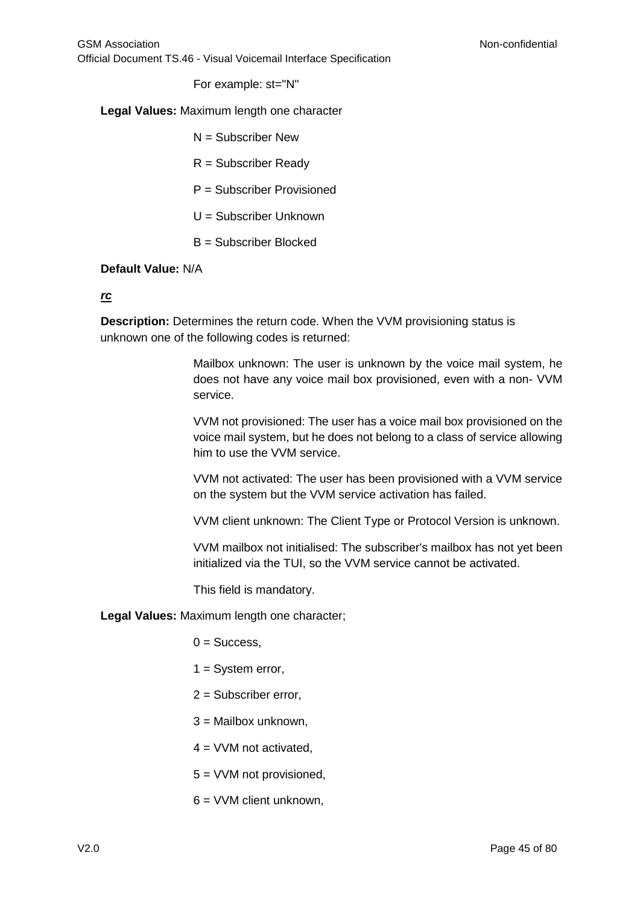For example: st="N"

**Legal Values:** Maximum length one character

- $N =$  Subscriber New
- R = Subscriber Ready
- P = Subscriber Provisioned
- U = Subscriber Unknown
- B = Subscriber Blocked

#### **Default Value:** N/A

#### *rc*

**Description:** Determines the return code. When the VVM provisioning status is unknown one of the following codes is returned:

> Mailbox unknown: The user is unknown by the voice mail system, he does not have any voice mail box provisioned, even with a non- VVM service.

> VVM not provisioned: The user has a voice mail box provisioned on the voice mail system, but he does not belong to a class of service allowing him to use the VVM service.

> VVM not activated: The user has been provisioned with a VVM service on the system but the VVM service activation has failed.

> VVM client unknown: The Client Type or Protocol Version is unknown.

VVM mailbox not initialised: The subscriber's mailbox has not yet been initialized via the TUI, so the VVM service cannot be activated.

This field is mandatory.

**Legal Values:** Maximum length one character;

 $0 =$  Success.

- $1 =$  System error,
- 2 = Subscriber error,
- 3 = Mailbox unknown,
- $4 = VVM$  not activated.
- 5 = VVM not provisioned,
- 6 = VVM client unknown,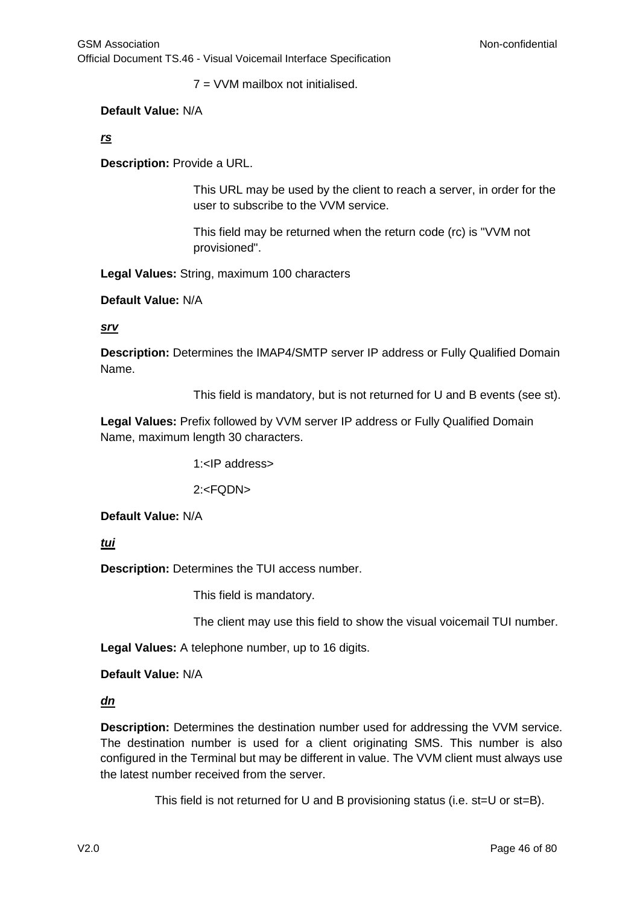7 = VVM mailbox not initialised.

#### **Default Value:** N/A

### *rs*

**Description:** Provide a URL.

This URL may be used by the client to reach a server, in order for the user to subscribe to the VVM service.

This field may be returned when the return code (rc) is "VVM not provisioned".

**Legal Values:** String, maximum 100 characters

**Default Value:** N/A

*srv*

**Description:** Determines the IMAP4/SMTP server IP address or Fully Qualified Domain Name.

This field is mandatory, but is not returned for U and B events (see st).

**Legal Values:** Prefix followed by VVM server IP address or Fully Qualified Domain Name, maximum length 30 characters.

1:<IP address>

2:<FQDN>

**Default Value:** N/A

*tui*

**Description:** Determines the TUI access number.

This field is mandatory.

The client may use this field to show the visual voicemail TUI number.

**Legal Values:** A telephone number, up to 16 digits.

**Default Value:** N/A

*dn*

**Description:** Determines the destination number used for addressing the VVM service. The destination number is used for a client originating SMS. This number is also configured in the Terminal but may be different in value. The VVM client must always use the latest number received from the server.

This field is not returned for U and B provisioning status (i.e. st=U or st=B).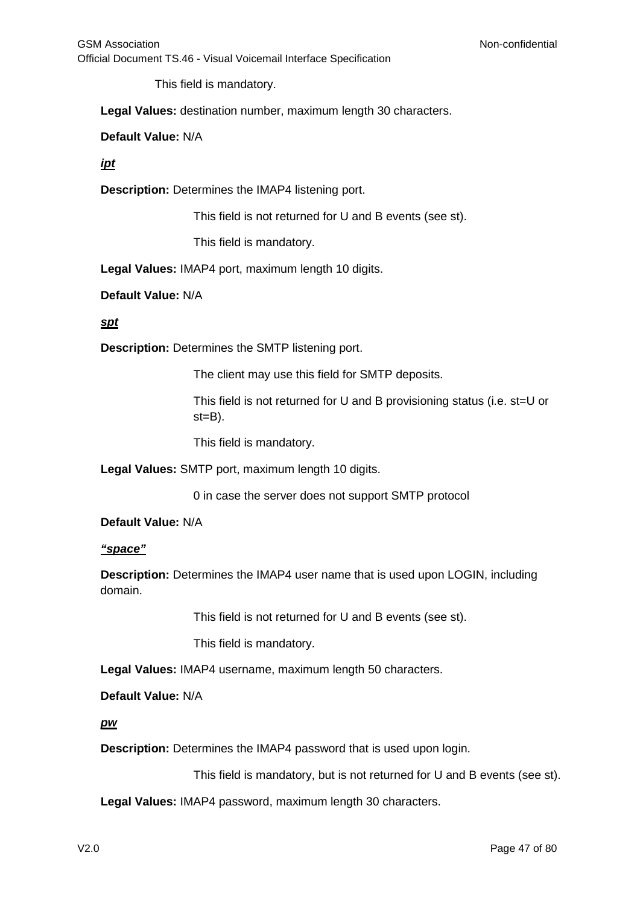GSM Association **Non-confidential** Official Document TS.46 - Visual Voicemail Interface Specification

This field is mandatory.

**Legal Values:** destination number, maximum length 30 characters.

**Default Value:** N/A

#### *ipt*

**Description:** Determines the IMAP4 listening port.

This field is not returned for U and B events (see st).

This field is mandatory.

**Legal Values:** IMAP4 port, maximum length 10 digits.

#### **Default Value:** N/A

### *spt*

**Description:** Determines the SMTP listening port.

The client may use this field for SMTP deposits.

This field is not returned for U and B provisioning status (i.e. st=U or  $st = B$ ).

This field is mandatory.

**Legal Values:** SMTP port, maximum length 10 digits.

0 in case the server does not support SMTP protocol

#### **Default Value:** N/A

#### *"space"*

**Description:** Determines the IMAP4 user name that is used upon LOGIN, including domain.

This field is not returned for U and B events (see st).

This field is mandatory.

**Legal Values:** IMAP4 username, maximum length 50 characters.

**Default Value:** N/A

*pw*

**Description:** Determines the IMAP4 password that is used upon login.

This field is mandatory, but is not returned for U and B events (see st).

**Legal Values:** IMAP4 password, maximum length 30 characters.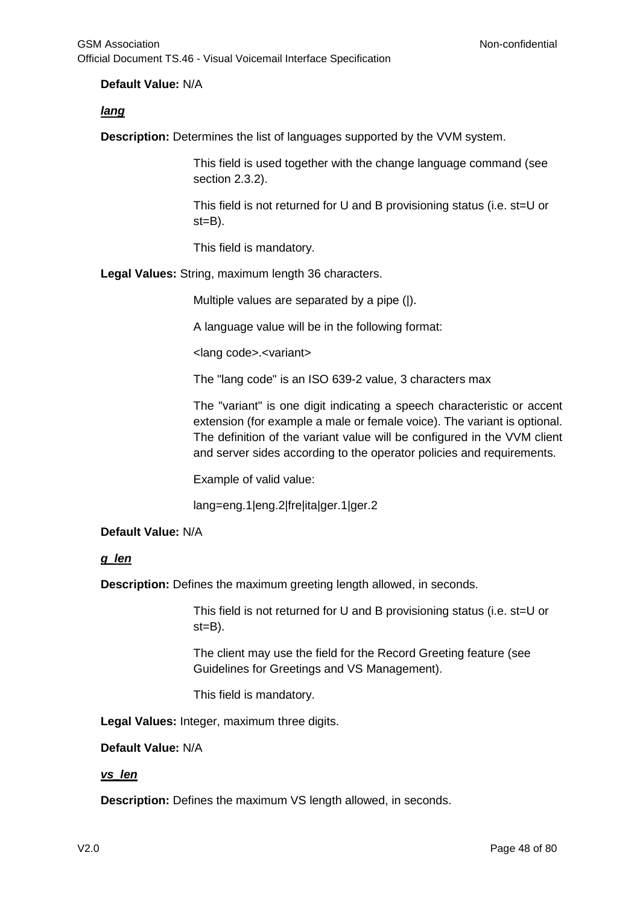### **Default Value:** N/A

### *lang*

**Description:** Determines the list of languages supported by the VVM system.

This field is used together with the change language command (see section [2.3.2\)](#page-26-0).

This field is not returned for U and B provisioning status (i.e. st=U or st=B).

This field is mandatory.

**Legal Values:** String, maximum length 36 characters.

Multiple values are separated by a pipe (|).

A language value will be in the following format:

<lang code>.<variant>

The "lang code" is an ISO 639-2 value, 3 characters max

The "variant" is one digit indicating a speech characteristic or accent extension (for example a male or female voice). The variant is optional. The definition of the variant value will be configured in the VVM client and server sides according to the operator policies and requirements.

Example of valid value:

lang=eng.1|eng.2|fre|ita|ger.1|ger.2

### **Default Value:** N/A

### *g\_len*

**Description:** Defines the maximum greeting length allowed, in seconds.

This field is not returned for U and B provisioning status (i.e. st=U or st=B).

The client may use the field for the Record Greeting feature (see Guidelines for Greetings and VS Management).

This field is mandatory.

**Legal Values:** Integer, maximum three digits.

#### **Default Value:** N/A

### *vs\_len*

**Description:** Defines the maximum VS length allowed, in seconds.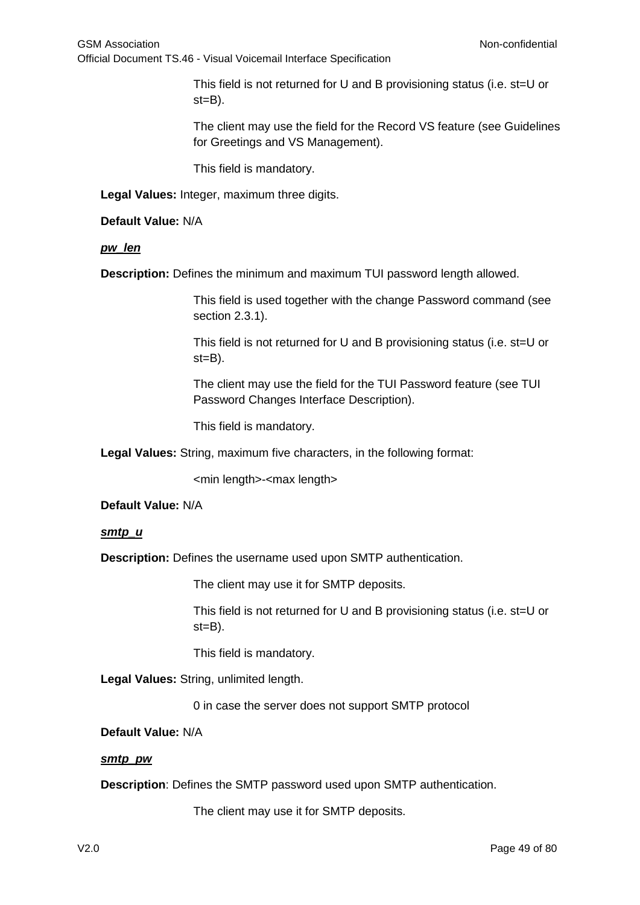This field is not returned for U and B provisioning status (i.e. st=U or  $st = B$ ).

The client may use the field for the Record VS feature (see Guidelines for Greetings and VS Management).

This field is mandatory.

**Legal Values:** Integer, maximum three digits.

**Default Value:** N/A

*pw\_len*

**Description:** Defines the minimum and maximum TUI password length allowed.

This field is used together with the change Password command (see section 2.3.1).

This field is not returned for U and B provisioning status (i.e. st=U or  $st = B$ ).

The client may use the field for the TUI Password feature (see TUI Password Changes Interface Description).

This field is mandatory.

**Legal Values:** String, maximum five characters, in the following format:

<min length>-<max length>

**Default Value:** N/A

*smtp\_u*

**Description:** Defines the username used upon SMTP authentication.

The client may use it for SMTP deposits.

This field is not returned for U and B provisioning status (i.e. st=U or  $st = B$ ).

This field is mandatory.

**Legal Values:** String, unlimited length.

0 in case the server does not support SMTP protocol

**Default Value:** N/A

*smtp\_pw*

**Description**: Defines the SMTP password used upon SMTP authentication.

The client may use it for SMTP deposits.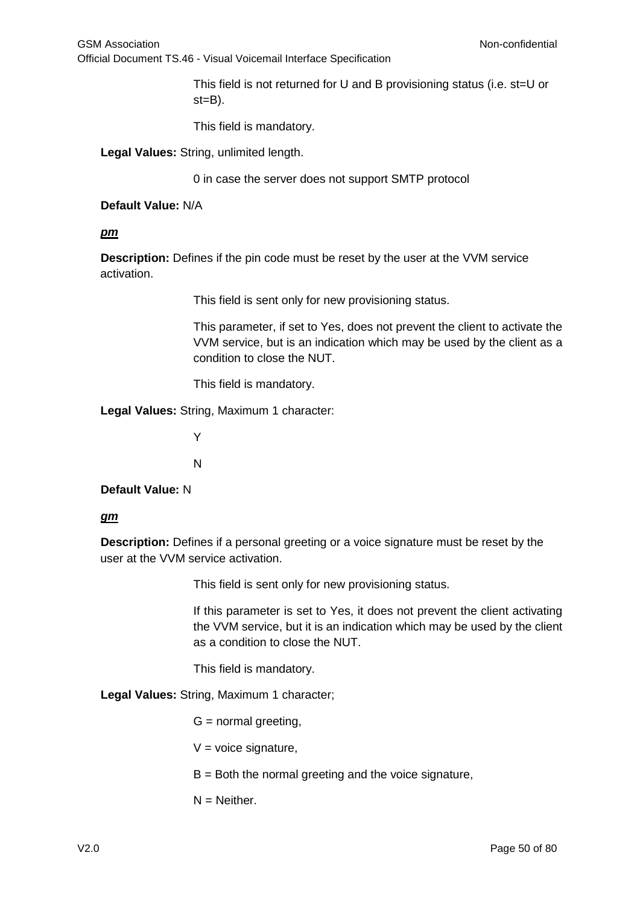This field is not returned for U and B provisioning status (i.e. st=U or st=B).

This field is mandatory.

**Legal Values:** String, unlimited length.

0 in case the server does not support SMTP protocol

#### **Default Value:** N/A

### *pm*

**Description:** Defines if the pin code must be reset by the user at the VVM service activation.

This field is sent only for new provisioning status.

This parameter, if set to Yes, does not prevent the client to activate the VVM service, but is an indication which may be used by the client as a condition to close the NUT.

This field is mandatory.

**Legal Values:** String, Maximum 1 character:

Y

N

**Default Value:** N

#### *gm*

**Description:** Defines if a personal greeting or a voice signature must be reset by the user at the VVM service activation.

This field is sent only for new provisioning status.

If this parameter is set to Yes, it does not prevent the client activating the VVM service, but it is an indication which may be used by the client as a condition to close the NUT.

This field is mandatory.

**Legal Values:** String, Maximum 1 character;

- $G =$  normal greeting,
- $V =$  voice signature,
- $B =$  Both the normal greeting and the voice signature,
- $N =$  Neither.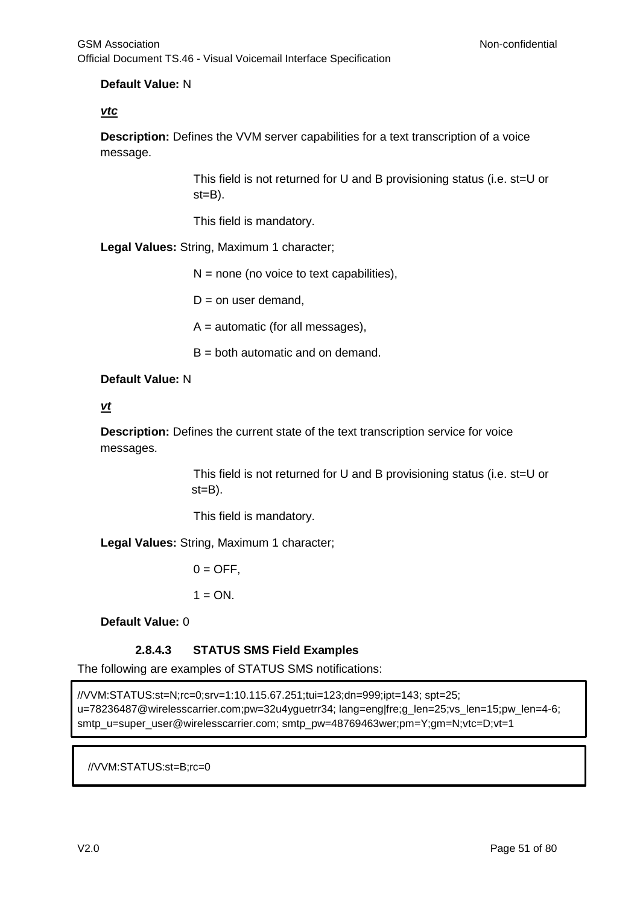### **Default Value:** N

### *vtc*

**Description:** Defines the VVM server capabilities for a text transcription of a voice message.

> This field is not returned for U and B provisioning status (i.e. st=U or st=B).

This field is mandatory.

**Legal Values:** String, Maximum 1 character;

 $N =$  none (no voice to text capabilities),

 $D =$  on user demand,

 $A =$  automatic (for all messages),

 $B =$  both automatic and on demand.

### **Default Value:** N

#### *vt*

**Description:** Defines the current state of the text transcription service for voice messages.

> This field is not returned for U and B provisioning status (i.e. st=U or st=B).

This field is mandatory.

**Legal Values:** String, Maximum 1 character;

 $0 =$  OFF.

 $1 = ON$ .

**Default Value:** 0

### **2.8.4.3 STATUS SMS Field Examples**

<span id="page-50-0"></span>The following are examples of STATUS SMS notifications:

//VVM:STATUS:st=N;rc=0;srv=1:10.115.67.251;tui=123;dn=999;ipt=143; spt=25; u=78236487@wirelesscarrier.com;pw=32u4yguetrr34; lang=eng|fre;g\_len=25;vs\_len=15;pw\_len=4-6; smtp\_u=super\_user@wirelesscarrier.com; smtp\_pw=48769463wer;pm=Y;gm=N;vtc=D;vt=1

//VVM:STATUS:st=B;rc=0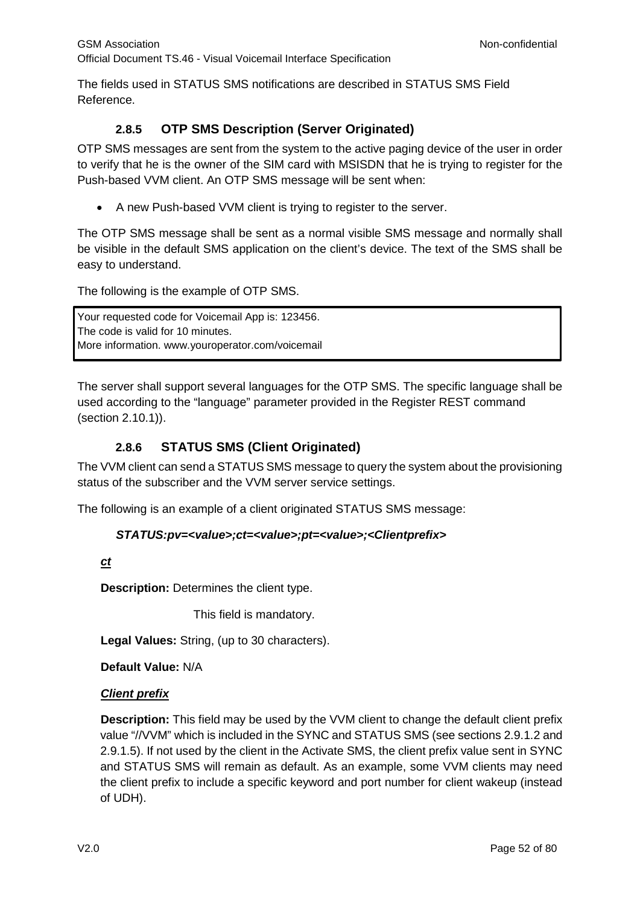The fields used in STATUS SMS notifications are described in STATUS SMS Field Reference.

## **2.8.5 OTP SMS Description (Server Originated)**

<span id="page-51-0"></span>OTP SMS messages are sent from the system to the active paging device of the user in order to verify that he is the owner of the SIM card with MSISDN that he is trying to register for the Push-based VVM client. An OTP SMS message will be sent when:

• A new Push-based VVM client is trying to register to the server.

The OTP SMS message shall be sent as a normal visible SMS message and normally shall be visible in the default SMS application on the client's device. The text of the SMS shall be easy to understand.

The following is the example of OTP SMS.

Your requested code for Voicemail App is: 123456. The code is valid for 10 minutes. More information. www.youroperator.com/voicemail

The server shall support several languages for the OTP SMS. The specific language shall be used according to the "language" parameter provided in the Register REST command (section [2.10.1\)](#page-55-0)).

## **2.8.6 STATUS SMS (Client Originated)**

The VVM client can send a STATUS SMS message to query the system about the provisioning status of the subscriber and the VVM server service settings.

The following is an example of a client originated STATUS SMS message:

### *STATUS:pv=<value>;ct=<value>;pt=<value>;<Clientprefix>*

*ct*

**Description:** Determines the client type.

This field is mandatory.

**Legal Values:** String, (up to 30 characters).

**Default Value:** N/A

### *Client prefix*

**Description:** This field may be used by the VVM client to change the default client prefix value "//VVM" which is included in the SYNC and STATUS SMS (see sections 2.9.1.2 and 2.9.1.5). If not used by the client in the Activate SMS, the client prefix value sent in SYNC and STATUS SMS will remain as default. As an example, some VVM clients may need the client prefix to include a specific keyword and port number for client wakeup (instead of UDH).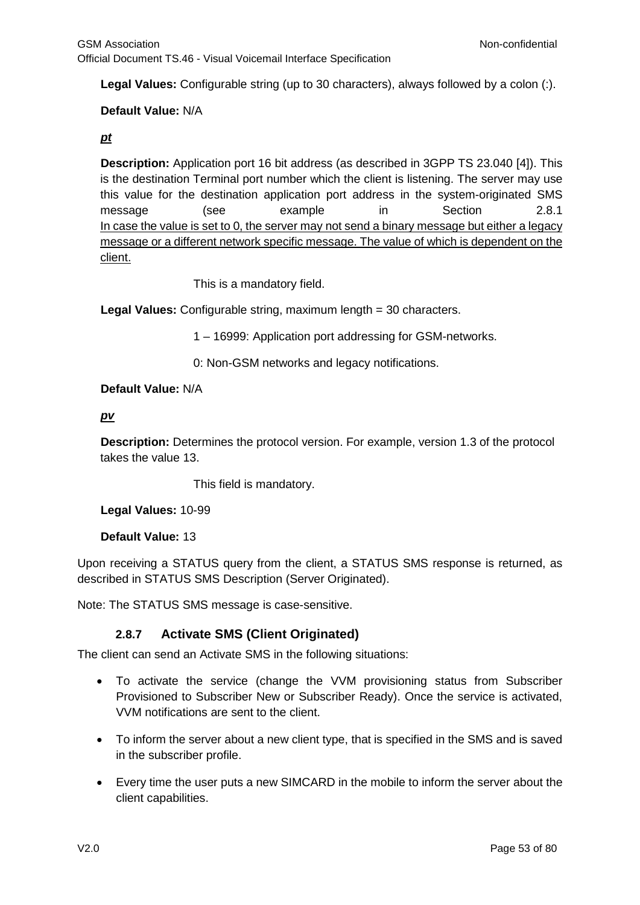**Legal Values:** Configurable string (up to 30 characters), always followed by a colon (:).

### **Default Value:** N/A

#### *pt*

**Description:** Application port 16 bit address (as described in 3GPP TS 23.040 [\[4\]\)](#page-5-0). This is the destination Terminal port number which the client is listening. The server may use this value for the destination application port address in the system-originated SMS message (see example in Section [2.8.1](#page-38-0) In case the value is set to 0, the server may not send a binary message but either a legacy message or a different network specific message. The value of which is dependent on the client.

This is a mandatory field.

**Legal Values:** Configurable string, maximum length = 30 characters.

1 – 16999: Application port addressing for GSM-networks.

0: Non-GSM networks and legacy notifications.

#### **Default Value:** N/A

#### *pv*

**Description:** Determines the protocol version. For example, version 1.3 of the protocol takes the value 13.

This field is mandatory.

**Legal Values:** 10-99

**Default Value:** 13

Upon receiving a STATUS query from the client, a STATUS SMS response is returned, as described in STATUS SMS Description (Server Originated).

Note: The STATUS SMS message is case-sensitive.

### **2.8.7 Activate SMS (Client Originated)**

<span id="page-52-0"></span>The client can send an Activate SMS in the following situations:

- To activate the service (change the VVM provisioning status from Subscriber Provisioned to Subscriber New or Subscriber Ready). Once the service is activated, VVM notifications are sent to the client.
- To inform the server about a new client type, that is specified in the SMS and is saved in the subscriber profile.
- Every time the user puts a new SIMCARD in the mobile to inform the server about the client capabilities.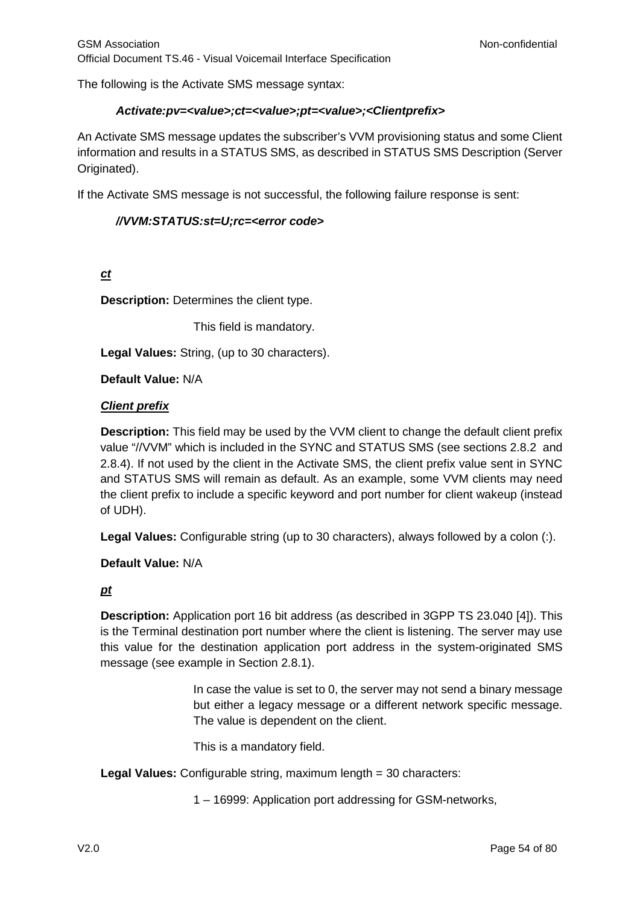The following is the Activate SMS message syntax:

#### *Activate:pv=<value>;ct=<value>;pt=<value>;<Clientprefix>*

An Activate SMS message updates the subscriber's VVM provisioning status and some Client information and results in a STATUS SMS, as described in STATUS SMS Description (Server Originated).

If the Activate SMS message is not successful, the following failure response is sent:

#### *//VVM:STATUS:st=U;rc=<error code>*

*ct*

**Description:** Determines the client type.

This field is mandatory.

**Legal Values:** String, (up to 30 characters).

**Default Value:** N/A

#### *Client prefix*

**Description:** This field may be used by the VVM client to change the default client prefix value "//VVM" which is included in the SYNC and STATUS SMS (see sections [2.8.2](#page-39-0) and [2.8.4\)](#page-43-1). If not used by the client in the Activate SMS, the client prefix value sent in SYNC and STATUS SMS will remain as default. As an example, some VVM clients may need the client prefix to include a specific keyword and port number for client wakeup (instead of UDH).

**Legal Values:** Configurable string (up to 30 characters), always followed by a colon (:).

**Default Value:** N/A

### *pt*

**Description:** Application port 16 bit address (as described in 3GPP TS 23.040 [\[4\]\)](#page-5-0). This is the Terminal destination port number where the client is listening. The server may use this value for the destination application port address in the system-originated SMS message (see example in Section [2.8.1\)](#page-38-0).

> In case the value is set to 0, the server may not send a binary message but either a legacy message or a different network specific message. The value is dependent on the client.

This is a mandatory field.

**Legal Values:** Configurable string, maximum length = 30 characters:

1 – 16999: Application port addressing for GSM-networks,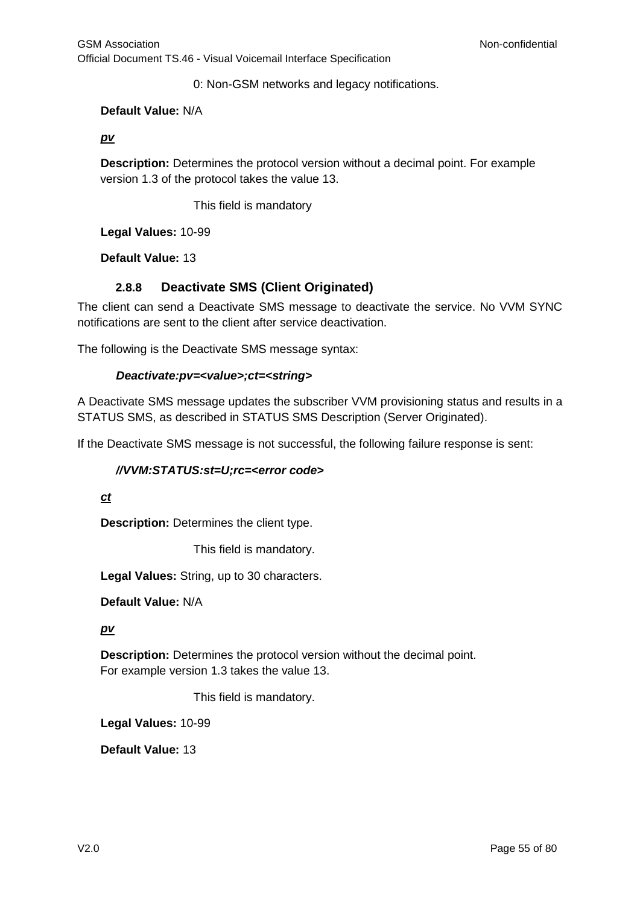0: Non-GSM networks and legacy notifications.

### **Default Value:** N/A

### *pv*

**Description:** Determines the protocol version without a decimal point. For example version 1.3 of the protocol takes the value 13.

This field is mandatory

**Legal Values:** 10-99

**Default Value:** 13

### **2.8.8 Deactivate SMS (Client Originated)**

<span id="page-54-0"></span>The client can send a Deactivate SMS message to deactivate the service. No VVM SYNC notifications are sent to the client after service deactivation.

The following is the Deactivate SMS message syntax:

#### *Deactivate:pv=<value>;ct=<string>*

A Deactivate SMS message updates the subscriber VVM provisioning status and results in a STATUS SMS, as described in STATUS SMS Description (Server Originated).

If the Deactivate SMS message is not successful, the following failure response is sent:

#### *//VVM:STATUS:st=U;rc=<error code>*

#### *ct*

**Description:** Determines the client type.

This field is mandatory.

**Legal Values:** String, up to 30 characters.

**Default Value:** N/A

#### *pv*

**Description:** Determines the protocol version without the decimal point. For example version 1.3 takes the value 13.

This field is mandatory.

**Legal Values:** 10-99

**Default Value:** 13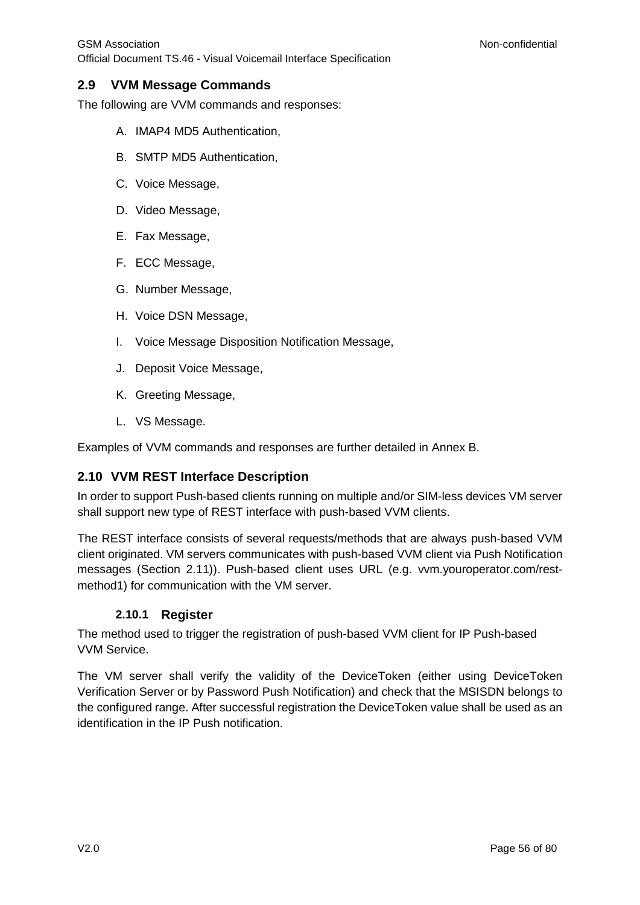## **2.9 VVM Message Commands**

The following are VVM commands and responses:

- A. IMAP4 MD5 Authentication,
- B. SMTP MD5 Authentication,
- C. Voice Message,
- D. Video Message,
- E. Fax Message,
- F. ECC Message,
- G. Number Message,
- H. Voice DSN Message,
- I. Voice Message Disposition Notification Message,
- J. Deposit Voice Message,
- K. Greeting Message,
- L. VS Message.

Examples of VVM commands and responses are further detailed in [Annex](#page-66-0) B.

## **2.10 VVM REST Interface Description**

In order to support Push-based clients running on multiple and/or SIM-less devices VM server shall support new type of REST interface with push-based VVM clients.

The REST interface consists of several requests/methods that are always push-based VVM client originated. VM servers communicates with push-based VVM client via Push Notification messages (Section 2.11)). Push-based client uses URL (e.g. vvm.youroperator.com/restmethod1) for communication with the VM server.

## **2.10.1 Register**

<span id="page-55-0"></span>The method used to trigger the registration of push-based VVM client for IP Push-based VVM Service.

The VM server shall verify the validity of the DeviceToken (either using DeviceToken Verification Server or by Password Push Notification) and check that the MSISDN belongs to the configured range. After successful registration the DeviceToken value shall be used as an identification in the IP Push notification.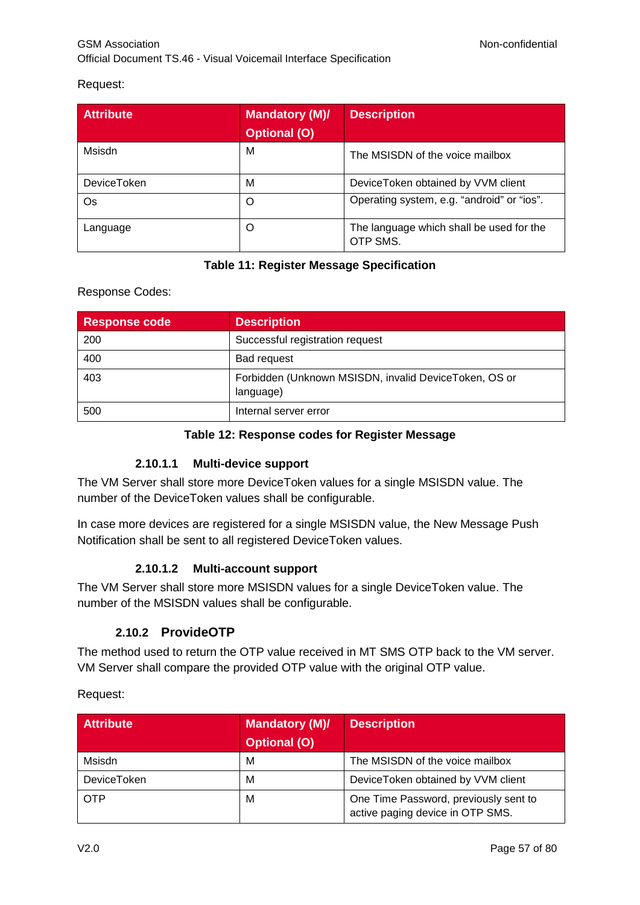# Request:

| <b>Attribute</b>   | <b>Mandatory (M)/</b> | <b>Description</b>                                   |
|--------------------|-----------------------|------------------------------------------------------|
|                    | <b>Optional (O)</b>   |                                                      |
| Msisdn             | M                     | The MSISDN of the voice mailbox                      |
| <b>DeviceToken</b> | M                     | DeviceToken obtained by VVM client                   |
| Os                 | O                     | Operating system, e.g. "android" or "ios".           |
| Language           | O                     | The language which shall be used for the<br>OTP SMS. |

## **Table 11: Register Message Specification**

### Response Codes:

| Response code | <b>Description</b>                                                 |
|---------------|--------------------------------------------------------------------|
| 200           | Successful registration request                                    |
| 400           | Bad request                                                        |
| 403           | Forbidden (Unknown MSISDN, invalid DeviceToken, OS or<br>language) |
| 500           | Internal server error                                              |

### **Table 12: Response codes for Register Message**

### **2.10.1.1 Multi-device support**

The VM Server shall store more DeviceToken values for a single MSISDN value. The number of the DeviceToken values shall be configurable.

In case more devices are registered for a single MSISDN value, the New Message Push Notification shall be sent to all registered DeviceToken values.

### **2.10.1.2 Multi-account support**

The VM Server shall store more MSISDN values for a single DeviceToken value. The number of the MSISDN values shall be configurable.

## **2.10.2 ProvideOTP**

The method used to return the OTP value received in MT SMS OTP back to the VM server. VM Server shall compare the provided OTP value with the original OTP value.

Request:

| <b>Attribute</b>   | <b>Mandatory (M)/</b><br><b>Optional (O)</b> | <b>Description</b>                                                        |
|--------------------|----------------------------------------------|---------------------------------------------------------------------------|
| Msisdn             | М                                            | The MSISDN of the voice mailbox                                           |
| <b>DeviceToken</b> | M                                            | DeviceToken obtained by VVM client                                        |
| <b>OTP</b>         | M                                            | One Time Password, previously sent to<br>active paging device in OTP SMS. |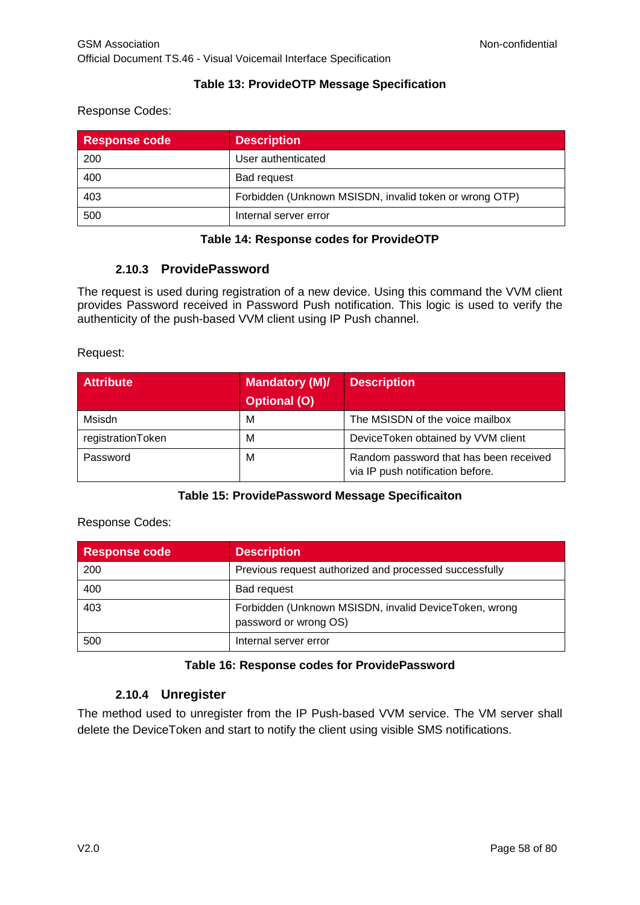### **Table 13: ProvideOTP Message Specification**

#### Response Codes:

| <b>Response code</b> | <b>Description</b>                                     |
|----------------------|--------------------------------------------------------|
| 200                  | User authenticated                                     |
| 400                  | <b>Bad request</b>                                     |
| 403                  | Forbidden (Unknown MSISDN, invalid token or wrong OTP) |
| 500                  | Internal server error                                  |

### **Table 14: Response codes for ProvideOTP**

### **2.10.3 ProvidePassword**

<span id="page-57-0"></span>The request is used during registration of a new device. Using this command the VVM client provides Password received in Password Push notification. This logic is used to verify the authenticity of the push-based VVM client using IP Push channel.

Request:

| <b>Attribute</b>  | <b>Mandatory (M)/</b> | <b>Description</b>                                                         |
|-------------------|-----------------------|----------------------------------------------------------------------------|
|                   | <b>Optional (O)</b>   |                                                                            |
| Msisdn            | М                     | The MSISDN of the voice mailbox                                            |
| registrationToken | М                     | DeviceToken obtained by VVM client                                         |
| Password          | М                     | Random password that has been received<br>via IP push notification before. |

### **Table 15: ProvidePassword Message Specificaiton**

Response Codes:

| Response code | <b>Description</b>                                                             |
|---------------|--------------------------------------------------------------------------------|
| 200           | Previous request authorized and processed successfully                         |
| 400           | Bad request                                                                    |
| 403           | Forbidden (Unknown MSISDN, invalid DeviceToken, wrong<br>password or wrong OS) |
| 500           | Internal server error                                                          |

### **Table 16: Response codes for ProvidePassword**

### **2.10.4 Unregister**

The method used to unregister from the IP Push-based VVM service. The VM server shall delete the DeviceToken and start to notify the client using visible SMS notifications.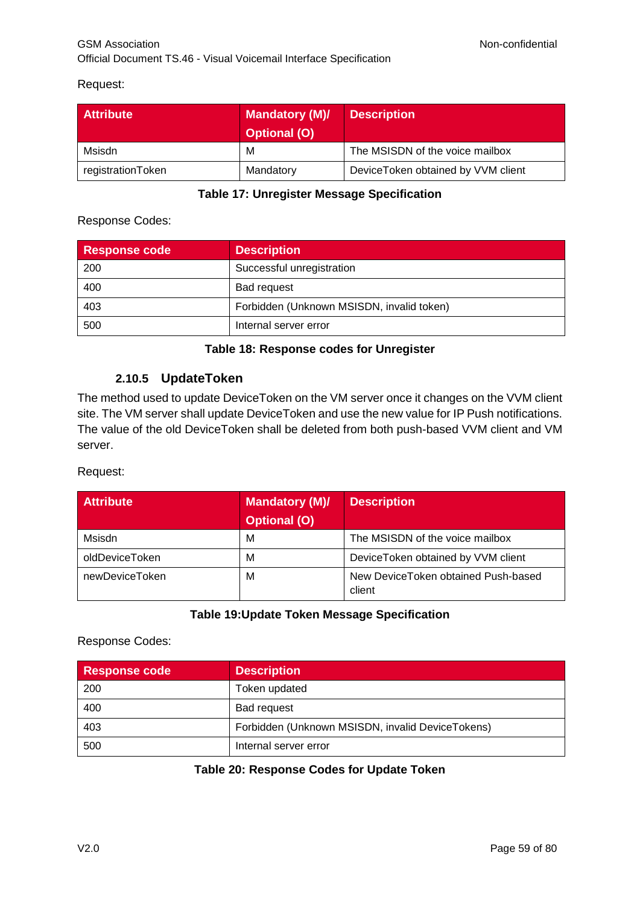### Request:

| <b>Attribute</b>  | <b>Mandatory (M)/</b><br><b>Optional (O)</b> | <b>Description</b>                 |
|-------------------|----------------------------------------------|------------------------------------|
| Msisdn            | м                                            | The MSISDN of the voice mailbox    |
| registrationToken | Mandatory                                    | DeviceToken obtained by VVM client |

### **Table 17: Unregister Message Specification**

## Response Codes:

| <b>Response code</b> | <b>Description</b>                        |
|----------------------|-------------------------------------------|
| 200                  | Successful unregistration                 |
| 400                  | <b>Bad request</b>                        |
| 403                  | Forbidden (Unknown MSISDN, invalid token) |
| 500                  | Internal server error                     |

### **Table 18: Response codes for Unregister**

## **2.10.5 UpdateToken**

The method used to update DeviceToken on the VM server once it changes on the VVM client site. The VM server shall update DeviceToken and use the new value for IP Push notifications. The value of the old DeviceToken shall be deleted from both push-based VVM client and VM server.

### Request:

| <b>Attribute</b> | <b>Mandatory (M)/</b> | <b>Description</b>                            |
|------------------|-----------------------|-----------------------------------------------|
|                  | <b>Optional (O)</b>   |                                               |
| Msisdn           | М                     | The MSISDN of the voice mailbox               |
| oldDeviceToken   | М                     | DeviceToken obtained by VVM client            |
| newDeviceToken   | M                     | New DeviceToken obtained Push-based<br>client |

### **Table 19:Update Token Message Specification**

### Response Codes:

| <b>Response code</b> | <b>Description</b>                               |
|----------------------|--------------------------------------------------|
| 200                  | Token updated                                    |
| 400                  | <b>Bad request</b>                               |
| 403                  | Forbidden (Unknown MSISDN, invalid DeviceTokens) |
| 500                  | Internal server error                            |

### **Table 20: Response Codes for Update Token**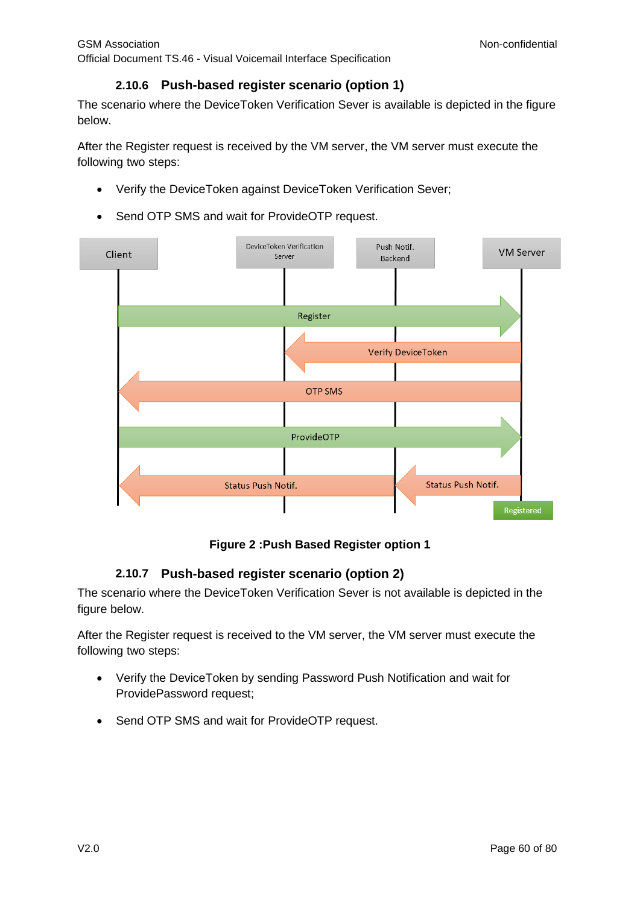## **2.10.6 Push-based register scenario (option 1)**

The scenario where the DeviceToken Verification Sever is available is depicted in the figure below.

After the Register request is received by the VM server, the VM server must execute the following two steps:

- Verify the DeviceToken against DeviceToken Verification Sever;
- Send OTP SMS and wait for ProvideOTP request.



### **Figure 2 :Push Based Register option 1**

## **2.10.7 Push-based register scenario (option 2)**

The scenario where the DeviceToken Verification Sever is not available is depicted in the figure below.

After the Register request is received to the VM server, the VM server must execute the following two steps:

- Verify the DeviceToken by sending Password Push Notification and wait for ProvidePassword request;
- Send OTP SMS and wait for ProvideOTP request.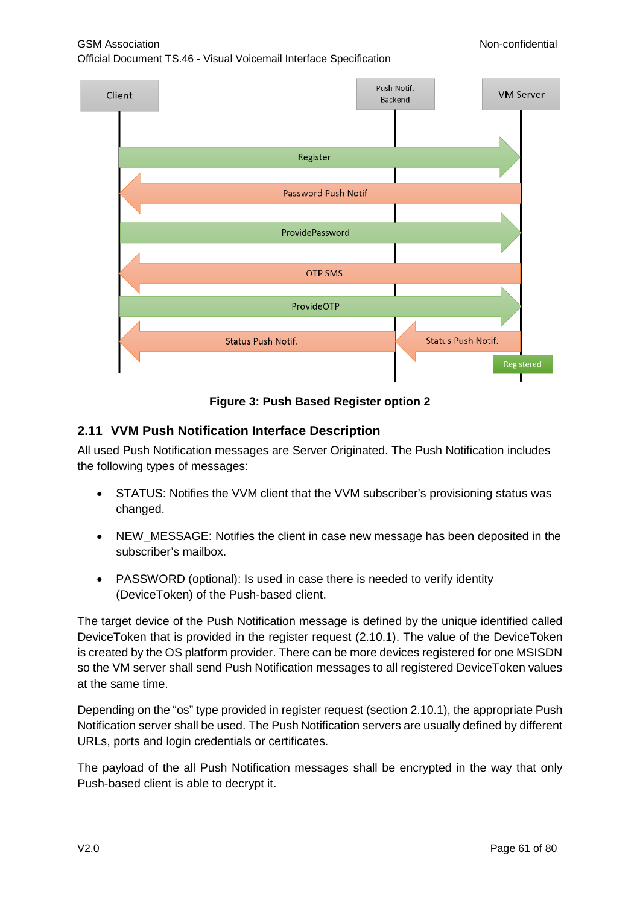## GSM Association **Non-confidential**

Official Document TS.46 - Visual Voicemail Interface Specification



### **Figure 3: Push Based Register option 2**

### **2.11 VVM Push Notification Interface Description**

All used Push Notification messages are Server Originated. The Push Notification includes the following types of messages:

- STATUS: Notifies the VVM client that the VVM subscriber's provisioning status was changed.
- NEW\_MESSAGE: Notifies the client in case new message has been deposited in the subscriber's mailbox.
- PASSWORD (optional): Is used in case there is needed to verify identity (DeviceToken) of the Push-based client.

The target device of the Push Notification message is defined by the unique identified called DeviceToken that is provided in the register request [\(2.10.1\)](#page-55-0). The value of the DeviceToken is created by the OS platform provider. There can be more devices registered for one MSISDN so the VM server shall send Push Notification messages to all registered DeviceToken values at the same time.

Depending on the "os" type provided in register request (section [2.10.1\)](#page-55-0), the appropriate Push Notification server shall be used. The Push Notification servers are usually defined by different URLs, ports and login credentials or certificates.

The payload of the all Push Notification messages shall be encrypted in the way that only Push-based client is able to decrypt it.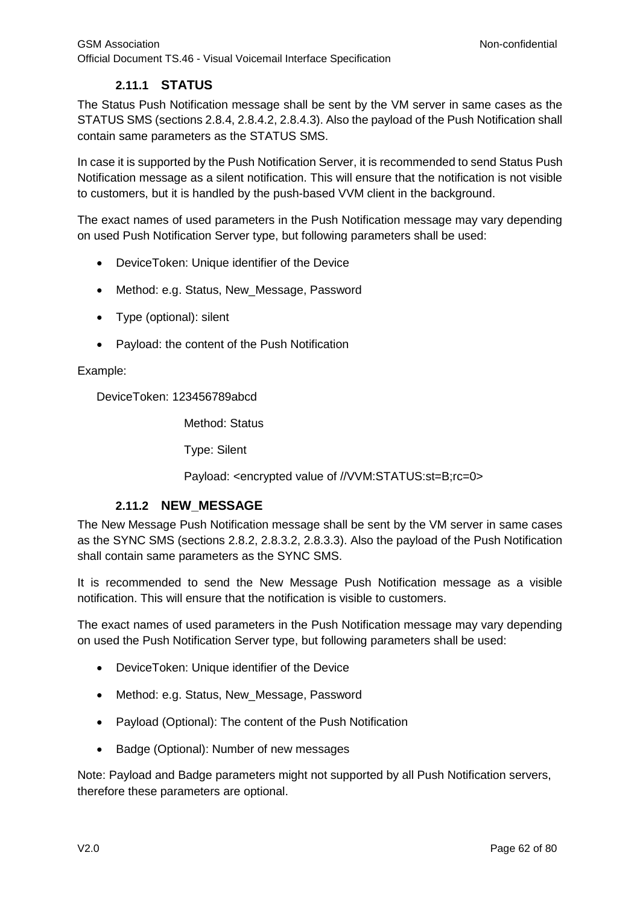## **2.11.1 STATUS**

The Status Push Notification message shall be sent by the VM server in same cases as the STATUS SMS (sections [2.8.4,](#page-43-1) [2.8.4.2,](#page-43-0) [2.8.4.3\)](#page-50-0). Also the payload of the Push Notification shall contain same parameters as the STATUS SMS.

In case it is supported by the Push Notification Server, it is recommended to send Status Push Notification message as a silent notification. This will ensure that the notification is not visible to customers, but it is handled by the push-based VVM client in the background.

The exact names of used parameters in the Push Notification message may vary depending on used Push Notification Server type, but following parameters shall be used:

- DeviceToken: Unique identifier of the Device
- Method: e.g. Status, New Message, Password
- Type (optional): silent
- Payload: the content of the Push Notification

#### Example:

DeviceToken: 123456789abcd

Method: Status

Type: Silent

Payload: <encrypted value of //VVM:STATUS:st=B;rc=0>

### **2.11.2 NEW\_MESSAGE**

The New Message Push Notification message shall be sent by the VM server in same cases as the SYNC SMS (sections [2.8.2,](#page-39-0) [2.8.3.2,](#page-40-0) [2.8.3.3\)](#page-42-0). Also the payload of the Push Notification shall contain same parameters as the SYNC SMS.

It is recommended to send the New Message Push Notification message as a visible notification. This will ensure that the notification is visible to customers.

The exact names of used parameters in the Push Notification message may vary depending on used the Push Notification Server type, but following parameters shall be used:

- DeviceToken: Unique identifier of the Device
- Method: e.g. Status, New\_Message, Password
- Payload (Optional): The content of the Push Notification
- Badge (Optional): Number of new messages

Note: Payload and Badge parameters might not supported by all Push Notification servers, therefore these parameters are optional.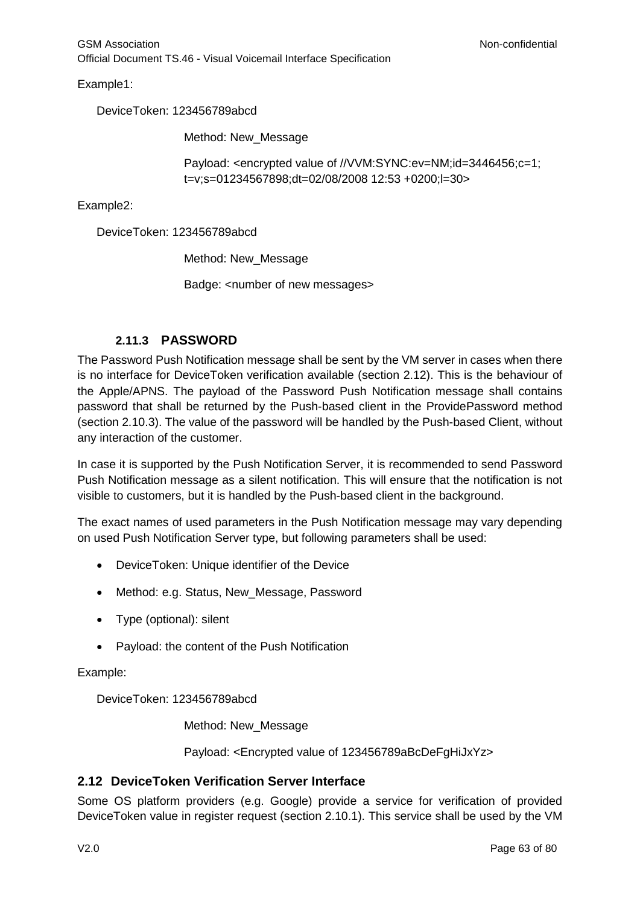Example1:

DeviceToken: 123456789abcd

Method: New\_Message

Payload: <encrypted value of //VVM:SYNC:ev=NM;id=3446456;c=1; t=v;s=01234567898;dt=02/08/2008 12:53 +0200;l=30>

Example2:

DeviceToken: 123456789abcd

Method: New\_Message

Badge: <number of new messages>

### **2.11.3 PASSWORD**

The Password Push Notification message shall be sent by the VM server in cases when there is no interface for DeviceToken verification available (section [2.12\)](#page-62-0). This is the behaviour of the Apple/APNS. The payload of the Password Push Notification message shall contains password that shall be returned by the Push-based client in the ProvidePassword method (section [2.10.3\)](#page-57-0). The value of the password will be handled by the Push-based Client, without any interaction of the customer.

In case it is supported by the Push Notification Server, it is recommended to send Password Push Notification message as a silent notification. This will ensure that the notification is not visible to customers, but it is handled by the Push-based client in the background.

The exact names of used parameters in the Push Notification message may vary depending on used Push Notification Server type, but following parameters shall be used:

- DeviceToken: Unique identifier of the Device
- Method: e.g. Status, New\_Message, Password
- Type (optional): silent
- Payload: the content of the Push Notification

Example:

DeviceToken: 123456789abcd

Method: New\_Message

Payload: <Encrypted value of 123456789aBcDeFgHiJxYz>

### <span id="page-62-0"></span>**2.12 DeviceToken Verification Server Interface**

Some OS platform providers (e.g. Google) provide a service for verification of provided DeviceToken value in register request (section [2.10.1\)](#page-55-0). This service shall be used by the VM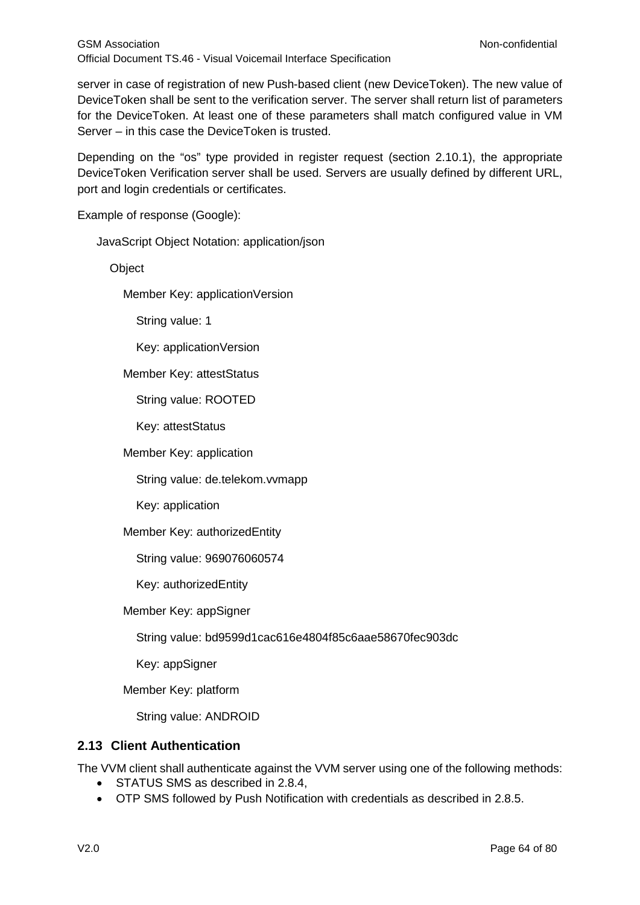server in case of registration of new Push-based client (new DeviceToken). The new value of DeviceToken shall be sent to the verification server. The server shall return list of parameters for the DeviceToken. At least one of these parameters shall match configured value in VM Server – in this case the DeviceToken is trusted.

Depending on the "os" type provided in register request (section [2.10.1\)](#page-55-0), the appropriate DeviceToken Verification server shall be used. Servers are usually defined by different URL, port and login credentials or certificates.

Example of response (Google):

JavaScript Object Notation: application/json

**Object** 

Member Key: applicationVersion

String value: 1

Key: applicationVersion

Member Key: attestStatus

String value: ROOTED

Key: attestStatus

Member Key: application

String value: de.telekom.vvmapp

Key: application

Member Key: authorizedEntity

String value: 969076060574

Key: authorizedEntity

Member Key: appSigner

String value: bd9599d1cac616e4804f85c6aae58670fec903dc

Key: appSigner

Member Key: platform

String value: ANDROID

### **2.13 Client Authentication**

The VVM client shall authenticate against the VVM server using one of the following methods:

- STATUS SMS as described in [2.8.4,](#page-43-1)
- OTP SMS followed by Push Notification with credentials as described in [2.8.5.](#page-51-0)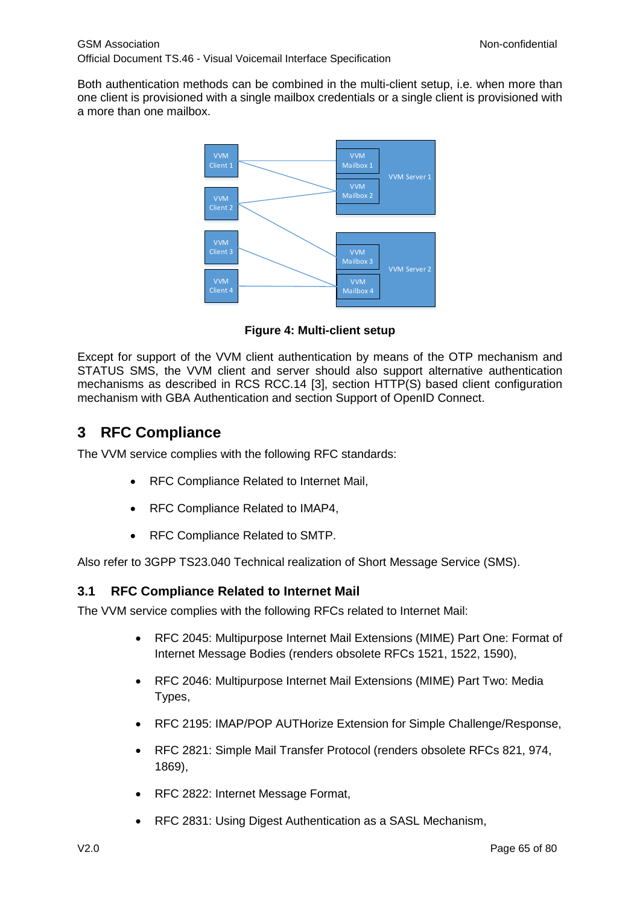Both authentication methods can be combined in the multi-client setup, i.e. when more than one client is provisioned with a single mailbox credentials or a single client is provisioned with a more than one mailbox.



**Figure 4: Multi-client setup** 

Except for support of the VVM client authentication by means of the OTP mechanism and STATUS SMS, the VVM client and server should also support alternative authentication mechanisms as described in RCS RCC.14 [\[3\],](#page-5-1) section HTTP(S) based client configuration mechanism with GBA Authentication and section Support of OpenID Connect.

# **3 RFC Compliance**

The VVM service complies with the following RFC standards:

- RFC Compliance Related to Internet Mail,
- RFC Compliance Related to IMAP4,
- RFC Compliance Related to SMTP.

Also refer to 3GPP TS23.040 Technical realization of Short Message Service (SMS).

### **3.1 RFC Compliance Related to Internet Mail**

The VVM service complies with the following RFCs related to Internet Mail:

- RFC 2045: Multipurpose Internet Mail Extensions (MIME) Part One: Format of Internet Message Bodies (renders obsolete RFCs 1521, 1522, 1590),
- RFC 2046: Multipurpose Internet Mail Extensions (MIME) Part Two: Media Types,
- RFC 2195: IMAP/POP AUTHorize Extension for Simple Challenge/Response,
- RFC 2821: Simple Mail Transfer Protocol (renders obsolete RFCs 821, 974, 1869),
- RFC 2822: Internet Message Format,
- RFC 2831: Using Digest Authentication as a SASL Mechanism,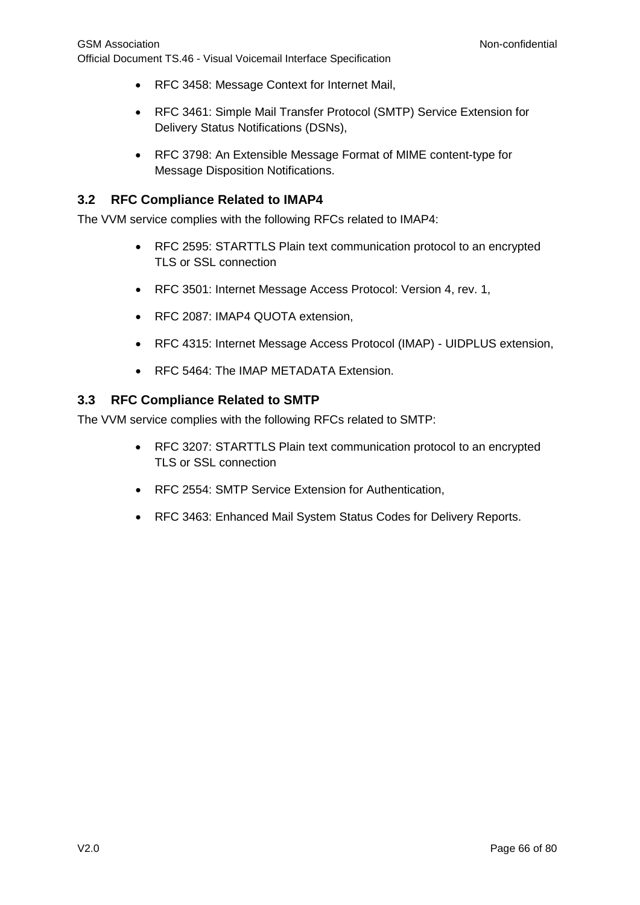- RFC 3458: Message Context for Internet Mail,
- RFC 3461: Simple Mail Transfer Protocol (SMTP) Service Extension for Delivery Status Notifications (DSNs),
- RFC 3798: An Extensible Message Format of MIME content-type for Message Disposition Notifications.

## **3.2 RFC Compliance Related to IMAP4**

The VVM service complies with the following RFCs related to IMAP4:

- RFC 2595: STARTTLS Plain text communication protocol to an encrypted TLS or SSL connection
- RFC 3501: Internet Message Access Protocol: Version 4, rev. 1,
- RFC 2087: IMAP4 QUOTA extension,
- RFC 4315: Internet Message Access Protocol (IMAP) UIDPLUS extension,
- RFC 5464: The IMAP METADATA Extension.

### **3.3 RFC Compliance Related to SMTP**

The VVM service complies with the following RFCs related to SMTP:

- RFC 3207: STARTTLS Plain text communication protocol to an encrypted TLS or SSL connection
- RFC 2554: SMTP Service Extension for Authentication,
- RFC 3463: Enhanced Mail System Status Codes for Delivery Reports.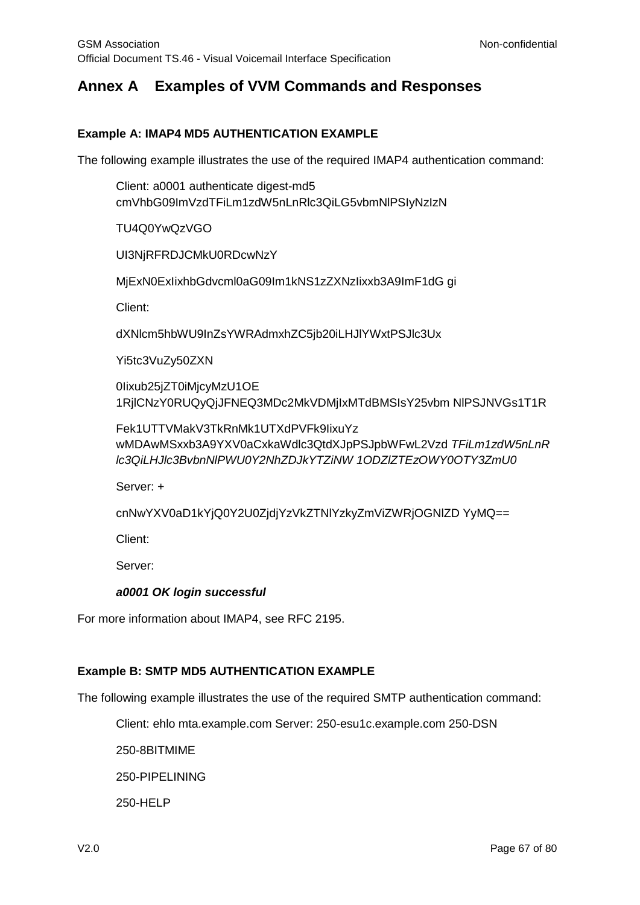# <span id="page-66-0"></span>**Annex A Examples of VVM Commands and Responses**

### **Example A: IMAP4 MD5 AUTHENTICATION EXAMPLE**

The following example illustrates the use of the required IMAP4 authentication command:

Client: a0001 authenticate digest-md5 cmVhbG09ImVzdTFiLm1zdW5nLnRlc3QiLG5vbmNlPSIyNzIzN

TU4Q0YwQzVGO

UI3NjRFRDJCMkU0RDcwNzY

MjExN0ExIixhbGdvcml0aG09Im1kNS1zZXNzIixxb3A9ImF1dG gi

Client:

dXNlcm5hbWU9InZsYWRAdmxhZC5jb20iLHJlYWxtPSJlc3Ux

Yi5tc3VuZy50ZXN

0Iixub25jZT0iMjcyMzU1OE 1RjlCNzY0RUQyQjJFNEQ3MDc2MkVDMjIxMTdBMSIsY25vbm NlPSJNVGs1T1R

Fek1UTTVMakV3TkRnMk1UTXdPVFk9IixuYz wMDAwMSxxb3A9YXV0aCxkaWdlc3QtdXJpPSJpbWFwL2Vzd *TFiLm1zdW5nLnR lc3QiLHJlc3BvbnNlPWU0Y2NhZDJkYTZiNW 1ODZlZTEzOWY0OTY3ZmU0*

Server: +

cnNwYXV0aD1kYjQ0Y2U0ZjdjYzVkZTNlYzkyZmViZWRjOGNlZD YyMQ==

Client:

Server:

#### *a0001 OK login successful*

For more information about IMAP4, see RFC 2195.

### **Example B: SMTP MD5 AUTHENTICATION EXAMPLE**

The following example illustrates the use of the required SMTP authentication command:

Client: ehlo mta.example.com Server: 250-esu1c.example.com 250-DSN

250-8BITMIME

250-PIPELINING

250-HELP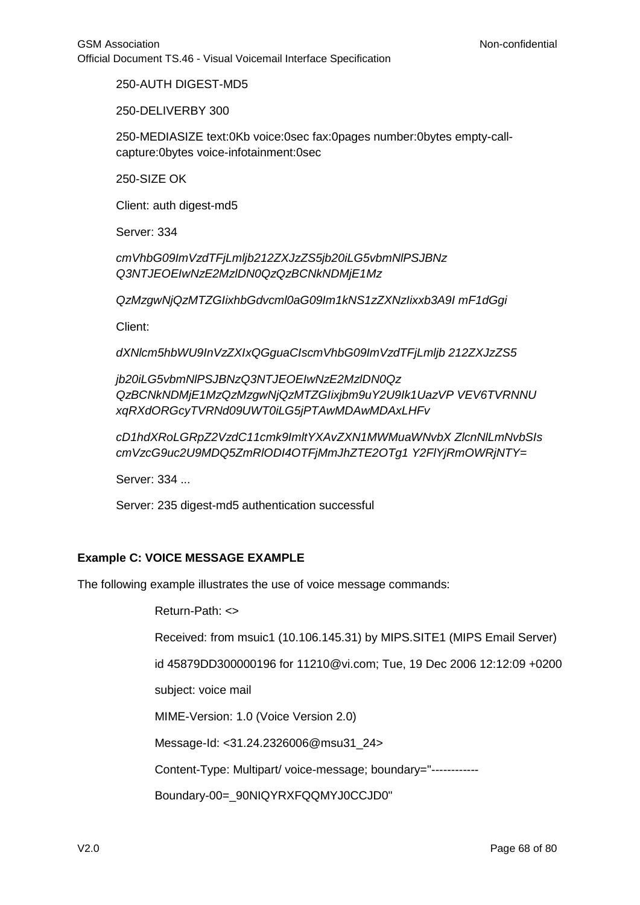250-AUTH DIGEST-MD5

250-DELIVERBY 300

250-MEDIASIZE text:0Kb voice:0sec fax:0pages number:0bytes empty-callcapture:0bytes voice-infotainment:0sec

250-SIZE OK

Client: auth digest-md5

Server: 334

*cmVhbG09ImVzdTFjLmljb212ZXJzZS5jb20iLG5vbmNlPSJBNz Q3NTJEOEIwNzE2MzlDN0QzQzBCNkNDMjE1Mz*

*QzMzgwNjQzMTZGIixhbGdvcml0aG09Im1kNS1zZXNzIixxb3A9I mF1dGgi*

Client:

*dXNlcm5hbWU9InVzZXIxQGguaCIscmVhbG09ImVzdTFjLmljb 212ZXJzZS5*

*jb20iLG5vbmNlPSJBNzQ3NTJEOEIwNzE2MzlDN0Qz QzBCNkNDMjE1MzQzMzgwNjQzMTZGIixjbm9uY2U9Ik1UazVP VEV6TVRNNU xqRXdORGcyTVRNd09UWT0iLG5jPTAwMDAwMDAxLHFv*

*cD1hdXRoLGRpZ2VzdC11cmk9ImltYXAvZXN1MWMuaWNvbX ZlcnNlLmNvbSIs cmVzcG9uc2U9MDQ5ZmRlODI4OTFjMmJhZTE2OTg1 Y2FlYjRmOWRjNTY=*

Server: 334 ...

Server: 235 digest-md5 authentication successful

### **Example C: VOICE MESSAGE EXAMPLE**

The following example illustrates the use of voice message commands:

Return-Path: <>

Received: from msuic1 (10.106.145.31) by MIPS.SITE1 (MIPS Email Server)

id 45879DD300000196 for 11210@vi.com; Tue, 19 Dec 2006 12:12:09 +0200

subject: voice mail

MIME-Version: 1.0 (Voice Version 2.0)

Message-Id: <31.24.2326006@msu31\_24>

Content-Type: Multipart/ voice-message; boundary="------------

Boundary-00=\_90NIQYRXFQQMYJ0CCJD0"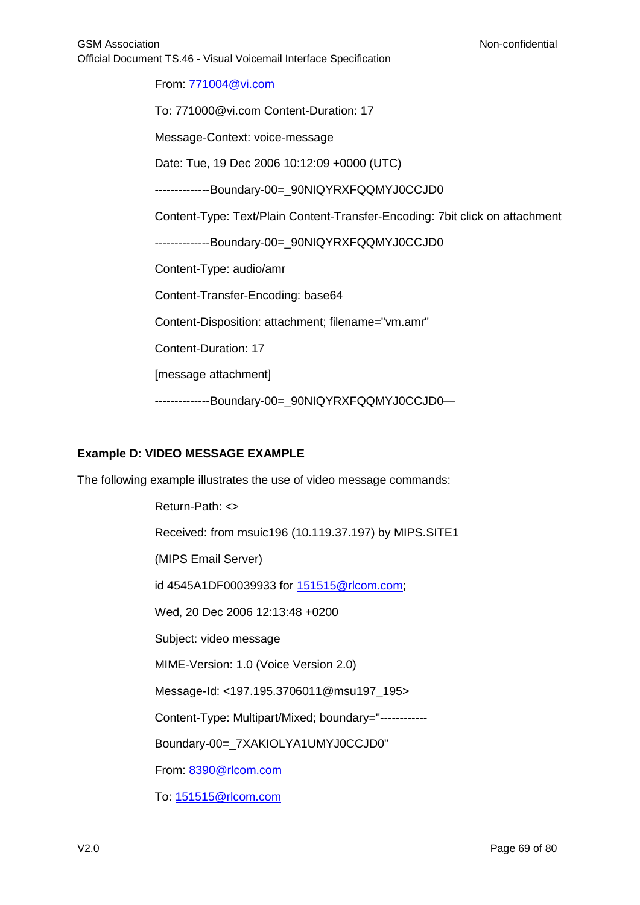From: [771004@vi.com](mailto:771004@vi.com)

To: 771000@vi.com Content-Duration: 17 Message-Context: voice-message Date: Tue, 19 Dec 2006 10:12:09 +0000 (UTC)

--------------Boundary-00=\_90NIQYRXFQQMYJ0CCJD0

Content-Type: Text/Plain Content-Transfer-Encoding: 7bit click on attachment

--------------Boundary-00=\_90NIQYRXFQQMYJ0CCJD0

Content-Type: audio/amr

Content-Transfer-Encoding: base64

Content-Disposition: attachment; filename="vm.amr"

Content-Duration: 17

[message attachment]

--------------Boundary-00=\_90NIQYRXFQQMYJ0CCJD0—

#### **Example D: VIDEO MESSAGE EXAMPLE**

The following example illustrates the use of video message commands:

Return-Path: <> Received: from msuic196 (10.119.37.197) by MIPS.SITE1 (MIPS Email Server) id 4545A1DF00039933 for [151515@rlcom.com;](mailto:151515@rlcom.com) Wed, 20 Dec 2006 12:13:48 +0200 Subject: video message MIME-Version: 1.0 (Voice Version 2.0) Message-Id: <197.195.3706011@msu197\_195> Content-Type: Multipart/Mixed; boundary="------------ Boundary-00=\_7XAKIOLYA1UMYJ0CCJD0" From: [8390@rlcom.com](mailto:8390@rlcom.com) To: [151515@rlcom.com](mailto:151515@rlcom.com)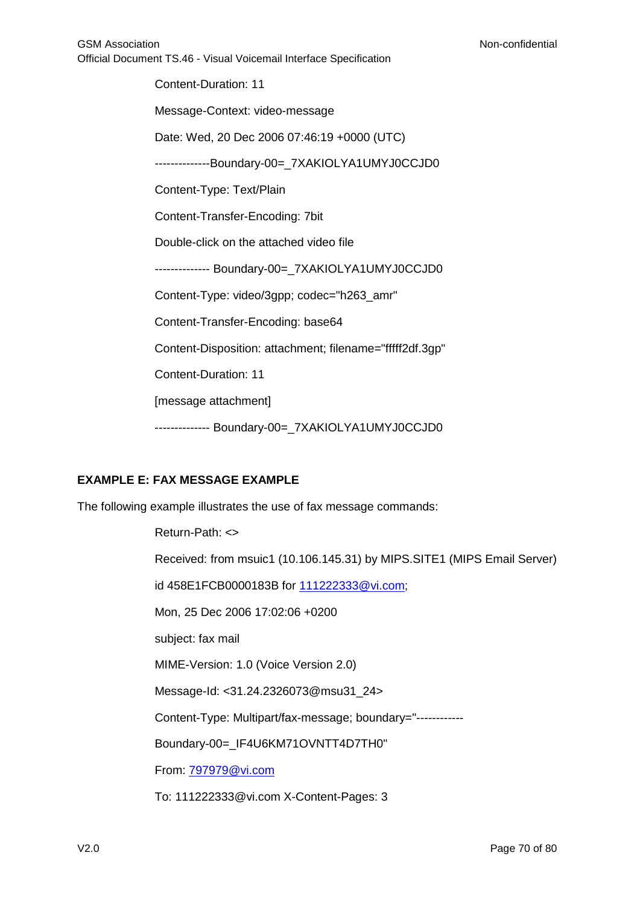Content-Duration: 11 Message-Context: video-message Date: Wed, 20 Dec 2006 07:46:19 +0000 (UTC) --------------Boundary-00=\_7XAKIOLYA1UMYJ0CCJD0 Content-Type: Text/Plain Content-Transfer-Encoding: 7bit Double-click on the attached video file -------------- Boundary-00=\_7XAKIOLYA1UMYJ0CCJD0 Content-Type: video/3gpp; codec="h263\_amr" Content-Transfer-Encoding: base64 Content-Disposition: attachment; filename="fffff2df.3gp" Content-Duration: 11 [message attachment] -------------- Boundary-00=\_7XAKIOLYA1UMYJ0CCJD0

### **EXAMPLE E: FAX MESSAGE EXAMPLE**

The following example illustrates the use of fax message commands:

Return-Path: <> Received: from msuic1 (10.106.145.31) by MIPS.SITE1 (MIPS Email Server) id 458E1FCB0000183B for [111222333@vi.com;](mailto:111222333@vi.com) Mon, 25 Dec 2006 17:02:06 +0200 subject: fax mail MIME-Version: 1.0 (Voice Version 2.0) Message-Id: <31.24.2326073@msu31\_24> Content-Type: Multipart/fax-message; boundary="------------ Boundary-00=\_IF4U6KM71OVNTT4D7TH0" From: [797979@vi.com](mailto:797979@vi.com) To: 111222333@vi.com X-Content-Pages: 3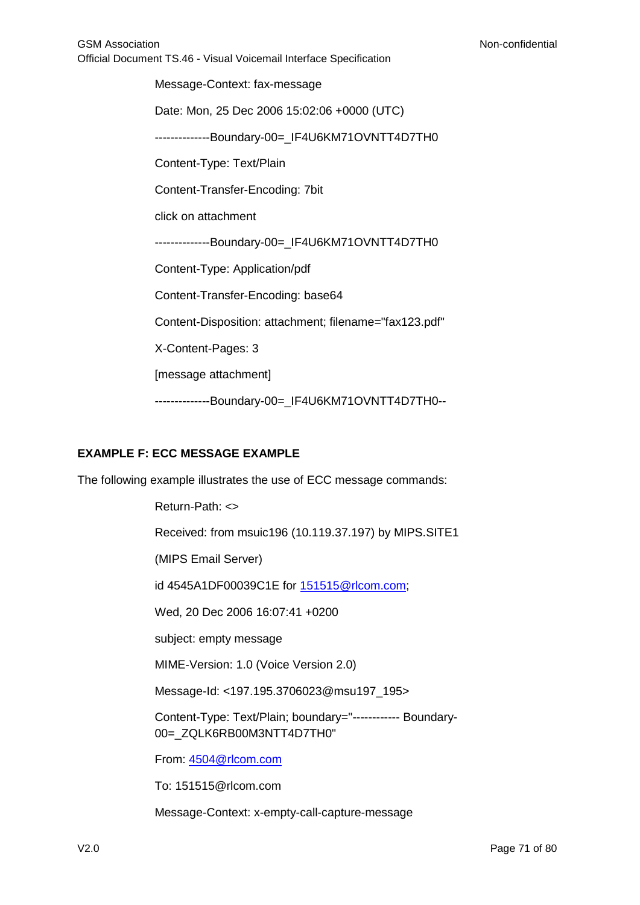Message-Context: fax-message Date: Mon, 25 Dec 2006 15:02:06 +0000 (UTC) --------------Boundary-00=\_IF4U6KM71OVNTT4D7TH0 Content-Type: Text/Plain Content-Transfer-Encoding: 7bit click on attachment --------------Boundary-00=\_IF4U6KM71OVNTT4D7TH0 Content-Type: Application/pdf Content-Transfer-Encoding: base64 Content-Disposition: attachment; filename="fax123.pdf" X-Content-Pages: 3 [message attachment] --------------Boundary-00= IF4U6KM71OVNTT4D7TH0--

### **EXAMPLE F: ECC MESSAGE EXAMPLE**

The following example illustrates the use of ECC message commands:

Return-Path: <> Received: from msuic196 (10.119.37.197) by MIPS.SITE1 (MIPS Email Server) id 4545A1DF00039C1E for [151515@rlcom.com;](mailto:151515@rlcom.com) Wed, 20 Dec 2006 16:07:41 +0200 subject: empty message MIME-Version: 1.0 (Voice Version 2.0) Message-Id: <197.195.3706023@msu197\_195> Content-Type: Text/Plain; boundary="------------ Boundary-00=\_ZQLK6RB00M3NTT4D7TH0" From: [4504@rlcom.com](mailto:4504@rlcom.com)

To: 151515@rlcom.com

Message-Context: x-empty-call-capture-message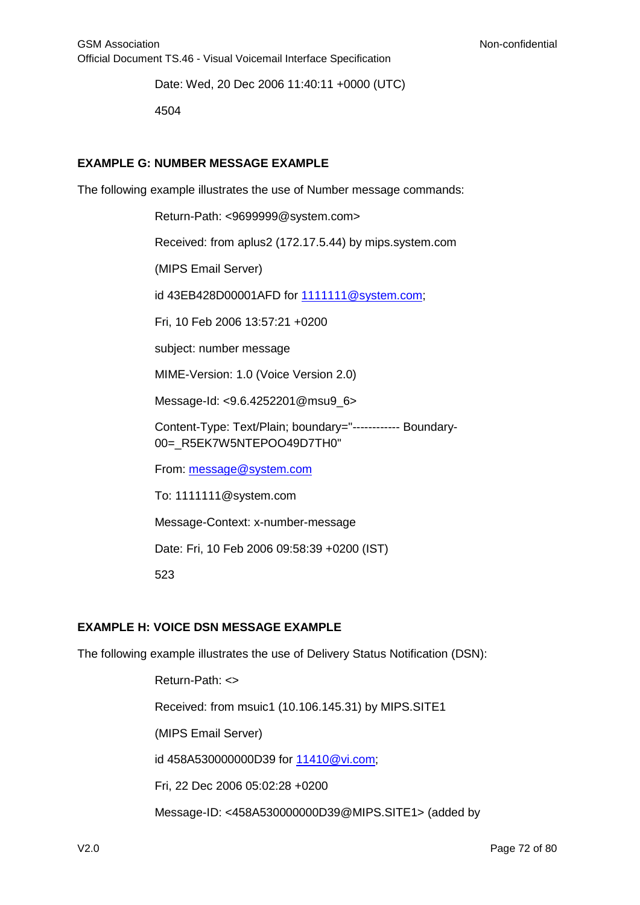Date: Wed, 20 Dec 2006 11:40:11 +0000 (UTC)

4504

### **EXAMPLE G: NUMBER MESSAGE EXAMPLE**

The following example illustrates the use of Number message commands:

Return-Path: <9699999@system.com>

Received: from aplus2 (172.17.5.44) by mips.system.com

(MIPS Email Server)

id 43EB428D00001AFD for [1111111@system.com;](mailto:1111111@system.com)

Fri, 10 Feb 2006 13:57:21 +0200

subject: number message

MIME-Version: 1.0 (Voice Version 2.0)

Message-Id: <9.6.4252201@msu9\_6>

Content-Type: Text/Plain; boundary="------------ Boundary-00= R5EK7W5NTEPOO49D7TH0"

From: [message@system.com](mailto:message@system.com)

To: 1111111@system.com

Message-Context: x-number-message

Date: Fri, 10 Feb 2006 09:58:39 +0200 (IST)

523

#### **EXAMPLE H: VOICE DSN MESSAGE EXAMPLE**

The following example illustrates the use of Delivery Status Notification (DSN):

Return-Path: <> Received: from msuic1 (10.106.145.31) by MIPS.SITE1 (MIPS Email Server) id 458A530000000D39 for [11410@vi.com;](mailto:11410@vi.com) Fri, 22 Dec 2006 05:02:28 +0200 Message-ID: <458A530000000D39@MIPS.SITE1> (added by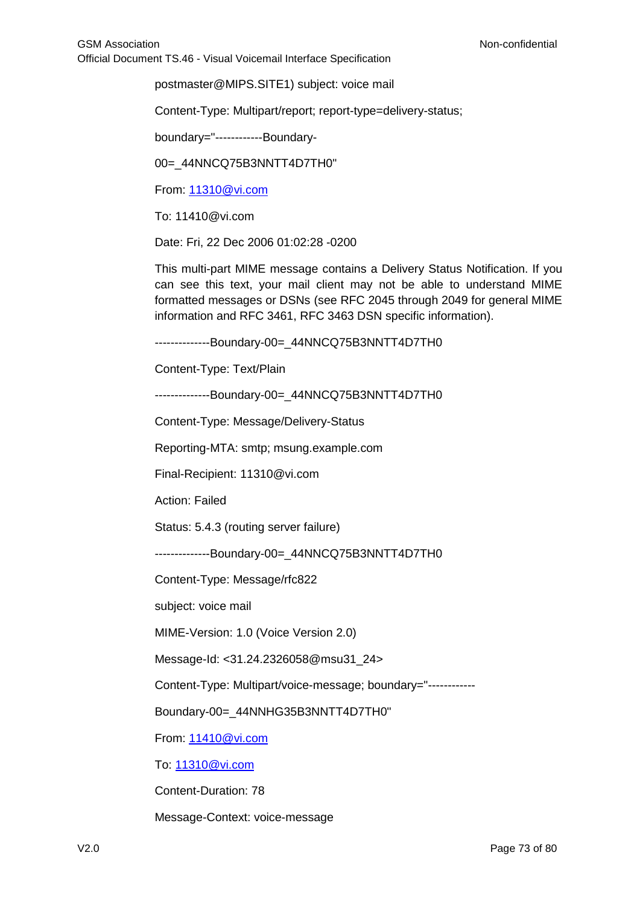postmaster@MIPS.SITE1) subject: voice mail

Content-Type: Multipart/report; report-type=delivery-status;

boundary="------------Boundary-

00= 44NNCQ75B3NNTT4D7TH0"

From: [11310@vi.com](mailto:11310@vi.com)

To: 11410@vi.com

Date: Fri, 22 Dec 2006 01:02:28 -0200

This multi-part MIME message contains a Delivery Status Notification. If you can see this text, your mail client may not be able to understand MIME formatted messages or DSNs (see RFC 2045 through 2049 for general MIME information and RFC 3461, RFC 3463 DSN specific information).

--------------Boundary-00=\_44NNCQ75B3NNTT4D7TH0

Content-Type: Text/Plain

--------------Boundary-00=\_44NNCQ75B3NNTT4D7TH0

Content-Type: Message/Delivery-Status

Reporting-MTA: smtp; msung.example.com

Final-Recipient: 11310@vi.com

Action: Failed

Status: 5.4.3 (routing server failure)

--------------Boundary-00=\_44NNCQ75B3NNTT4D7TH0

Content-Type: Message/rfc822

subject: voice mail

MIME-Version: 1.0 (Voice Version 2.0)

Message-Id: <31.24.2326058@msu31\_24>

Content-Type: Multipart/voice-message; boundary="------------

Boundary-00=\_44NNHG35B3NNTT4D7TH0"

From: [11410@vi.com](mailto:11410@vi.com)

To: [11310@vi.com](mailto:11310@vi.com)

Content-Duration: 78

Message-Context: voice-message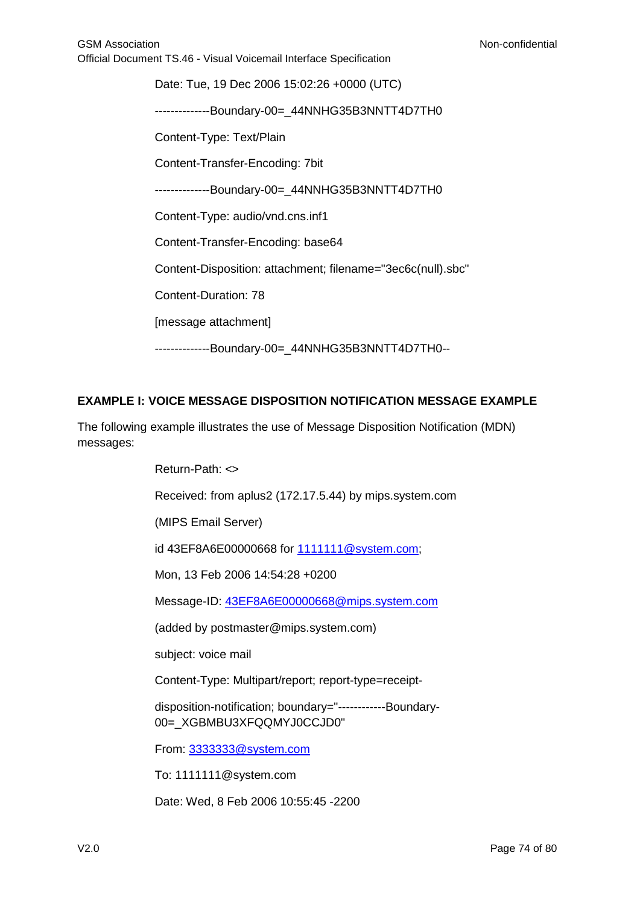Date: Tue, 19 Dec 2006 15:02:26 +0000 (UTC) --------------Boundary-00=\_44NNHG35B3NNTT4D7TH0 Content-Type: Text/Plain Content-Transfer-Encoding: 7bit --------------Boundary-00=\_44NNHG35B3NNTT4D7TH0 Content-Type: audio/vnd.cns.inf1 Content-Transfer-Encoding: base64 Content-Disposition: attachment; filename="3ec6c(null).sbc" Content-Duration: 78 [message attachment] --------------Boundary-00=\_44NNHG35B3NNTT4D7TH0--

### **EXAMPLE I: VOICE MESSAGE DISPOSITION NOTIFICATION MESSAGE EXAMPLE**

The following example illustrates the use of Message Disposition Notification (MDN) messages:

Return-Path: <>

Received: from aplus2 (172.17.5.44) by mips.system.com

(MIPS Email Server)

id 43EF8A6E00000668 for [1111111@system.com;](mailto:1111111@system.com)

Mon, 13 Feb 2006 14:54:28 +0200

Message-ID: [43EF8A6E00000668@mips.system.com](mailto:43EF8A6E00000668@mips.system.com)

(added by postmaster@mips.system.com)

subject: voice mail

Content-Type: Multipart/report; report-type=receipt-

disposition-notification; boundary="------------Boundary-00=\_XGBMBU3XFQQMYJ0CCJD0"

From: [3333333@system.com](mailto:3333333@system.com)

To: 1111111@system.com

Date: Wed, 8 Feb 2006 10:55:45 -2200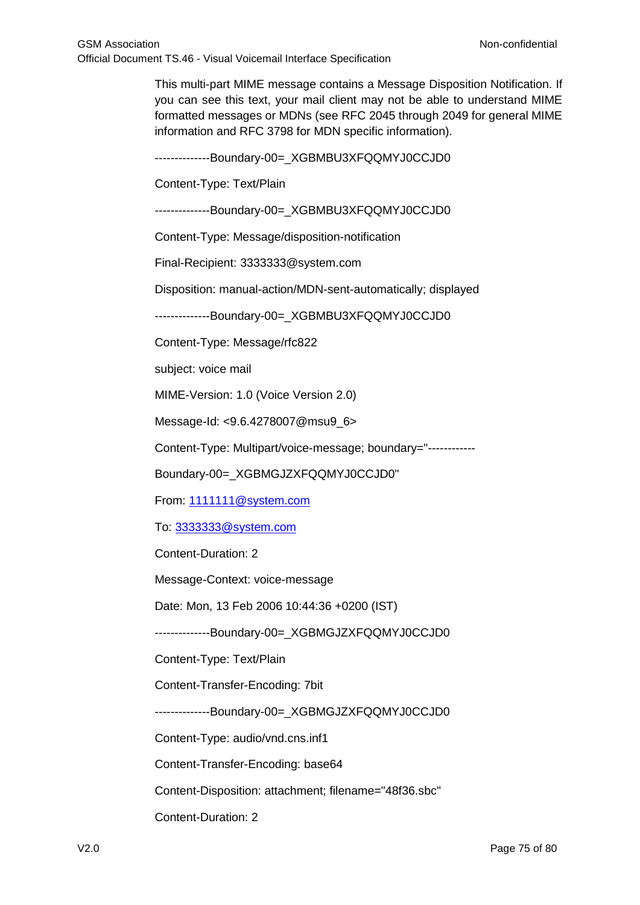This multi-part MIME message contains a Message Disposition Notification. If you can see this text, your mail client may not be able to understand MIME formatted messages or MDNs (see RFC 2045 through 2049 for general MIME information and RFC 3798 for MDN specific information).

--------------Boundary-00=\_XGBMBU3XFQQMYJ0CCJD0

Content-Type: Text/Plain

--------------Boundary-00=\_XGBMBU3XFQQMYJ0CCJD0

Content-Type: Message/disposition-notification

Final-Recipient: 3333333@system.com

Disposition: manual-action/MDN-sent-automatically; displayed

--------------Boundary-00=\_XGBMBU3XFQQMYJ0CCJD0

Content-Type: Message/rfc822

subject: voice mail

MIME-Version: 1.0 (Voice Version 2.0)

Message-Id: <9.6.4278007@msu9\_6>

Content-Type: Multipart/voice-message; boundary="------------

Boundary-00=\_XGBMGJZXFQQMYJ0CCJD0"

From: [1111111@system.com](mailto:1111111@system.com)

To: [3333333@system.com](mailto:3333333@system.com)

Content-Duration: 2

Message-Context: voice-message

Date: Mon, 13 Feb 2006 10:44:36 +0200 (IST)

--------------Boundary-00=\_XGBMGJZXFQQMYJ0CCJD0

Content-Type: Text/Plain

Content-Transfer-Encoding: 7bit

--------------Boundary-00=\_XGBMGJZXFQQMYJ0CCJD0

Content-Type: audio/vnd.cns.inf1

Content-Transfer-Encoding: base64

Content-Disposition: attachment; filename="48f36.sbc"

Content-Duration: 2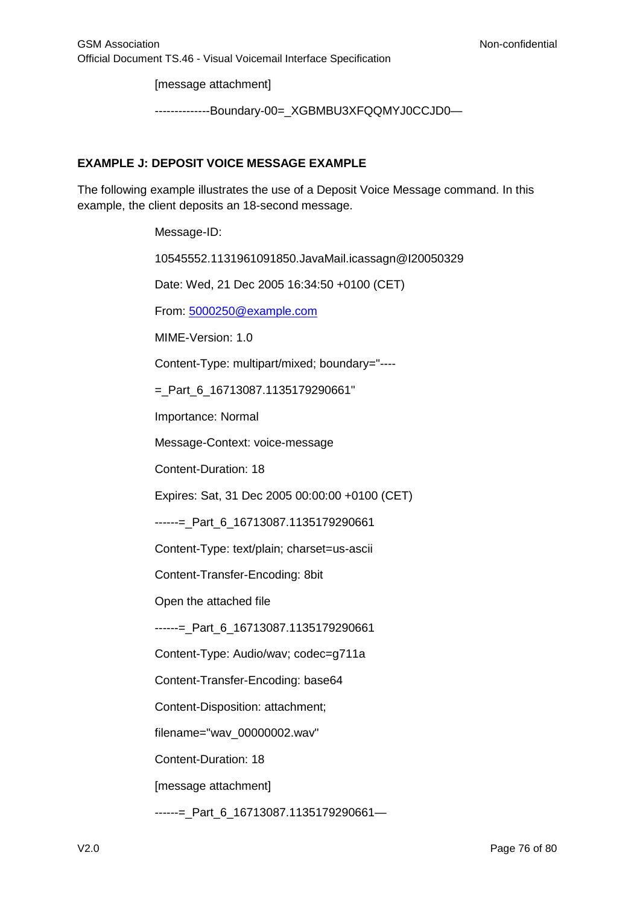[message attachment]

--------------Boundary-00=\_XGBMBU3XFQQMYJ0CCJD0—

### **EXAMPLE J: DEPOSIT VOICE MESSAGE EXAMPLE**

The following example illustrates the use of a Deposit Voice Message command. In this example, the client deposits an 18-second message.

Message-ID:

10545552.1131961091850.JavaMail.icassagn@I20050329

Date: Wed, 21 Dec 2005 16:34:50 +0100 (CET)

From: [5000250@example.com](mailto:5000250@example.com)

MIME-Version: 1.0

Content-Type: multipart/mixed; boundary="----

 $=$  Part 6 16713087.1135179290661"

Importance: Normal

Message-Context: voice-message

Content-Duration: 18

Expires: Sat, 31 Dec 2005 00:00:00 +0100 (CET)

------=\_Part\_6\_16713087.1135179290661

Content-Type: text/plain; charset=us-ascii

Content-Transfer-Encoding: 8bit

Open the attached file

------=\_Part\_6\_16713087.1135179290661

Content-Type: Audio/wav; codec=g711a

Content-Transfer-Encoding: base64

Content-Disposition: attachment;

filename="wav\_00000002.wav"

Content-Duration: 18

[message attachment]

------=\_Part\_6\_16713087.1135179290661—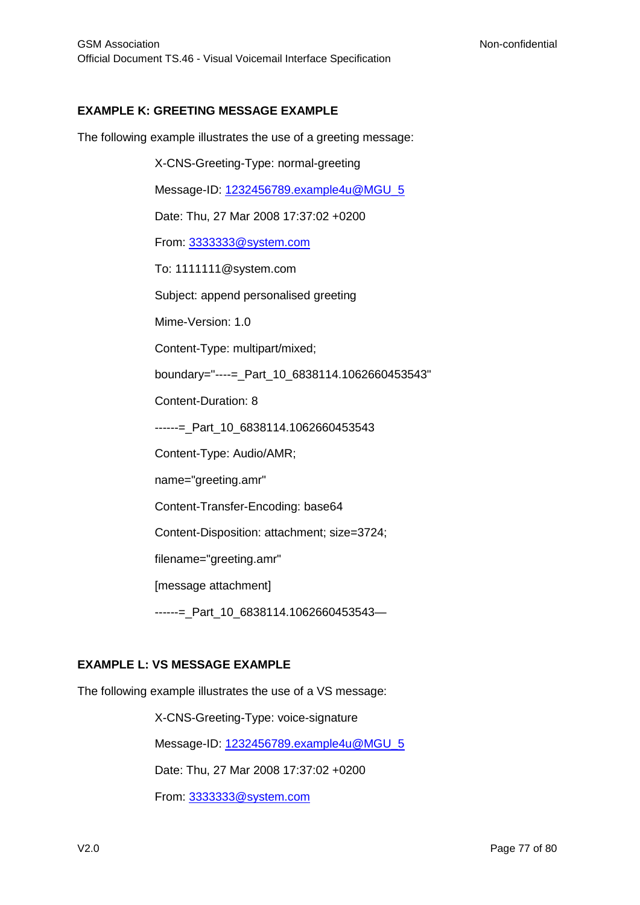#### **EXAMPLE K: GREETING MESSAGE EXAMPLE**

The following example illustrates the use of a greeting message:

X-CNS-Greeting-Type: normal-greeting Message-ID: [1232456789.example4u@MGU\\_5](mailto:1232456789.example4u@MGU_5) Date: Thu, 27 Mar 2008 17:37:02 +0200 From: [3333333@system.com](mailto:3333333@system.com) To: 1111111@system.com Subject: append personalised greeting Mime-Version: 1.0 Content-Type: multipart/mixed; boundary="----=\_Part\_10\_6838114.1062660453543" Content-Duration: 8 ------= Part 10 6838114.1062660453543 Content-Type: Audio/AMR; name="greeting.amr" Content-Transfer-Encoding: base64 Content-Disposition: attachment; size=3724; filename="greeting.amr" [message attachment] ------=\_Part\_10\_6838114.1062660453543—

#### **EXAMPLE L: VS MESSAGE EXAMPLE**

The following example illustrates the use of a VS message:

X-CNS-Greeting-Type: voice-signature

Message-ID: [1232456789.example4u@MGU\\_5](mailto:1232456789.example4u@MGU_5)

Date: Thu, 27 Mar 2008 17:37:02 +0200

From: [3333333@system.com](mailto:3333333@system.com)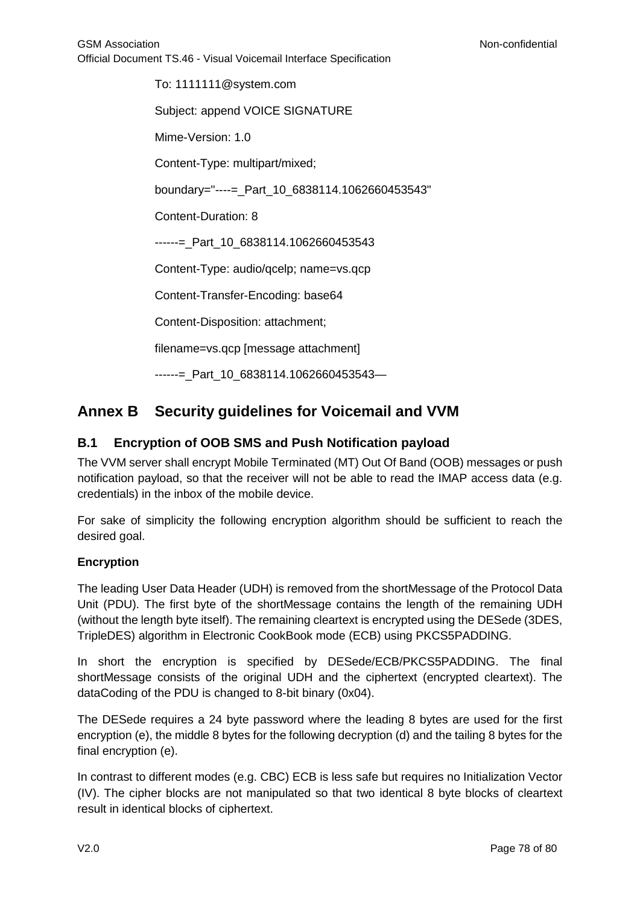To: 1111111@system.com Subject: append VOICE SIGNATURE Mime-Version: 1.0 Content-Type: multipart/mixed; boundary="----=\_Part\_10\_6838114.1062660453543" Content-Duration: 8 ------= Part 10 6838114.1062660453543 Content-Type: audio/qcelp; name=vs.qcp Content-Transfer-Encoding: base64 Content-Disposition: attachment; filename=vs.qcp [message attachment] ------= Part 10 6838114.1062660453543-

# **Annex B Security guidelines for Voicemail and VVM**

## **B.1 Encryption of OOB SMS and Push Notification payload**

The VVM server shall encrypt Mobile Terminated (MT) Out Of Band (OOB) messages or push notification payload, so that the receiver will not be able to read the IMAP access data (e.g. credentials) in the inbox of the mobile device.

For sake of simplicity the following encryption algorithm should be sufficient to reach the desired goal.

## **Encryption**

The leading User Data Header (UDH) is removed from the shortMessage of the Protocol Data Unit (PDU). The first byte of the shortMessage contains the length of the remaining UDH (without the length byte itself). The remaining cleartext is encrypted using the DESede (3DES, TripleDES) algorithm in Electronic CookBook mode (ECB) using PKCS5PADDING.

In short the encryption is specified by DESede/ECB/PKCS5PADDING. The final shortMessage consists of the original UDH and the ciphertext (encrypted cleartext). The dataCoding of the PDU is changed to 8-bit binary (0x04).

The DESede requires a 24 byte password where the leading 8 bytes are used for the first encryption (e), the middle 8 bytes for the following decryption (d) and the tailing 8 bytes for the final encryption (e).

In contrast to different modes (e.g. CBC) ECB is less safe but requires no Initialization Vector (IV). The cipher blocks are not manipulated so that two identical 8 byte blocks of cleartext result in identical blocks of ciphertext.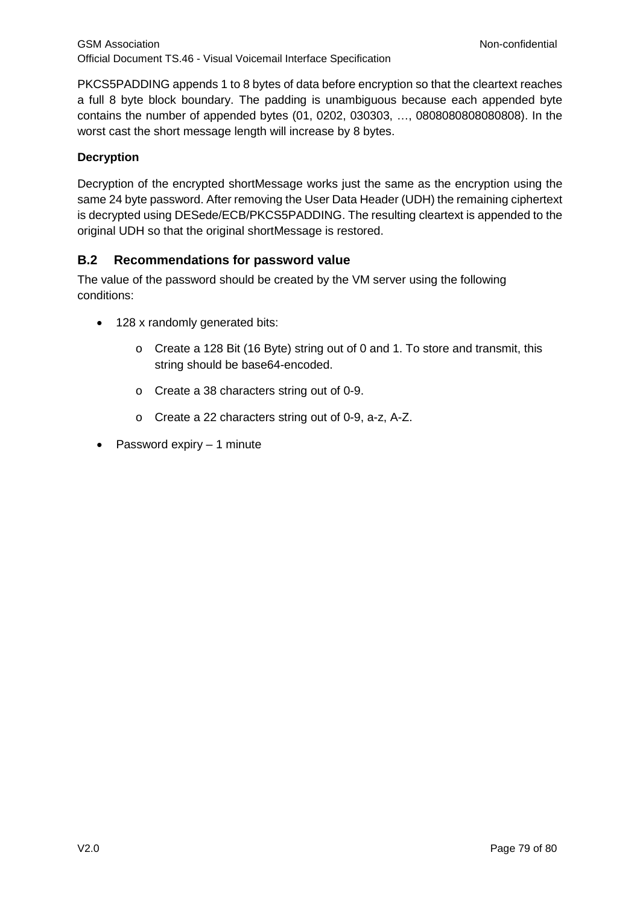PKCS5PADDING appends 1 to 8 bytes of data before encryption so that the cleartext reaches a full 8 byte block boundary. The padding is unambiguous because each appended byte contains the number of appended bytes (01, 0202, 030303, …, 0808080808080808). In the worst cast the short message length will increase by 8 bytes.

## **Decryption**

Decryption of the encrypted shortMessage works just the same as the encryption using the same 24 byte password. After removing the User Data Header (UDH) the remaining ciphertext is decrypted using DESede/ECB/PKCS5PADDING. The resulting cleartext is appended to the original UDH so that the original shortMessage is restored.

## **B.2 Recommendations for password value**

The value of the password should be created by the VM server using the following conditions:

- 128 x randomly generated bits:
	- o Create a 128 Bit (16 Byte) string out of 0 and 1. To store and transmit, this string should be base64-encoded.
	- o Create a 38 characters string out of 0-9.
	- o Create a 22 characters string out of 0-9, a-z, A-Z.
- Password expiry 1 minute